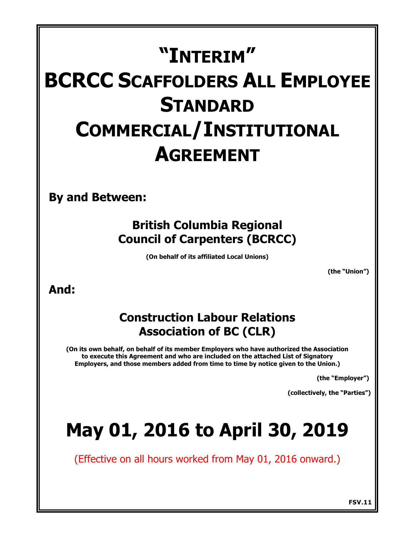# **"INTERIM" BCRCC SCAFFOLDERS ALL EMPLOYEE STANDARD COMMERCIAL/INSTITUTIONAL AGREEMENT**

**By and Between:**

# **British Columbia Regional Council of Carpenters (BCRCC)**

**(On behalf of its affiliated Local Unions)**

**(the "Union")** 

# **And:**

# **Construction Labour Relations Association of BC (CLR)**

**(On its own behalf, on behalf of its member Employers who have authorized the Association to execute this Agreement and who are included on the attached List of Signatory Employers, and those members added from time to time by notice given to the Union.)**

**(the "Employer")** 

**(collectively, the "Parties")** 

# **May 01, 2016 to April 30, 2019**

(Effective on all hours worked from May 01, 2016 onward.)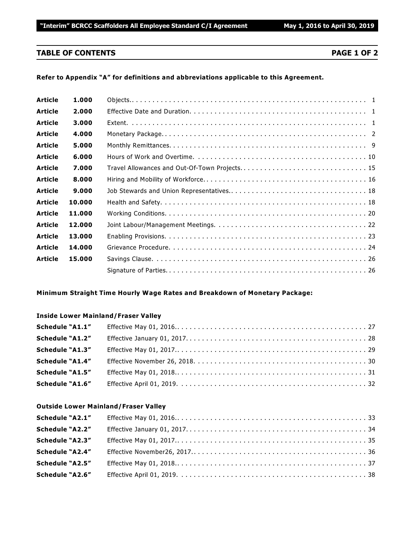# **TABLE OF CONTENTS PAGE 1 OF 2**

# **Refer to Appendix "A" for definitions and abbreviations applicable to this Agreement.**

| <b>Article</b> | 1.000  |  |
|----------------|--------|--|
| <b>Article</b> | 2.000  |  |
| <b>Article</b> | 3.000  |  |
| <b>Article</b> | 4.000  |  |
| <b>Article</b> | 5.000  |  |
| <b>Article</b> | 6.000  |  |
| <b>Article</b> | 7.000  |  |
| <b>Article</b> | 8.000  |  |
| <b>Article</b> | 9.000  |  |
| <b>Article</b> | 10.000 |  |
| <b>Article</b> | 11.000 |  |
| <b>Article</b> | 12.000 |  |
| <b>Article</b> | 13.000 |  |
| <b>Article</b> | 14.000 |  |
| <b>Article</b> | 15.000 |  |
|                |        |  |
|                |        |  |

# **Minimum Straight Time Hourly Wage Rates and Breakdown of Monetary Package:**

### **Inside Lower Mainland/Fraser Valley**

| Schedule "A1.1"        |  |
|------------------------|--|
| Schedule "A1.2"        |  |
| Schedule "A1.3"        |  |
| <b>Schedule "A1.4"</b> |  |
| Schedule "A1.5"        |  |
| <b>Schedule "A1.6"</b> |  |

### **Outside Lower Mainland/Fraser Valley**

| Schedule "A2.1"        |  |
|------------------------|--|
| Schedule "A2.2"        |  |
| <b>Schedule "A2.3"</b> |  |
| <b>Schedule "A2.4"</b> |  |
| Schedule "A2.5"        |  |
| <b>Schedule "A2.6"</b> |  |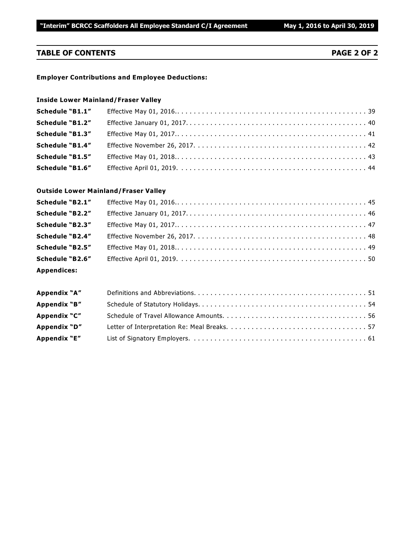# **TABLE OF CONTENTS PAGE 2 OF 2**

### **Employer Contributions and Employee Deductions:**

### **Inside Lower Mainland/Fraser Valley**

| Schedule "B1.1"        |  |
|------------------------|--|
| Schedule "B1.2"        |  |
| Schedule "B1.3"        |  |
| <b>Schedule "B1.4"</b> |  |
| <b>Schedule "B1.5"</b> |  |
| <b>Schedule "B1.6"</b> |  |

### **Outside Lower Mainland/Fraser Valley**

| Schedule "B2.1"        |  |
|------------------------|--|
| Schedule "B2.2"        |  |
| Schedule "B2.3"        |  |
| <b>Schedule "B2.4"</b> |  |
| Schedule "B2.5"        |  |
| Schedule "B2.6"        |  |
| <b>Appendices:</b>     |  |

| Appendix "A" |  |
|--------------|--|
| Appendix "B" |  |
| Appendix "C" |  |
| Appendix "D" |  |
| Appendix "E" |  |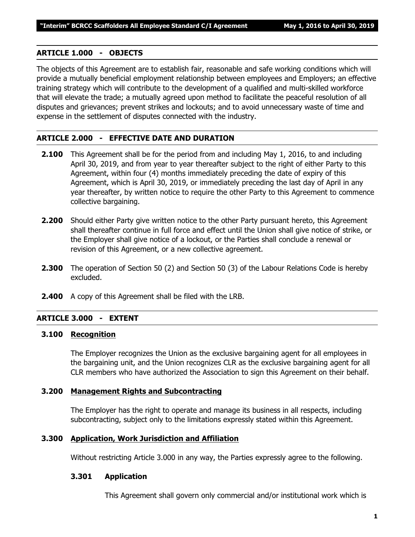# **ARTICLE 1.000 - OBJECTS**

The objects of this Agreement are to establish fair, reasonable and safe working conditions which will provide a mutually beneficial employment relationship between employees and Employers; an effective training strategy which will contribute to the development of a qualified and multi-skilled workforce that will elevate the trade; a mutually agreed upon method to facilitate the peaceful resolution of all disputes and grievances; prevent strikes and lockouts; and to avoid unnecessary waste of time and expense in the settlement of disputes connected with the industry.

# **ARTICLE 2.000 - EFFECTIVE DATE AND DURATION**

- **2.100** This Agreement shall be for the period from and including May 1, 2016, to and including April 30, 2019, and from year to year thereafter subject to the right of either Party to this Agreement, within four (4) months immediately preceding the date of expiry of this Agreement, which is April 30, 2019, or immediately preceding the last day of April in any year thereafter, by written notice to require the other Party to this Agreement to commence collective bargaining.
- **2.200** Should either Party give written notice to the other Party pursuant hereto, this Agreement shall thereafter continue in full force and effect until the Union shall give notice of strike, or the Employer shall give notice of a lockout, or the Parties shall conclude a renewal or revision of this Agreement, or a new collective agreement.
- **2.300** The operation of Section 50 (2) and Section 50 (3) of the *Labour Relations Code* is hereby excluded.
- **2.400** A copy of this Agreement shall be filed with the LRB.

## **ARTICLE 3.000 - EXTENT**

### **3.100 Recognition**

The Employer recognizes the Union as the exclusive bargaining agent for all employees in the bargaining unit, and the Union recognizes CLR as the exclusive bargaining agent for all CLR members who have authorized the Association to sign this Agreement on their behalf.

### **3.200 Management Rights and Subcontracting**

The Employer has the right to operate and manage its business in all respects, including subcontracting, subject only to the limitations expressly stated within this Agreement.

# **3.300 Application, Work Jurisdiction and Affiliation**

Without restricting Article 3.000 in any way, the Parties expressly agree to the following.

# **3.301 Application**

This Agreement shall govern only commercial and/or institutional work which is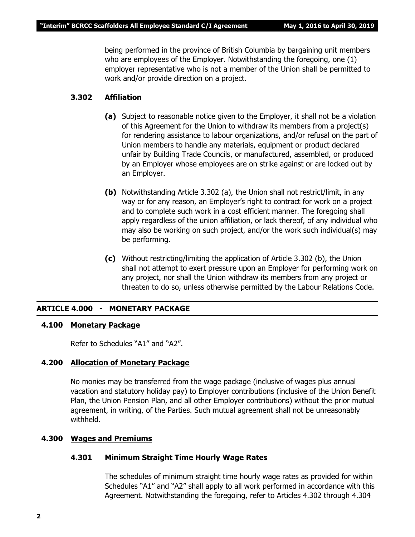being performed in the province of British Columbia by bargaining unit members who are employees of the Employer. Notwithstanding the foregoing, one (1) employer representative who is not a member of the Union shall be permitted to work and/or provide direction on a project.

# **3.302 Affiliation**

- **(a)** Subject to reasonable notice given to the Employer, it shall not be a violation of this Agreement for the Union to withdraw its members from a project(s) for rendering assistance to labour organizations, and/or refusal on the part of Union members to handle any materials, equipment or product declared unfair by Building Trade Councils, or manufactured, assembled, or produced by an Employer whose employees are on strike against or are locked out by an Employer.
- **(b)** Notwithstanding Article 3.302 (a), the Union shall not restrict/limit, in any way or for any reason, an Employer's right to contract for work on a project and to complete such work in a cost efficient manner. The foregoing shall apply regardless of the union affiliation, or lack thereof, of any individual who may also be working on such project, and/or the work such individual(s) may be performing.
- **(c)** Without restricting/limiting the application of Article 3.302 (b), the Union shall not attempt to exert pressure upon an Employer for performing work on any project, nor shall the Union withdraw its members from any project or threaten to do so, unless otherwise permitted by the *Labour Relations Code*.

### **ARTICLE 4.000 - MONETARY PACKAGE**

### **4.100 Monetary Package**

Refer to Schedules "A1" and "A2".

### **4.200 Allocation of Monetary Package**

No monies may be transferred from the wage package (inclusive of wages plus annual vacation and statutory holiday pay) to Employer contributions (inclusive of the Union Benefit Plan, the Union Pension Plan, and all other Employer contributions) without the prior mutual agreement, in writing, of the Parties. Such mutual agreement shall not be unreasonably withheld.

### **4.300 Wages and Premiums**

### **4.301 Minimum Straight Time Hourly Wage Rates**

The schedules of minimum straight time hourly wage rates as provided for within Schedules "A1" and "A2" shall apply to all work performed in accordance with this Agreement. Notwithstanding the foregoing, refer to Articles 4.302 through 4.304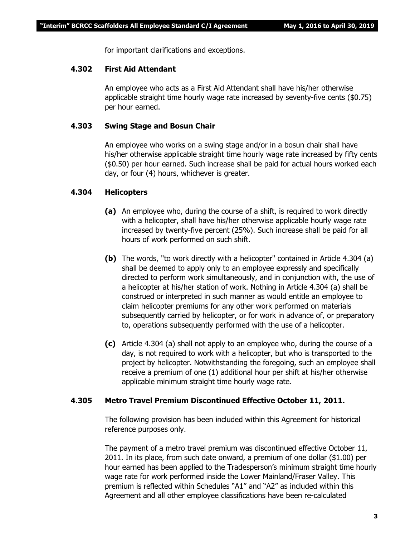for important clarifications and exceptions.

# **4.302 First Aid Attendant**

An employee who acts as a First Aid Attendant shall have his/her otherwise applicable straight time hourly wage rate increased by seventy-five cents (\$0.75) per hour earned.

# **4.303 Swing Stage and Bosun Chair**

An employee who works on a swing stage and/or in a bosun chair shall have his/her otherwise applicable straight time hourly wage rate increased by fifty cents (\$0.50) per hour earned. Such increase shall be paid for actual hours worked each day, or four (4) hours, whichever is greater.

# **4.304 Helicopters**

- **(a)** An employee who, during the course of a shift, is required to work directly with a helicopter, shall have his/her otherwise applicable hourly wage rate increased by twenty-five percent (25%). Such increase shall be paid for all hours of work performed on such shift.
- **(b)** The words, "to work directly with a helicopter" contained in Article 4.304 (a) shall be deemed to apply only to an employee expressly and specifically directed to perform work simultaneously, and in conjunction with, the use of a helicopter at his/her station of work. Nothing in Article 4.304 (a) shall be construed or interpreted in such manner as would entitle an employee to claim helicopter premiums for any other work performed on materials subsequently carried by helicopter, or for work in advance of, or preparatory to, operations subsequently performed with the use of a helicopter.
- **(c)** Article 4.304 (a) shall not apply to an employee who, during the course of a day, is not required to work with a helicopter, but who is transported to the project by helicopter. Notwithstanding the foregoing, such an employee shall receive a premium of one (1) additional hour per shift at his/her otherwise applicable minimum straight time hourly wage rate.

### **4.305 Metro Travel Premium Discontinued Effective October 11, 2011.**

The following provision has been included within this Agreement for historical reference purposes only.

The payment of a metro travel premium was discontinued effective October 11, 2011. In its place, from such date onward, a premium of one dollar (\$1.00) per hour earned has been applied to the Tradesperson's minimum straight time hourly wage rate for work performed inside the Lower Mainland/Fraser Valley. This premium is reflected within Schedules "A1" and "A2" as included within this Agreement and all other employee classifications have been re-calculated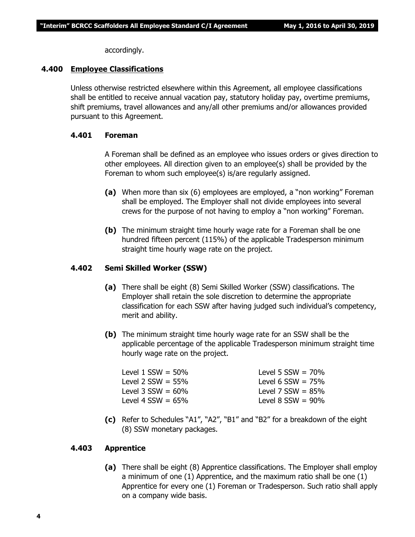accordingly.

### **4.400 Employee Classifications**

Unless otherwise restricted elsewhere within this Agreement, all employee classifications shall be entitled to receive annual vacation pay, statutory holiday pay, overtime premiums, shift premiums, travel allowances and any/all other premiums and/or allowances provided pursuant to this Agreement.

### **4.401 Foreman**

A Foreman shall be defined as an employee who issues orders or gives direction to other employees. All direction given to an employee(s) shall be provided by the Foreman to whom such employee(s) is/are regularly assigned.

- **(a)** When more than six (6) employees are employed, a "non working" Foreman shall be employed. The Employer shall not divide employees into several crews for the purpose of not having to employ a "non working" Foreman.
- **(b)** The minimum straight time hourly wage rate for a Foreman shall be one hundred fifteen percent (115%) of the applicable Tradesperson minimum straight time hourly wage rate on the project.

## **4.402 Semi Skilled Worker (SSW)**

- **(a)** There shall be eight (8) Semi Skilled Worker (SSW) classifications. The Employer shall retain the sole discretion to determine the appropriate classification for each SSW after having judged such individual's competency, merit and ability.
- **(b)** The minimum straight time hourly wage rate for an SSW shall be the applicable percentage of the applicable Tradesperson minimum straight time hourly wage rate on the project.

| Level 1 SSW = 50%    | Level 5 $SSW = 70\%$   |
|----------------------|------------------------|
| Level 2 SSW = 55%    | Level 6 $SSW = 75\%$   |
| Level 3 SSW = $60\%$ | Level 7 $SSW = 85\%$   |
| Level 4 SSW = $65\%$ | Level $8$ SSW = $90\%$ |
|                      |                        |

**(c)** Refer to Schedules "A1", "A2", "B1" and "B2" for a breakdown of the eight (8) SSW monetary packages.

### **4.403 Apprentice**

**(a)** There shall be eight (8) Apprentice classifications. The Employer shall employ a minimum of one (1) Apprentice, and the maximum ratio shall be one (1) Apprentice for every one (1) Foreman or Tradesperson. Such ratio shall apply on a company wide basis.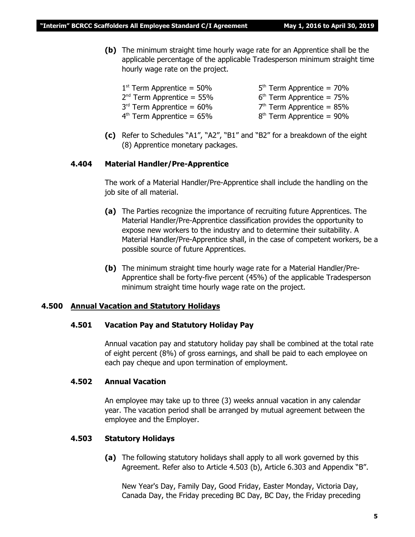**(b)** The minimum straight time hourly wage rate for an Apprentice shall be the applicable percentage of the applicable Tradesperson minimum straight time hourly wage rate on the project.

| $1st$ Term Apprentice = 50% | $5th$ Term Apprentice = 70% |
|-----------------------------|-----------------------------|
| $2nd$ Term Apprentice = 55% | $6th$ Term Apprentice = 75% |
| $3rd$ Term Apprentice = 60% | $7th$ Term Apprentice = 85% |
| $4th$ Term Apprentice = 65% | $8th$ Term Apprentice = 90% |

**(c)** Refer to Schedules "A1", "A2", "B1" and "B2" for a breakdown of the eight (8) Apprentice monetary packages.

### **4.404 Material Handler/Pre-Apprentice**

The work of a Material Handler/Pre-Apprentice shall include the handling on the job site of all material.

- **(a)** The Parties recognize the importance of recruiting future Apprentices. The Material Handler/Pre-Apprentice classification provides the opportunity to expose new workers to the industry and to determine their suitability. A Material Handler/Pre-Apprentice shall, in the case of competent workers, be a possible source of future Apprentices.
- **(b)** The minimum straight time hourly wage rate for a Material Handler/Pre-Apprentice shall be forty-five percent (45%) of the applicable Tradesperson minimum straight time hourly wage rate on the project.

### **4.500 Annual Vacation and Statutory Holidays**

### **4.501 Vacation Pay and Statutory Holiday Pay**

Annual vacation pay and statutory holiday pay shall be combined at the total rate of eight percent (8%) of gross earnings, and shall be paid to each employee on each pay cheque and upon termination of employment.

### **4.502 Annual Vacation**

An employee may take up to three (3) weeks annual vacation in any calendar year. The vacation period shall be arranged by mutual agreement between the employee and the Employer.

### **4.503 Statutory Holidays**

**(a)** The following statutory holidays shall apply to all work governed by this Agreement. Refer also to Article 4.503 (b), Article 6.303 and Appendix "B".

New Year's Day, Family Day, Good Friday, Easter Monday, Victoria Day, Canada Day, the Friday preceding BC Day, BC Day, the Friday preceding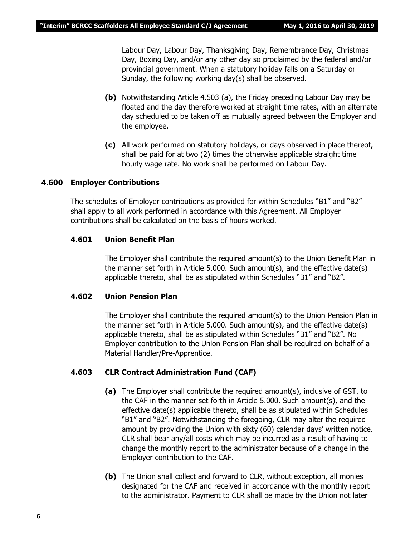Labour Day, Labour Day, Thanksgiving Day, Remembrance Day, Christmas Day, Boxing Day, and/or any other day so proclaimed by the federal and/or provincial government. When a statutory holiday falls on a Saturday or Sunday, the following working day(s) shall be observed.

- **(b)** Notwithstanding Article 4.503 (a), the Friday preceding Labour Day may be floated and the day therefore worked at straight time rates, with an alternate day scheduled to be taken off as mutually agreed between the Employer and the employee.
- **(c)** All work performed on statutory holidays, or days observed in place thereof, shall be paid for at two (2) times the otherwise applicable straight time hourly wage rate. No work shall be performed on Labour Day.

### **4.600 Employer Contributions**

The schedules of Employer contributions as provided for within Schedules "B1" and "B2" shall apply to all work performed in accordance with this Agreement. All Employer contributions shall be calculated on the basis of hours worked.

# **4.601 Union Benefit Plan**

The Employer shall contribute the required amount(s) to the Union Benefit Plan in the manner set forth in Article 5.000. Such amount(s), and the effective date(s) applicable thereto, shall be as stipulated within Schedules "B1" and "B2".

### **4.602 Union Pension Plan**

The Employer shall contribute the required amount(s) to the Union Pension Plan in the manner set forth in Article 5.000. Such amount(s), and the effective date(s) applicable thereto, shall be as stipulated within Schedules "B1" and "B2". No Employer contribution to the Union Pension Plan shall be required on behalf of a Material Handler/Pre-Apprentice.

# **4.603 CLR Contract Administration Fund (CAF)**

- **(a)** The Employer shall contribute the required amount(s), inclusive of GST, to the CAF in the manner set forth in Article 5.000. Such amount(s), and the effective date(s) applicable thereto, shall be as stipulated within Schedules "B1" and "B2". Notwithstanding the foregoing, CLR may alter the required amount by providing the Union with sixty (60) calendar days' written notice. CLR shall bear any/all costs which may be incurred as a result of having to change the monthly report to the administrator because of a change in the Employer contribution to the CAF.
- **(b)** The Union shall collect and forward to CLR, without exception, all monies designated for the CAF and received in accordance with the monthly report to the administrator. Payment to CLR shall be made by the Union not later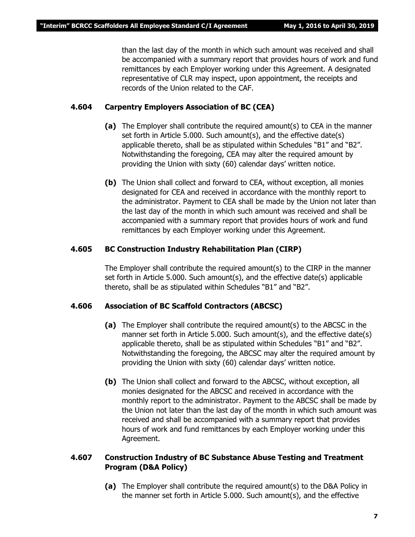than the last day of the month in which such amount was received and shall be accompanied with a summary report that provides hours of work and fund remittances by each Employer working under this Agreement. A designated representative of CLR may inspect, upon appointment, the receipts and records of the Union related to the CAF.

# **4.604 Carpentry Employers Association of BC (CEA)**

- **(a)** The Employer shall contribute the required amount(s) to CEA in the manner set forth in Article 5.000. Such amount(s), and the effective date(s) applicable thereto, shall be as stipulated within Schedules "B1" and "B2". Notwithstanding the foregoing, CEA may alter the required amount by providing the Union with sixty (60) calendar days' written notice.
- **(b)** The Union shall collect and forward to CEA, without exception, all monies designated for CEA and received in accordance with the monthly report to the administrator. Payment to CEA shall be made by the Union not later than the last day of the month in which such amount was received and shall be accompanied with a summary report that provides hours of work and fund remittances by each Employer working under this Agreement.

# **4.605 BC Construction Industry Rehabilitation Plan (CIRP)**

The Employer shall contribute the required amount(s) to the CIRP in the manner set forth in Article 5.000. Such amount(s), and the effective date(s) applicable thereto, shall be as stipulated within Schedules "B1" and "B2".

# **4.606 Association of BC Scaffold Contractors (ABCSC)**

- **(a)** The Employer shall contribute the required amount(s) to the ABCSC in the manner set forth in Article 5.000. Such amount(s), and the effective date(s) applicable thereto, shall be as stipulated within Schedules "B1" and "B2". Notwithstanding the foregoing, the ABCSC may alter the required amount by providing the Union with sixty (60) calendar days' written notice.
- **(b)** The Union shall collect and forward to the ABCSC, without exception, all monies designated for the ABCSC and received in accordance with the monthly report to the administrator. Payment to the ABCSC shall be made by the Union not later than the last day of the month in which such amount was received and shall be accompanied with a summary report that provides hours of work and fund remittances by each Employer working under this Agreement.

# **4.607 Construction Industry of BC Substance Abuse Testing and Treatment Program (D&A Policy)**

**(a)** The Employer shall contribute the required amount(s) to the D&A Policy in the manner set forth in Article 5.000. Such amount(s), and the effective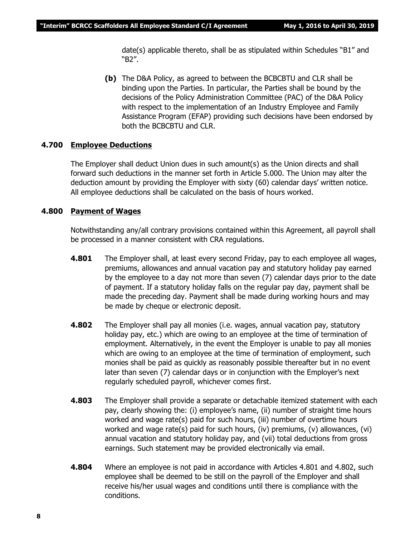date(s) applicable thereto, shall be as stipulated within Schedules "B1" and "B2".

**(b)** The D&A Policy, as agreed to between the BCBCBTU and CLR shall be binding upon the Parties. In particular, the Parties shall be bound by the decisions of the Policy Administration Committee (PAC) of the D&A Policy with respect to the implementation of an Industry Employee and Family Assistance Program (EFAP) providing such decisions have been endorsed by both the BCBCBTU and CLR.

### **4.700 Employee Deductions**

The Employer shall deduct Union dues in such amount(s) as the Union directs and shall forward such deductions in the manner set forth in Article 5.000. The Union may alter the deduction amount by providing the Employer with sixty (60) calendar days' written notice. All employee deductions shall be calculated on the basis of hours worked.

### **4.800 Payment of Wages**

Notwithstanding any/all contrary provisions contained within this Agreement, all payroll shall be processed in a manner consistent with CRA regulations.

- **4.801** The Employer shall, at least every second Friday, pay to each employee all wages, premiums, allowances and annual vacation pay and statutory holiday pay earned by the employee to a day not more than seven (7) calendar days prior to the date of payment. If a statutory holiday falls on the regular pay day, payment shall be made the preceding day. Payment shall be made during working hours and may be made by cheque or electronic deposit.
- **4.802** The Employer shall pay all monies (i.e. wages, annual vacation pay, statutory holiday pay, etc.) which are owing to an employee at the time of termination of employment. Alternatively, in the event the Employer is unable to pay all monies which are owing to an employee at the time of termination of employment, such monies shall be paid as quickly as reasonably possible thereafter but in no event later than seven (7) calendar days or in conjunction with the Employer's next regularly scheduled payroll, whichever comes first.
- **4.803** The Employer shall provide a separate or detachable itemized statement with each pay, clearly showing the: (i) employee's name, (ii) number of straight time hours worked and wage rate(s) paid for such hours, (iii) number of overtime hours worked and wage rate(s) paid for such hours, (iv) premiums, (v) allowances, (vi) annual vacation and statutory holiday pay, and (vii) total deductions from gross earnings. Such statement may be provided electronically via email.
- **4.804** Where an employee is not paid in accordance with Articles 4.801 and 4.802, such employee shall be deemed to be still on the payroll of the Employer and shall receive his/her usual wages and conditions until there is compliance with the conditions.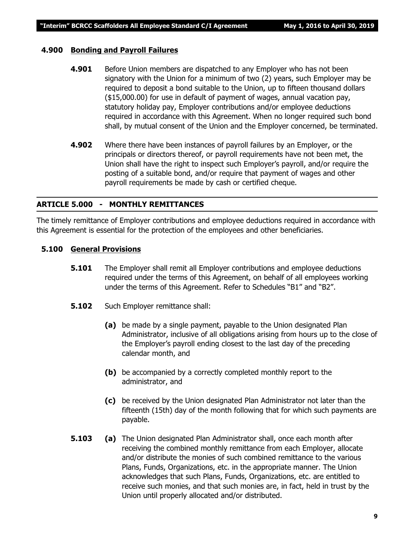# **4.900 Bonding and Payroll Failures**

- **4.901** Before Union members are dispatched to any Employer who has not been signatory with the Union for a minimum of two (2) years, such Employer may be required to deposit a bond suitable to the Union, up to fifteen thousand dollars (\$15,000.00) for use in default of payment of wages, annual vacation pay, statutory holiday pay, Employer contributions and/or employee deductions required in accordance with this Agreement. When no longer required such bond shall, by mutual consent of the Union and the Employer concerned, be terminated.
- **4.902** Where there have been instances of payroll failures by an Employer, or the principals or directors thereof, or payroll requirements have not been met, the Union shall have the right to inspect such Employer's payroll, and/or require the posting of a suitable bond, and/or require that payment of wages and other payroll requirements be made by cash or certified cheque.

# **ARTICLE 5.000 - MONTHLY REMITTANCES**

The timely remittance of Employer contributions and employee deductions required in accordance with this Agreement is essential for the protection of the employees and other beneficiaries.

# **5.100 General Provisions**

- **5.101** The Employer shall remit all Employer contributions and employee deductions required under the terms of this Agreement, on behalf of all employees working under the terms of this Agreement. Refer to Schedules "B1" and "B2".
- **5.102** Such Employer remittance shall:
	- **(a)** be made by a single payment, payable to the Union designated Plan Administrator, inclusive of all obligations arising from hours up to the close of the Employer's payroll ending closest to the last day of the preceding calendar month, and
	- **(b)** be accompanied by a correctly completed monthly report to the administrator, and
	- **(c)** be received by the Union designated Plan Administrator not later than the fifteenth (15th) day of the month following that for which such payments are payable.
- **5.103 (a)** The Union designated Plan Administrator shall, once each month after receiving the combined monthly remittance from each Employer, allocate and/or distribute the monies of such combined remittance to the various Plans, Funds, Organizations, etc. in the appropriate manner. The Union acknowledges that such Plans, Funds, Organizations, etc. are entitled to receive such monies, and that such monies are, in fact, held in trust by the Union until properly allocated and/or distributed.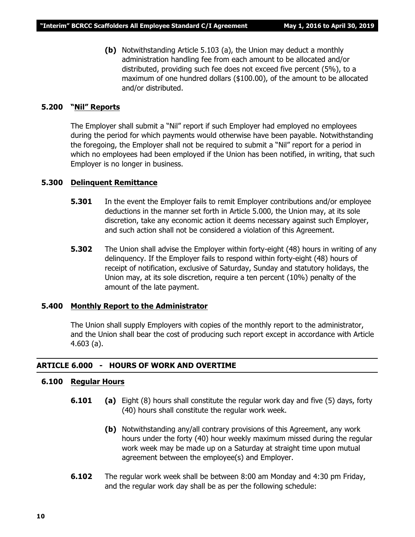**(b)** Notwithstanding Article 5.103 (a), the Union may deduct a monthly administration handling fee from each amount to be allocated and/or distributed, providing such fee does not exceed five percent (5%), to a maximum of one hundred dollars (\$100.00), of the amount to be allocated and/or distributed.

## **5.200 "Nil" Reports**

The Employer shall submit a "Nil" report if such Employer had employed no employees during the period for which payments would otherwise have been payable. Notwithstanding the foregoing, the Employer shall not be required to submit a "Nil" report for a period in which no employees had been employed if the Union has been notified, in writing, that such Employer is no longer in business.

# **5.300 Delinquent Remittance**

- **5.301** In the event the Employer fails to remit Employer contributions and/or employee deductions in the manner set forth in Article 5.000, the Union may, at its sole discretion, take any economic action it deems necessary against such Employer, and such action shall not be considered a violation of this Agreement.
- **5.302** The Union shall advise the Employer within forty-eight (48) hours in writing of any delinquency. If the Employer fails to respond within forty-eight (48) hours of receipt of notification, exclusive of Saturday, Sunday and statutory holidays, the Union may, at its sole discretion, require a ten percent (10%) penalty of the amount of the late payment.

# **5.400 Monthly Report to the Administrator**

The Union shall supply Employers with copies of the monthly report to the administrator, and the Union shall bear the cost of producing such report except in accordance with Article 4.603 (a).

### **ARTICLE 6.000 - HOURS OF WORK AND OVERTIME**

# **6.100 Regular Hours**

- **6.101 (a)** Eight (8) hours shall constitute the regular work day and five (5) days, forty (40) hours shall constitute the regular work week.
	- **(b)** Notwithstanding any/all contrary provisions of this Agreement, any work hours under the forty (40) hour weekly maximum missed during the regular work week may be made up on a Saturday at straight time upon mutual agreement between the employee(s) and Employer.
- **6.102** The regular work week shall be between 8:00 am Monday and 4:30 pm Friday, and the regular work day shall be as per the following schedule: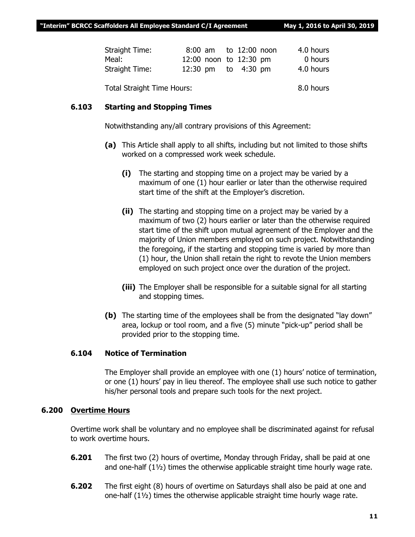| Straight Time: | 8:00 am to 12:00 noon  | 4.0 hours |
|----------------|------------------------|-----------|
| Meal:          | 12:00 noon to 12:30 pm | 0 hours   |
| Straight Time: | 12:30 pm to 4:30 pm    | 4.0 hours |
|                |                        |           |

Total Straight Time Hours: 8.0 hours

# **6.103 Starting and Stopping Times**

Notwithstanding any/all contrary provisions of this Agreement:

- **(a)** This Article shall apply to all shifts, including but not limited to those shifts worked on a compressed work week schedule.
	- **(i)** The starting and stopping time on a project may be varied by a maximum of one (1) hour earlier or later than the otherwise required start time of the shift at the Employer's discretion.
	- **(ii)** The starting and stopping time on a project may be varied by a maximum of two (2) hours earlier or later than the otherwise required start time of the shift upon mutual agreement of the Employer and the majority of Union members employed on such project. Notwithstanding the foregoing, if the starting and stopping time is varied by more than (1) hour, the Union shall retain the right to revote the Union members employed on such project once over the duration of the project.
	- **(iii)** The Employer shall be responsible for a suitable signal for all starting and stopping times.
- **(b)** The starting time of the employees shall be from the designated "lay down" area, lockup or tool room, and a five (5) minute "pick-up" period shall be provided prior to the stopping time.

# **6.104 Notice of Termination**

The Employer shall provide an employee with one (1) hours' notice of termination, or one (1) hours' pay in lieu thereof. The employee shall use such notice to gather his/her personal tools and prepare such tools for the next project.

# **6.200 Overtime Hours**

Overtime work shall be voluntary and no employee shall be discriminated against for refusal to work overtime hours.

- **6.201** The first two (2) hours of overtime, Monday through Friday, shall be paid at one and one-half  $(1\frac{1}{2})$  times the otherwise applicable straight time hourly wage rate.
- **6.202** The first eight (8) hours of overtime on Saturdays shall also be paid at one and one-half (1½) times the otherwise applicable straight time hourly wage rate.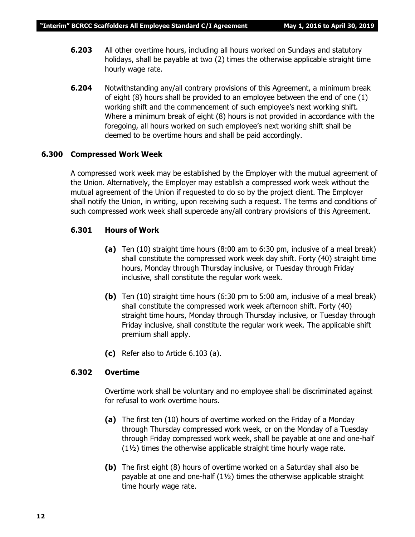- **6.203** All other overtime hours, including all hours worked on Sundays and statutory holidays, shall be payable at two (2) times the otherwise applicable straight time hourly wage rate.
- **6.204** Notwithstanding any/all contrary provisions of this Agreement, a minimum break of eight (8) hours shall be provided to an employee between the end of one (1) working shift and the commencement of such employee's next working shift. Where a minimum break of eight (8) hours is not provided in accordance with the foregoing, all hours worked on such employee's next working shift shall be deemed to be overtime hours and shall be paid accordingly.

# **6.300 Compressed Work Week**

A compressed work week may be established by the Employer with the mutual agreement of the Union. Alternatively, the Employer may establish a compressed work week without the mutual agreement of the Union if requested to do so by the project client. The Employer shall notify the Union, in writing, upon receiving such a request. The terms and conditions of such compressed work week shall supercede any/all contrary provisions of this Agreement.

# **6.301 Hours of Work**

- **(a)** Ten (10) straight time hours (8:00 am to 6:30 pm, inclusive of a meal break) shall constitute the compressed work week day shift. Forty (40) straight time hours, Monday through Thursday inclusive, or Tuesday through Friday inclusive, shall constitute the regular work week.
- **(b)** Ten (10) straight time hours (6:30 pm to 5:00 am, inclusive of a meal break) shall constitute the compressed work week afternoon shift. Forty (40) straight time hours, Monday through Thursday inclusive, or Tuesday through Friday inclusive, shall constitute the regular work week. The applicable shift premium shall apply.
- **(c)** Refer also to Article 6.103 (a).

### **6.302 Overtime**

Overtime work shall be voluntary and no employee shall be discriminated against for refusal to work overtime hours.

- **(a)** The first ten (10) hours of overtime worked on the Friday of a Monday through Thursday compressed work week, or on the Monday of a Tuesday through Friday compressed work week, shall be payable at one and one-half (1½) times the otherwise applicable straight time hourly wage rate.
- **(b)** The first eight (8) hours of overtime worked on a Saturday shall also be payable at one and one-half (1½) times the otherwise applicable straight time hourly wage rate.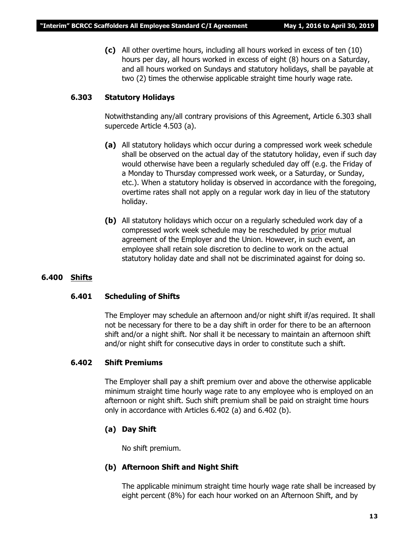**(c)** All other overtime hours, including all hours worked in excess of ten (10) hours per day, all hours worked in excess of eight (8) hours on a Saturday, and all hours worked on Sundays and statutory holidays, shall be payable at two (2) times the otherwise applicable straight time hourly wage rate.

# **6.303 Statutory Holidays**

Notwithstanding any/all contrary provisions of this Agreement, Article 6.303 shall supercede Article 4.503 (a).

- **(a)** All statutory holidays which occur during a compressed work week schedule shall be observed on the actual day of the statutory holiday, even if such day would otherwise have been a regularly scheduled day off (e.g. the Friday of a Monday to Thursday compressed work week, or a Saturday, or Sunday, etc.). When a statutory holiday is observed in accordance with the foregoing, overtime rates shall not apply on a regular work day in lieu of the statutory holiday.
- **(b)** All statutory holidays which occur on a regularly scheduled work day of a compressed work week schedule may be rescheduled by prior mutual agreement of the Employer and the Union. However, in such event, an employee shall retain sole discretion to decline to work on the actual statutory holiday date and shall not be discriminated against for doing so.

# **6.400 Shifts**

# **6.401 Scheduling of Shifts**

The Employer may schedule an afternoon and/or night shift if/as required. It shall not be necessary for there to be a day shift in order for there to be an afternoon shift and/or a night shift. Nor shall it be necessary to maintain an afternoon shift and/or night shift for consecutive days in order to constitute such a shift.

# **6.402 Shift Premiums**

The Employer shall pay a shift premium over and above the otherwise applicable minimum straight time hourly wage rate to any employee who is employed on an afternoon or night shift. Such shift premium shall be paid on straight time hours only in accordance with Articles 6.402 (a) and 6.402 (b).

# **(a) Day Shift**

No shift premium.

# **(b) Afternoon Shift and Night Shift**

The applicable minimum straight time hourly wage rate shall be increased by eight percent (8%) for each hour worked on an Afternoon Shift, and by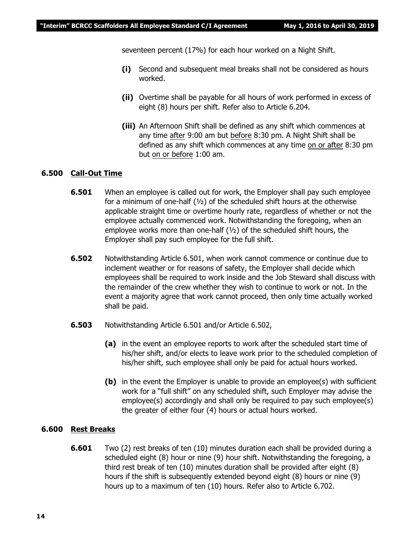seventeen percent (17%) for each hour worked on a Night Shift.

- **(i)** Second and subsequent meal breaks shall not be considered as hours worked.
- **(ii)** Overtime shall be payable for all hours of work performed in excess of eight (8) hours per shift. Refer also to Article 6.204.
- **(iii)** An Afternoon Shift shall be defined as any shift which commences at any time after 9:00 am but before 8:30 pm. A Night Shift shall be defined as any shift which commences at any time on or after 8:30 pm but on or before 1:00 am.

### **6.500 Call-Out Time**

- **6.501** When an employee is called out for work, the Employer shall pay such employee for a minimum of one-half  $(y_2)$  of the scheduled shift hours at the otherwise applicable straight time or overtime hourly rate, regardless of whether or not the employee actually commenced work. Notwithstanding the foregoing, when an employee works more than one-half  $(v_2)$  of the scheduled shift hours, the Employer shall pay such employee for the full shift.
- **6.502** Notwithstanding Article 6.501, when work cannot commence or continue due to inclement weather or for reasons of safety, the Employer shall decide which employees shall be required to work inside and the Job Steward shall discuss with the remainder of the crew whether they wish to continue to work or not. In the event a majority agree that work cannot proceed, then only time actually worked shall be paid.
- **6.503** Notwithstanding Article 6.501 and/or Article 6.502,
	- **(a)** in the event an employee reports to work after the scheduled start time of his/her shift, and/or elects to leave work prior to the scheduled completion of his/her shift, such employee shall only be paid for actual hours worked.
	- **(b)** in the event the Employer is unable to provide an employee(s) with sufficient work for a "full shift" on any scheduled shift, such Employer may advise the employee(s) accordingly and shall only be required to pay such employee(s) the greater of either four (4) hours or actual hours worked.

### **6.600 Rest Breaks**

**6.601** Two (2) rest breaks of ten (10) minutes duration each shall be provided during a scheduled eight (8) hour or nine (9) hour shift. Notwithstanding the foregoing, a third rest break of ten (10) minutes duration shall be provided after eight (8) hours if the shift is subsequently extended beyond eight (8) hours or nine (9) hours up to a maximum of ten (10) hours. Refer also to Article 6.702.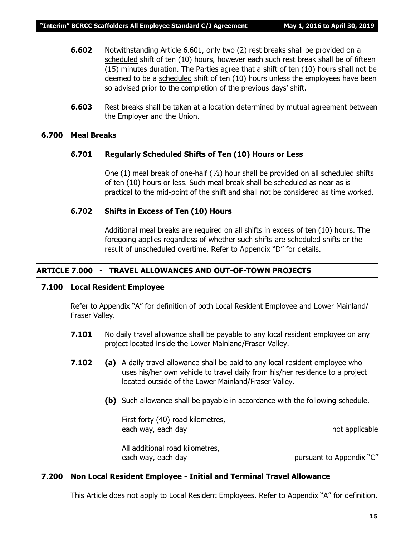- **6.602** Notwithstanding Article 6.601, only two (2) rest breaks shall be provided on a scheduled shift of ten (10) hours, however each such rest break shall be of fifteen (15) minutes duration. The Parties agree that a shift of ten (10) hours shall not be deemed to be a scheduled shift of ten (10) hours unless the employees have been so advised prior to the completion of the previous days' shift.
- **6.603** Rest breaks shall be taken at a location determined by mutual agreement between the Employer and the Union.

### **6.700 Meal Breaks**

### **6.701 Regularly Scheduled Shifts of Ten (10) Hours or Less**

One  $(1)$  meal break of one-half  $(\frac{1}{2})$  hour shall be provided on all scheduled shifts of ten (10) hours or less. Such meal break shall be scheduled as near as is practical to the mid-point of the shift and shall not be considered as time worked.

### **6.702 Shifts in Excess of Ten (10) Hours**

Additional meal breaks are required on all shifts in excess of ten (10) hours. The foregoing applies regardless of whether such shifts are scheduled shifts or the result of unscheduled overtime. Refer to Appendix "D" for details.

### **ARTICLE 7.000 - TRAVEL ALLOWANCES AND OUT-OF-TOWN PROJECTS**

# **7.100 Local Resident Employee**

Refer to Appendix "A" for definition of both Local Resident Employee and Lower Mainland/ Fraser Valley.

- **7.101** No daily travel allowance shall be payable to any local resident employee on any project located inside the Lower Mainland/Fraser Valley.
- **7.102 (a)** A daily travel allowance shall be paid to any local resident employee who uses his/her own vehicle to travel daily from his/her residence to a project located outside of the Lower Mainland/Fraser Valley.
	- **(b)** Such allowance shall be payable in accordance with the following schedule.

First forty (40) road kilometres, each way, each day not applicable

All additional road kilometres, each way, each day but allow the pursuant to Appendix "C"

### **7.200 Non Local Resident Employee - Initial and Terminal Travel Allowance**

This Article does not apply to Local Resident Employees. Refer to Appendix "A" for definition.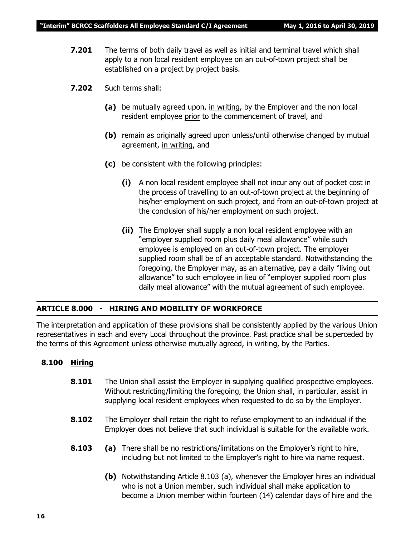- **7.201** The terms of both daily travel as well as initial and terminal travel which shall apply to a non local resident employee on an out-of-town project shall be established on a project by project basis.
- **7.202** Such terms shall:
	- **(a)** be mutually agreed upon, in writing, by the Employer and the non local resident employee prior to the commencement of travel, and
	- **(b)** remain as originally agreed upon unless/until otherwise changed by mutual agreement, in writing, and
	- **(c)** be consistent with the following principles:
		- **(i)** A non local resident employee shall not incur any out of pocket cost in the process of travelling to an out-of-town project at the beginning of his/her employment on such project, and from an out-of-town project at the conclusion of his/her employment on such project.
		- **(ii)** The Employer shall supply a non local resident employee with an "employer supplied room plus daily meal allowance" while such employee is employed on an out-of-town project. The employer supplied room shall be of an acceptable standard. Notwithstanding the foregoing, the Employer may, as an alternative, pay a daily "living out allowance" to such employee in lieu of "employer supplied room plus daily meal allowance" with the mutual agreement of such employee.

### **ARTICLE 8.000 - HIRING AND MOBILITY OF WORKFORCE**

The interpretation and application of these provisions shall be consistently applied by the various Union representatives in each and every Local throughout the province. Past practice shall be superceded by the terms of this Agreement unless otherwise mutually agreed, in writing, by the Parties.

### **8.100 Hiring**

- **8.101** The Union shall assist the Employer in supplying qualified prospective employees. Without restricting/limiting the foregoing, the Union shall, in particular, assist in supplying local resident employees when requested to do so by the Employer.
- **8.102** The Employer shall retain the right to refuse employment to an individual if the Employer does not believe that such individual is suitable for the available work.
- **8.103 (a)** There shall be no restrictions/limitations on the Employer's right to hire, including but not limited to the Employer's right to hire via name request.
	- **(b)** Notwithstanding Article 8.103 (a), whenever the Employer hires an individual who is not a Union member, such individual shall make application to become a Union member within fourteen (14) calendar days of hire and the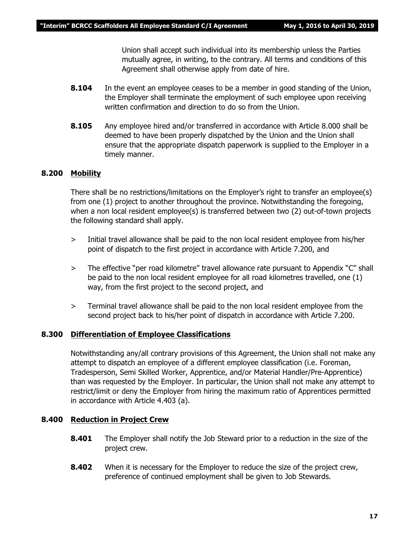Union shall accept such individual into its membership unless the Parties mutually agree, in writing, to the contrary. All terms and conditions of this Agreement shall otherwise apply from date of hire.

- **8.104** In the event an employee ceases to be a member in good standing of the Union, the Employer shall terminate the employment of such employee upon receiving written confirmation and direction to do so from the Union.
- **8.105** Any employee hired and/or transferred in accordance with Article 8.000 shall be deemed to have been properly dispatched by the Union and the Union shall ensure that the appropriate dispatch paperwork is supplied to the Employer in a timely manner.

### **8.200 Mobility**

There shall be no restrictions/limitations on the Employer's right to transfer an employee(s) from one (1) project to another throughout the province. Notwithstanding the foregoing, when a non local resident employee(s) is transferred between two (2) out-of-town projects the following standard shall apply.

- > Initial travel allowance shall be paid to the non local resident employee from his/her point of dispatch to the first project in accordance with Article 7.200, and
- > The effective "per road kilometre" travel allowance rate pursuant to Appendix "C" shall be paid to the non local resident employee for all road kilometres travelled, one (1) way, from the first project to the second project, and
- > Terminal travel allowance shall be paid to the non local resident employee from the second project back to his/her point of dispatch in accordance with Article 7.200.

### **8.300 Differentiation of Employee Classifications**

Notwithstanding any/all contrary provisions of this Agreement, the Union shall not make any attempt to dispatch an employee of a different employee classification (i.e. Foreman, Tradesperson, Semi Skilled Worker, Apprentice, and/or Material Handler/Pre-Apprentice) than was requested by the Employer. In particular, the Union shall not make any attempt to restrict/limit or deny the Employer from hiring the maximum ratio of Apprentices permitted in accordance with Article 4.403 (a).

### **8.400 Reduction in Project Crew**

- **8.401** The Employer shall notify the Job Steward prior to a reduction in the size of the project crew.
- **8.402** When it is necessary for the Employer to reduce the size of the project crew, preference of continued employment shall be given to Job Stewards.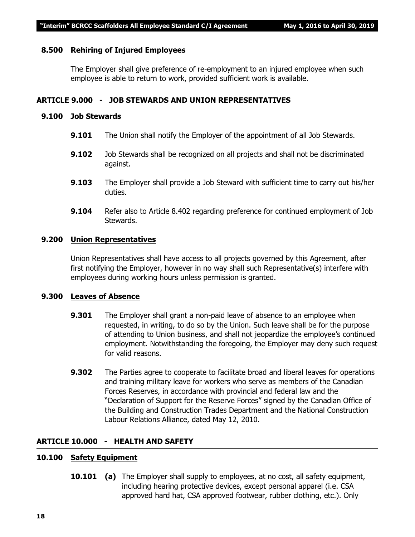### **8.500 Rehiring of Injured Employees**

The Employer shall give preference of re-employment to an injured employee when such employee is able to return to work, provided sufficient work is available.

### **ARTICLE 9.000 - JOB STEWARDS AND UNION REPRESENTATIVES**

### **9.100 Job Stewards**

- **9.101** The Union shall notify the Employer of the appointment of all Job Stewards.
- **9.102** Job Stewards shall be recognized on all projects and shall not be discriminated against.
- **9.103** The Employer shall provide a Job Steward with sufficient time to carry out his/her duties.
- **9.104** Refer also to Article 8.402 regarding preference for continued employment of Job Stewards.

### **9.200 Union Representatives**

Union Representatives shall have access to all projects governed by this Agreement, after first notifying the Employer, however in no way shall such Representative(s) interfere with employees during working hours unless permission is granted.

### **9.300 Leaves of Absence**

- **9.301** The Employer shall grant a non-paid leave of absence to an employee when requested, in writing, to do so by the Union. Such leave shall be for the purpose of attending to Union business, and shall not jeopardize the employee's continued employment. Notwithstanding the foregoing, the Employer may deny such request for valid reasons.
- **9.302** The Parties agree to cooperate to facilitate broad and liberal leaves for operations and training military leave for workers who serve as members of the Canadian Forces Reserves, in accordance with provincial and federal law and the "Declaration of Support for the Reserve Forces" signed by the Canadian Office of the Building and Construction Trades Department and the National Construction Labour Relations Alliance, dated May 12, 2010.

### **ARTICLE 10.000 - HEALTH AND SAFETY**

# **10.100 Safety Equipment**

**10.101 (a)** The Employer shall supply to employees, at no cost, all safety equipment, including hearing protective devices, except personal apparel (i.e. CSA approved hard hat, CSA approved footwear, rubber clothing, etc.). Only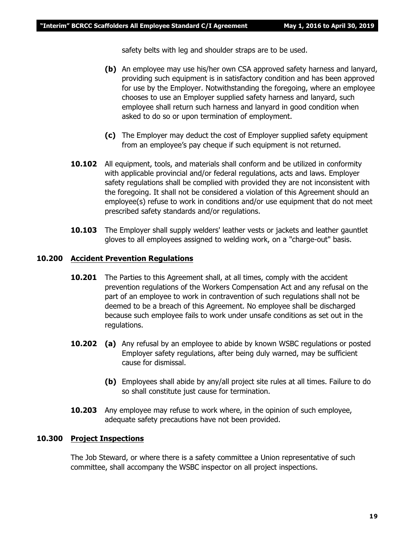safety belts with leg and shoulder straps are to be used.

- **(b)** An employee may use his/her own CSA approved safety harness and lanyard, providing such equipment is in satisfactory condition and has been approved for use by the Employer. Notwithstanding the foregoing, where an employee chooses to use an Employer supplied safety harness and lanyard, such employee shall return such harness and lanyard in good condition when asked to do so or upon termination of employment.
- **(c)** The Employer may deduct the cost of Employer supplied safety equipment from an employee's pay cheque if such equipment is not returned.
- **10.102** All equipment, tools, and materials shall conform and be utilized in conformity with applicable provincial and/or federal regulations, acts and laws. Employer safety regulations shall be complied with provided they are not inconsistent with the foregoing. It shall not be considered a violation of this Agreement should an employee(s) refuse to work in conditions and/or use equipment that do not meet prescribed safety standards and/or regulations.
- **10.103** The Employer shall supply welders' leather vests or jackets and leather gauntlet gloves to all employees assigned to welding work, on a "charge-out" basis.

# **10.200 Accident Prevention Regulations**

- **10.201** The Parties to this Agreement shall, at all times, comply with the accident prevention regulations of the *Workers Compensation Act* and any refusal on the part of an employee to work in contravention of such regulations shall not be deemed to be a breach of this Agreement. No employee shall be discharged because such employee fails to work under unsafe conditions as set out in the regulations.
- **10.202 (a)** Any refusal by an employee to abide by known WSBC regulations or posted Employer safety regulations, after being duly warned, may be sufficient cause for dismissal.
	- **(b)** Employees shall abide by any/all project site rules at all times. Failure to do so shall constitute just cause for termination.
- **10.203** Any employee may refuse to work where, in the opinion of such employee, adequate safety precautions have not been provided.

### **10.300 Project Inspections**

The Job Steward, or where there is a safety committee a Union representative of such committee, shall accompany the WSBC inspector on all project inspections.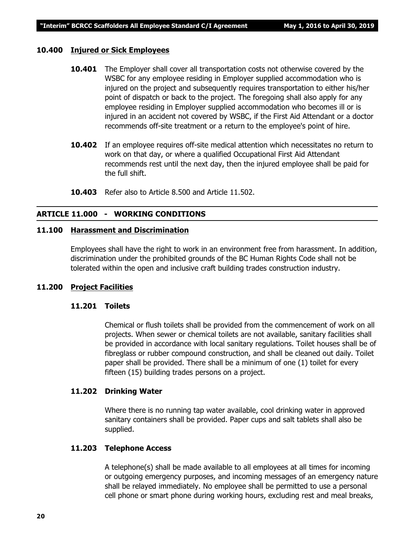### **10.400 Injured or Sick Employees**

- **10.401** The Employer shall cover all transportation costs not otherwise covered by the WSBC for any employee residing in Employer supplied accommodation who is injured on the project and subsequently requires transportation to either his/her point of dispatch or back to the project. The foregoing shall also apply for any employee residing in Employer supplied accommodation who becomes ill or is injured in an accident not covered by WSBC, if the First Aid Attendant or a doctor recommends off-site treatment or a return to the employee's point of hire.
- **10.402** If an employee requires off-site medical attention which necessitates no return to work on that day, or where a qualified Occupational First Aid Attendant recommends rest until the next day, then the injured employee shall be paid for the full shift.
- **10.403** Refer also to Article 8.500 and Article 11.502.

# **ARTICLE 11.000 - WORKING CONDITIONS**

### **11.100 Harassment and Discrimination**

Employees shall have the right to work in an environment free from harassment. In addition, discrimination under the prohibited grounds of the *BC Human Rights Code* shall not be tolerated within the open and inclusive craft building trades construction industry.

### **11.200 Project Facilities**

### **11.201 Toilets**

Chemical or flush toilets shall be provided from the commencement of work on all projects. When sewer or chemical toilets are not available, sanitary facilities shall be provided in accordance with local sanitary regulations. Toilet houses shall be of fibreglass or rubber compound construction, and shall be cleaned out daily. Toilet paper shall be provided. There shall be a minimum of one (1) toilet for every fifteen (15) building trades persons on a project.

### **11.202 Drinking Water**

Where there is no running tap water available, cool drinking water in approved sanitary containers shall be provided. Paper cups and salt tablets shall also be supplied.

### **11.203 Telephone Access**

A telephone(s) shall be made available to all employees at all times for incoming or outgoing emergency purposes, and incoming messages of an emergency nature shall be relayed immediately. No employee shall be permitted to use a personal cell phone or smart phone during working hours, excluding rest and meal breaks,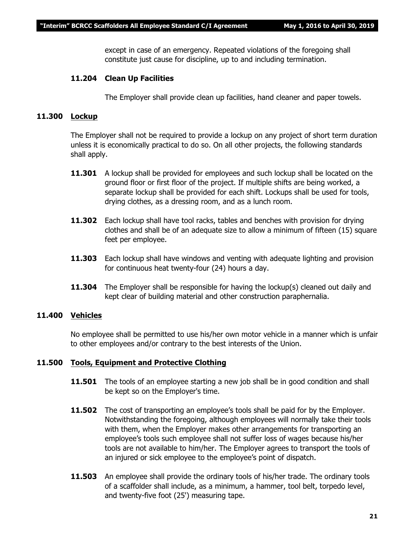except in case of an emergency. Repeated violations of the foregoing shall constitute just cause for discipline, up to and including termination.

# **11.204 Clean Up Facilities**

The Employer shall provide clean up facilities, hand cleaner and paper towels.

# **11.300 Lockup**

The Employer shall not be required to provide a lockup on any project of short term duration unless it is economically practical to do so. On all other projects, the following standards shall apply.

- **11.301** A lockup shall be provided for employees and such lockup shall be located on the ground floor or first floor of the project. If multiple shifts are being worked, a separate lockup shall be provided for each shift. Lockups shall be used for tools, drying clothes, as a dressing room, and as a lunch room.
- **11.302** Each lockup shall have tool racks, tables and benches with provision for drying clothes and shall be of an adequate size to allow a minimum of fifteen (15) square feet per employee.
- **11.303** Each lockup shall have windows and venting with adequate lighting and provision for continuous heat twenty-four (24) hours a day.
- **11.304** The Employer shall be responsible for having the lockup(s) cleaned out daily and kept clear of building material and other construction paraphernalia.

### **11.400 Vehicles**

No employee shall be permitted to use his/her own motor vehicle in a manner which is unfair to other employees and/or contrary to the best interests of the Union.

### **11.500 Tools, Equipment and Protective Clothing**

- **11.501** The tools of an employee starting a new job shall be in good condition and shall be kept so on the Employer's time.
- **11.502** The cost of transporting an employee's tools shall be paid for by the Employer. Notwithstanding the foregoing, although employees will normally take their tools with them, when the Employer makes other arrangements for transporting an employee's tools such employee shall not suffer loss of wages because his/her tools are not available to him/her. The Employer agrees to transport the tools of an injured or sick employee to the employee's point of dispatch.
- **11.503** An employee shall provide the ordinary tools of his/her trade. The ordinary tools of a scaffolder shall include, as a minimum, a hammer, tool belt, torpedo level, and twenty-five foot (25') measuring tape.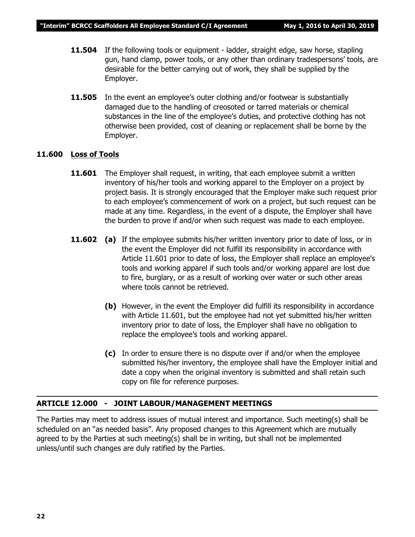- **11.504** If the following tools or equipment ladder, straight edge, saw horse, stapling gun, hand clamp, power tools, or any other than ordinary tradespersons' tools, are desirable for the better carrying out of work, they shall be supplied by the Employer.
- **11.505** In the event an employee's outer clothing and/or footwear is substantially damaged due to the handling of creosoted or tarred materials or chemical substances in the line of the employee's duties, and protective clothing has not otherwise been provided, cost of cleaning or replacement shall be borne by the Employer.

### **11.600 Loss of Tools**

- **11.601** The Employer shall request, in writing, that each employee submit a written inventory of his/her tools and working apparel to the Employer on a project by project basis. It is strongly encouraged that the Employer make such request prior to each employee's commencement of work on a project, but such request can be made at any time. Regardless, in the event of a dispute, the Employer shall have the burden to prove if and/or when such request was made to each employee.
- **11.602** (a) If the employee submits his/her written inventory prior to date of loss, or in the event the Employer did not fulfill its responsibility in accordance with Article 11.601 prior to date of loss, the Employer shall replace an employee's tools and working apparel if such tools and/or working apparel are lost due to fire, burglary, or as a result of working over water or such other areas where tools cannot be retrieved.
	- **(b)** However, in the event the Employer did fulfill its responsibility in accordance with Article 11.601, but the employee had not yet submitted his/her written inventory prior to date of loss, the Employer shall have no obligation to replace the employee's tools and working apparel.
	- **(c)** In order to ensure there is no dispute over if and/or when the employee submitted his/her inventory, the employee shall have the Employer initial and date a copy when the original inventory is submitted and shall retain such copy on file for reference purposes.

### **ARTICLE 12.000 - JOINT LABOUR/MANAGEMENT MEETINGS**

The Parties may meet to address issues of mutual interest and importance. Such meeting(s) shall be scheduled on an "as needed basis". Any proposed changes to this Agreement which are mutually agreed to by the Parties at such meeting(s) shall be in writing, but shall not be implemented unless/until such changes are duly ratified by the Parties.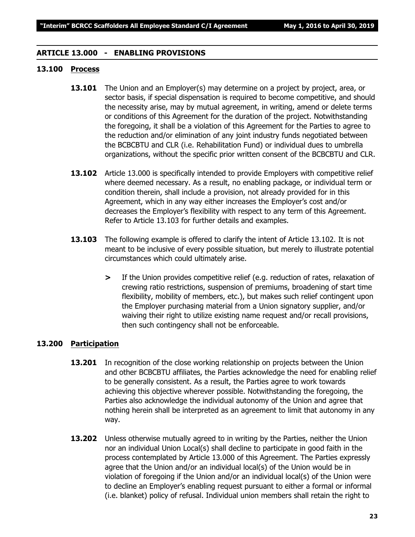### **ARTICLE 13.000 - ENABLING PROVISIONS**

# **13.100 Process**

- **13.101** The Union and an Employer(s) may determine on a project by project, area, or sector basis, if special dispensation is required to become competitive, and should the necessity arise, may by mutual agreement, in writing, amend or delete terms or conditions of this Agreement for the duration of the project. Notwithstanding the foregoing, it shall be a violation of this Agreement for the Parties to agree to the reduction and/or elimination of any joint industry funds negotiated between the BCBCBTU and CLR (i.e. Rehabilitation Fund) or individual dues to umbrella organizations, without the specific prior written consent of the BCBCBTU and CLR.
- **13.102** Article 13.000 is specifically intended to provide Employers with competitive relief where deemed necessary. As a result, no enabling package, or individual term or condition therein, shall include a provision, not already provided for in this Agreement, which in any way either increases the Employer's cost and/or decreases the Employer's flexibility with respect to any term of this Agreement. Refer to Article 13.103 for further details and examples.
- **13.103** The following example is offered to clarify the intent of Article 13.102. It is not meant to be inclusive of every possible situation, but merely to illustrate potential circumstances which could ultimately arise.
	- **>** If the Union provides competitive relief (e.g. reduction of rates, relaxation of crewing ratio restrictions, suspension of premiums, broadening of start time flexibility, mobility of members, etc.), but makes such relief contingent upon the Employer purchasing material from a Union signatory supplier, and/or waiving their right to utilize existing name request and/or recall provisions, then such contingency shall not be enforceable.

## **13.200 Participation**

- **13.201** In recognition of the close working relationship on projects between the Union and other BCBCBTU affiliates, the Parties acknowledge the need for enabling relief to be generally consistent. As a result, the Parties agree to work towards achieving this objective wherever possible. Notwithstanding the foregoing, the Parties also acknowledge the individual autonomy of the Union and agree that nothing herein shall be interpreted as an agreement to limit that autonomy in any way.
- **13.202** Unless otherwise mutually agreed to in writing by the Parties, neither the Union nor an individual Union Local(s) shall decline to participate in good faith in the process contemplated by Article 13.000 of this Agreement. The Parties expressly agree that the Union and/or an individual local(s) of the Union would be in violation of foregoing if the Union and/or an individual local(s) of the Union were to decline an Employer's enabling request pursuant to either a formal or informal (i.e. blanket) policy of refusal. Individual union members shall retain the right to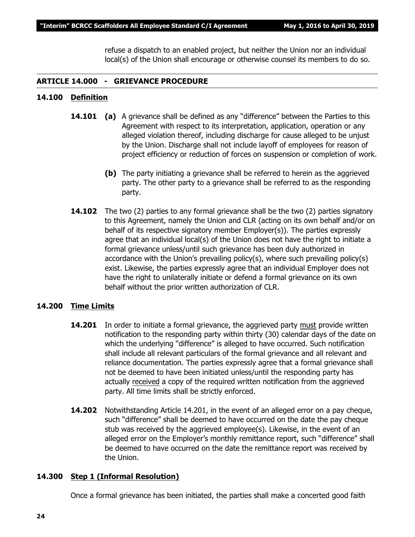refuse a dispatch to an enabled project, but neither the Union nor an individual local(s) of the Union shall encourage or otherwise counsel its members to do so.

# **ARTICLE 14.000 - GRIEVANCE PROCEDURE**

# **14.100 Definition**

- **14.101 (a)** A grievance shall be defined as any "difference" between the Parties to this Agreement with respect to its interpretation, application, operation or any alleged violation thereof, including discharge for cause alleged to be unjust by the Union. Discharge shall not include layoff of employees for reason of project efficiency or reduction of forces on suspension or completion of work.
	- **(b)** The party initiating a grievance shall be referred to herein as the aggrieved party. The other party to a grievance shall be referred to as the responding party.
- **14.102** The two (2) parties to any formal grievance shall be the two (2) parties signatory to this Agreement, namely the Union and CLR (acting on its own behalf and/or on behalf of its respective signatory member Employer(s)). The parties expressly agree that an individual local(s) of the Union does not have the right to initiate a formal grievance unless/until such grievance has been duly authorized in accordance with the Union's prevailing policy(s), where such prevailing policy(s) exist. Likewise, the parties expressly agree that an individual Employer does not have the right to unilaterally initiate or defend a formal grievance on its own behalf without the prior written authorization of CLR.

# **14.200 Time Limits**

- **14.201** In order to initiate a formal grievance, the aggrieved party must provide written notification to the responding party within thirty (30) calendar days of the date on which the underlying "difference" is alleged to have occurred. Such notification shall include all relevant particulars of the formal grievance and all relevant and reliance documentation. The parties expressly agree that a formal grievance shall not be deemed to have been initiated unless/until the responding party has actually received a copy of the required written notification from the aggrieved party. All time limits shall be strictly enforced.
- **14.202** Notwithstanding Article 14.201, in the event of an alleged error on a pay cheque, such "difference" shall be deemed to have occurred on the date the pay cheque stub was received by the aggrieved employee(s). Likewise, in the event of an alleged error on the Employer's monthly remittance report, such "difference" shall be deemed to have occurred on the date the remittance report was received by the Union.

### **14.300 Step 1 (Informal Resolution)**

Once a formal grievance has been initiated, the parties shall make a concerted good faith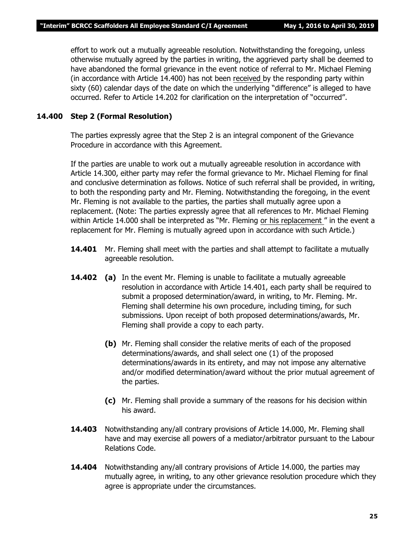effort to work out a mutually agreeable resolution. Notwithstanding the foregoing, unless otherwise mutually agreed by the parties in writing, the aggrieved party shall be deemed to have abandoned the formal grievance in the event notice of referral to Mr. Michael Fleming (in accordance with Article 14.400) has not been received by the responding party within sixty (60) calendar days of the date on which the underlying "difference" is alleged to have occurred. Refer to Article 14.202 for clarification on the interpretation of "occurred".

# **14.400 Step 2 (Formal Resolution)**

The parties expressly agree that the Step 2 is an integral component of the Grievance Procedure in accordance with this Agreement.

If the parties are unable to work out a mutually agreeable resolution in accordance with Article 14.300, either party may refer the formal grievance to Mr. Michael Fleming for final and conclusive determination as follows. Notice of such referral shall be provided, in writing, to both the responding party and Mr. Fleming. Notwithstanding the foregoing, in the event Mr. Fleming is not available to the parties, the parties shall mutually agree upon a replacement. (Note: The parties expressly agree that all references to Mr. Michael Fleming within Article 14.000 shall be interpreted as *"Mr. Fleming or his replacement "* in the event a replacement for Mr. Fleming is mutually agreed upon in accordance with such Article.)

- **14.401** Mr. Fleming shall meet with the parties and shall attempt to facilitate a mutually agreeable resolution.
- **14.402 (a)** In the event Mr. Fleming is unable to facilitate a mutually agreeable resolution in accordance with Article 14.401, each party shall be required to submit a proposed determination/award, in writing, to Mr. Fleming. Mr. Fleming shall determine his own procedure, including timing, for such submissions. Upon receipt of both proposed determinations/awards, Mr. Fleming shall provide a copy to each party.
	- **(b)** Mr. Fleming shall consider the relative merits of each of the proposed determinations/awards, and shall select one (1) of the proposed determinations/awards in its entirety, and may not impose any alternative and/or modified determination/award without the prior mutual agreement of the parties.
	- **(c)** Mr. Fleming shall provide a summary of the reasons for his decision within his award.
- **14.403** Notwithstanding any/all contrary provisions of Article 14.000, Mr. Fleming shall have and may exercise all powers of a mediator/arbitrator pursuant to the *Labour Relations Code.*
- **14.404** Notwithstanding any/all contrary provisions of Article 14.000, the parties may mutually agree, in writing, to any other grievance resolution procedure which they agree is appropriate under the circumstances.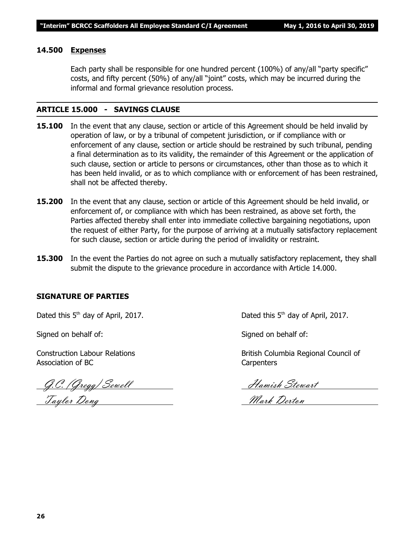### **14.500 Expenses**

Each party shall be responsible for one hundred percent (100%) of any/all "party specific" costs, and fifty percent (50%) of any/all "joint" costs, which may be incurred during the informal and formal grievance resolution process.

### **ARTICLE 15.000 - SAVINGS CLAUSE**

- **15.100** In the event that any clause, section or article of this Agreement should be held invalid by operation of law, or by a tribunal of competent jurisdiction, or if compliance with or enforcement of any clause, section or article should be restrained by such tribunal, pending a final determination as to its validity, the remainder of this Agreement or the application of such clause, section or article to persons or circumstances, other than those as to which it has been held invalid, or as to which compliance with or enforcement of has been restrained, shall not be affected thereby.
- **15.200** In the event that any clause, section or article of this Agreement should be held invalid, or enforcement of, or compliance with which has been restrained, as above set forth, the Parties affected thereby shall enter into immediate collective bargaining negotiations, upon the request of either Party, for the purpose of arriving at a mutually satisfactory replacement for such clause, section or article during the period of invalidity or restraint.
- **15.300** In the event the Parties do not agree on such a mutually satisfactory replacement, they shall submit the dispute to the grievance procedure in accordance with Article 14.000.

### **SIGNATURE OF PARTIES**

Signed on behalf of: Signed on behalf of:

Association of BC Carpenters

G.C. (Gregg) Sewell Hamish Stewart Taylor Dong Nark Derton

Dated this  $5<sup>th</sup>$  day of April, 2017. Dated this  $5<sup>th</sup>$  day of April, 2017.

Construction Labour Relations **British Columbia Regional Council of**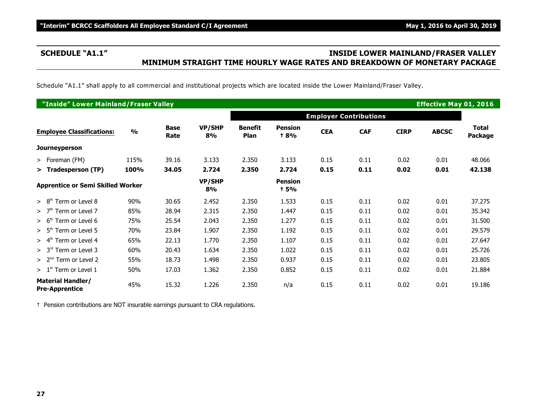# **SCHEDULE "A1.1" INSIDE LOWER MAINLAND/FRASER VALLEY MINIMUM STRAIGHT TIME HOURLY WAGE RATES AND BREAKDOWN OF MONETARY PACKAGE**

Schedule "A1.1" shall apply to all commercial and institutional projects which are located inside the Lower Mainland/Fraser Valley.

| "Inside" Lower Mainland/Fraser Valley<br><b>Effective May 01, 2016</b> |               |                     |                     |                               |                               |            |            |             |              |                         |
|------------------------------------------------------------------------|---------------|---------------------|---------------------|-------------------------------|-------------------------------|------------|------------|-------------|--------------|-------------------------|
|                                                                        |               |                     |                     |                               | <b>Employer Contributions</b> |            |            |             |              |                         |
| <b>Employee Classifications:</b>                                       | $\frac{0}{0}$ | <b>Base</b><br>Rate | <b>VP/SHP</b><br>8% | <b>Benefit</b><br><b>Plan</b> | <b>Pension</b><br><b>+8%</b>  | <b>CEA</b> | <b>CAF</b> | <b>CIRP</b> | <b>ABCSC</b> | Total<br><b>Package</b> |
| <b>Journeyperson</b>                                                   |               |                     |                     |                               |                               |            |            |             |              |                         |
| > Foreman (FM)                                                         | 115%          | 39.16               | 3.133               | 2.350                         | 3.133                         | 0.15       | 0.11       | 0.02        | 0.01         | 48.066                  |
| > Tradesperson (TP)                                                    | 100%          | 34.05               | 2.724               | 2.350                         | 2.724                         | 0.15       | 0.11       | 0.02        | 0.01         | 42.138                  |
| <b>Apprentice or Semi Skilled Worker</b>                               |               |                     | VP/SHP<br>8%        |                               | <b>Pension</b><br>† 5%        |            |            |             |              |                         |
| Term or Level 8<br>> 8 <sup>th</sup>                                   | 90%           | 30.65               | 2.452               | 2.350                         | 1.533                         | 0.15       | 0.11       | 0.02        | 0.01         | 37.275                  |
| >7 <sup>th</sup><br>Term or Level 7                                    | 85%           | 28.94               | 2.315               | 2.350                         | 1.447                         | 0.15       | 0.11       | 0.02        | 0.01         | 35.342                  |
| $> 6th$ Term or Level 6                                                | 75%           | 25.54               | 2.043               | 2.350                         | 1.277                         | 0.15       | 0.11       | 0.02        | 0.01         | 31.500                  |
| Term or Level 5<br>> 5 <sup>th</sup>                                   | 70%           | 23.84               | 1.907               | 2.350                         | 1.192                         | 0.15       | 0.11       | 0.02        | 0.01         | 29.579                  |
| Term or Level 4<br>> 4 <sup>th</sup>                                   | 65%           | 22.13               | 1.770               | 2.350                         | 1.107                         | 0.15       | 0.11       | 0.02        | 0.01         | 27.647                  |
| $> 3rd$ Term or Level 3                                                | 60%           | 20.43               | 1.634               | 2.350                         | 1.022                         | 0.15       | 0.11       | 0.02        | 0.01         | 25.726                  |
| $> 2nd$ Term or Level 2                                                | 55%           | 18.73               | 1.498               | 2.350                         | 0.937                         | 0.15       | 0.11       | 0.02        | 0.01         | 23.805                  |
| $>1st$ Term or Level 1                                                 | 50%           | 17.03               | 1.362               | 2.350                         | 0.852                         | 0.15       | 0.11       | 0.02        | 0.01         | 21.884                  |
| <b>Material Handler/</b><br><b>Pre-Apprentice</b>                      | 45%           | 15.32               | 1.226               | 2.350                         | n/a                           | 0.15       | 0.11       | 0.02        | 0.01         | 19.186                  |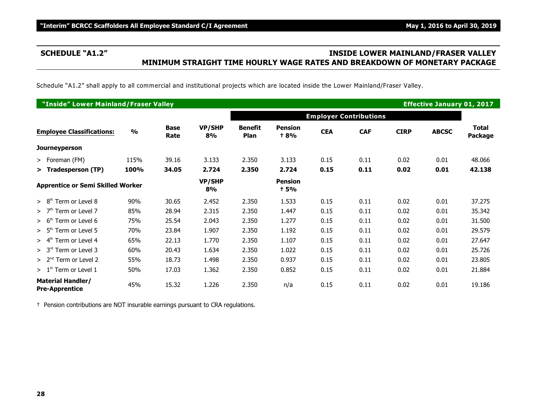# **SCHEDULE "A1.2" INSIDE LOWER MAINLAND/FRASER VALLEY MINIMUM STRAIGHT TIME HOURLY WAGE RATES AND BREAKDOWN OF MONETARY PACKAGE**

Schedule "A1.2" shall apply to all commercial and institutional projects which are located inside the Lower Mainland/Fraser Valley.

| "Inside" Lower Mainland/Fraser Valley<br><b>Effective January 01, 2017</b> |               |                     |                     |                        |                               |            |            |             |              |                         |
|----------------------------------------------------------------------------|---------------|---------------------|---------------------|------------------------|-------------------------------|------------|------------|-------------|--------------|-------------------------|
|                                                                            |               |                     |                     |                        | <b>Employer Contributions</b> |            |            |             |              |                         |
| <b>Employee Classifications:</b>                                           | $\frac{0}{0}$ | <b>Base</b><br>Rate | <b>VP/SHP</b><br>8% | <b>Benefit</b><br>Plan | <b>Pension</b><br>+ 8%        | <b>CEA</b> | <b>CAF</b> | <b>CIRP</b> | <b>ABCSC</b> | <b>Total</b><br>Package |
| Journeyperson                                                              |               |                     |                     |                        |                               |            |            |             |              |                         |
| > Foreman (FM)                                                             | 115%          | 39.16               | 3.133               | 2.350                  | 3.133                         | 0.15       | 0.11       | 0.02        | 0.01         | 48.066                  |
| > Tradesperson (TP)                                                        | 100%          | 34.05               | 2.724               | 2.350                  | 2.724                         | 0.15       | 0.11       | 0.02        | 0.01         | 42.138                  |
| <b>Apprentice or Semi Skilled Worker</b>                                   |               |                     | VP/SHP<br>8%        |                        | <b>Pension</b><br><b>t</b> 5% |            |            |             |              |                         |
| Term or Level 8<br>> 8 <sup>th</sup>                                       | 90%           | 30.65               | 2.452               | 2.350                  | 1.533                         | 0.15       | 0.11       | 0.02        | 0.01         | 37.275                  |
| Term or Level 7<br>>7 <sup>th</sup>                                        | 85%           | 28.94               | 2.315               | 2.350                  | 1.447                         | 0.15       | 0.11       | 0.02        | 0.01         | 35.342                  |
| Term or Level 6<br>> 6 <sup>th</sup>                                       | 75%           | 25.54               | 2.043               | 2.350                  | 1.277                         | 0.15       | 0.11       | 0.02        | 0.01         | 31.500                  |
| $> 5th$ Term or Level 5                                                    | 70%           | 23.84               | 1.907               | 2.350                  | 1.192                         | 0.15       | 0.11       | 0.02        | 0.01         | 29.579                  |
| Term or Level 4<br>$> 4^m$                                                 | 65%           | 22.13               | 1.770               | 2.350                  | 1.107                         | 0.15       | 0.11       | 0.02        | 0.01         | 27.647                  |
| $> 3rd$ Term or Level 3                                                    | 60%           | 20.43               | 1.634               | 2.350                  | 1.022                         | 0.15       | 0.11       | 0.02        | 0.01         | 25.726                  |
| $> 2nd$ Term or Level 2                                                    | 55%           | 18.73               | 1.498               | 2.350                  | 0.937                         | 0.15       | 0.11       | 0.02        | 0.01         | 23.805                  |
| $> 1st$ Term or Level 1                                                    | 50%           | 17.03               | 1.362               | 2.350                  | 0.852                         | 0.15       | 0.11       | 0.02        | 0.01         | 21.884                  |
| <b>Material Handler/</b><br><b>Pre-Apprentice</b>                          | 45%           | 15.32               | 1.226               | 2.350                  | n/a                           | 0.15       | 0.11       | 0.02        | 0.01         | 19.186                  |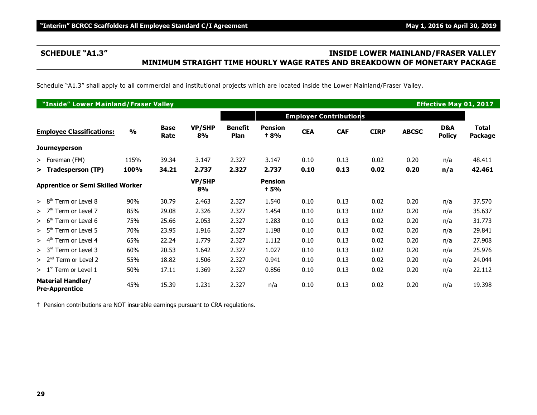# **SCHEDULE "A1.3" INSIDE LOWER MAINLAND/FRASER VALLEY MINIMUM STRAIGHT TIME HOURLY WAGE RATES AND BREAKDOWN OF MONETARY PACKAGE**

Schedule "A1.3" shall apply to all commercial and institutional projects which are located inside the Lower Mainland/Fraser Valley.

| "Inside" Lower Mainland/Fraser Valley<br><b>Effective May 01, 2017</b> |               |                     |                     |                               |                               |            |            |             |              |                      |                                |
|------------------------------------------------------------------------|---------------|---------------------|---------------------|-------------------------------|-------------------------------|------------|------------|-------------|--------------|----------------------|--------------------------------|
|                                                                        |               |                     |                     | <b>Employer Contributions</b> |                               |            |            |             |              |                      |                                |
| <b>Employee Classifications:</b>                                       | $\frac{0}{0}$ | <b>Base</b><br>Rate | <b>VP/SHP</b><br>8% | <b>Benefit</b><br>Plan        | <b>Pension</b><br><b>t 8%</b> | <b>CEA</b> | <b>CAF</b> | <b>CIRP</b> | <b>ABCSC</b> | D&A<br><b>Policy</b> | <b>Total</b><br><b>Package</b> |
| <b>Journeyperson</b>                                                   |               |                     |                     |                               |                               |            |            |             |              |                      |                                |
| $>$ Foreman (FM)                                                       | 115%          | 39.34               | 3.147               | 2.327                         | 3.147                         | 0.10       | 0.13       | 0.02        | 0.20         | n/a                  | 48.411                         |
| > Tradesperson (TP)                                                    | 100%          | 34.21               | 2.737               | 2.327                         | 2.737                         | 0.10       | 0.13       | 0.02        | 0.20         | n/a                  | 42.461                         |
| <b>Apprentice or Semi Skilled Worker</b>                               |               |                     | <b>VP/SHP</b><br>8% |                               | <b>Pension</b><br><b>t 5%</b> |            |            |             |              |                      |                                |
| > 8 <sup>th</sup><br>Term or Level 8                                   | 90%           | 30.79               | 2.463               | 2.327                         | 1.540                         | 0.10       | 0.13       | 0.02        | 0.20         | n/a                  | 37.570                         |
| Term or Level 7<br>>7 <sup>th</sup>                                    | 85%           | 29.08               | 2.326               | 2.327                         | 1.454                         | 0.10       | 0.13       | 0.02        | 0.20         | n/a                  | 35.637                         |
| Term or Level 6<br>> 6 <sup>th</sup>                                   | 75%           | 25.66               | 2.053               | 2.327                         | 1.283                         | 0.10       | 0.13       | 0.02        | 0.20         | n/a                  | 31.773                         |
| $> 5th$ Term or Level 5                                                | 70%           | 23.95               | 1.916               | 2.327                         | 1.198                         | 0.10       | 0.13       | 0.02        | 0.20         | n/a                  | 29.841                         |
| Term or Level 4<br>> 4 <sup>th</sup>                                   | 65%           | 22.24               | 1.779               | 2.327                         | 1.112                         | 0.10       | 0.13       | 0.02        | 0.20         | n/a                  | 27.908                         |
| Term or Level 3<br>> 3 <sup>rd</sup>                                   | 60%           | 20.53               | 1.642               | 2.327                         | 1.027                         | 0.10       | 0.13       | 0.02        | 0.20         | n/a                  | 25.976                         |
| $> 2nd$ Term or Level 2                                                | 55%           | 18.82               | 1.506               | 2.327                         | 0.941                         | 0.10       | 0.13       | 0.02        | 0.20         | n/a                  | 24.044                         |
| $> 1st$ Term or Level 1                                                | 50%           | 17.11               | 1.369               | 2.327                         | 0.856                         | 0.10       | 0.13       | 0.02        | 0.20         | n/a                  | 22.112                         |
| <b>Material Handler/</b><br><b>Pre-Apprentice</b>                      | 45%           | 15.39               | 1.231               | 2.327                         | n/a                           | 0.10       | 0.13       | 0.02        | 0.20         | n/a                  | 19.398                         |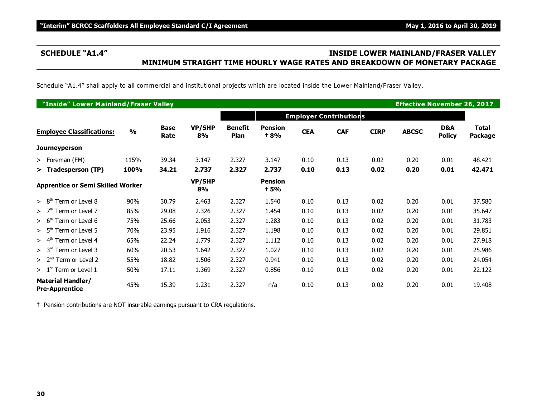# **SCHEDULE "A1.4" INSIDE LOWER MAINLAND/FRASER VALLEY MINIMUM STRAIGHT TIME HOURLY WAGE RATES AND BREAKDOWN OF MONETARY PACKAGE**

Schedule "A1.4" shall apply to all commercial and institutional projects which are located inside the Lower Mainland/Fraser Valley.

| "Inside" Lower Mainland/Fraser Valley             |               |                     |                     |                        |                               |            |                               |             | <b>Effective November 26, 2017</b> |                      |                                |
|---------------------------------------------------|---------------|---------------------|---------------------|------------------------|-------------------------------|------------|-------------------------------|-------------|------------------------------------|----------------------|--------------------------------|
|                                                   |               |                     |                     |                        |                               |            | <b>Employer Contributions</b> |             |                                    |                      |                                |
| <b>Employee Classifications:</b>                  | $\frac{0}{0}$ | <b>Base</b><br>Rate | <b>VP/SHP</b><br>8% | <b>Benefit</b><br>Plan | <b>Pension</b><br><b>t 8%</b> | <b>CEA</b> | <b>CAF</b>                    | <b>CIRP</b> | <b>ABCSC</b>                       | D&A<br><b>Policy</b> | <b>Total</b><br><b>Package</b> |
| <b>Journeyperson</b>                              |               |                     |                     |                        |                               |            |                               |             |                                    |                      |                                |
| > Foreman (FM)                                    | 115%          | 39.34               | 3.147               | 2.327                  | 3.147                         | 0.10       | 0.13                          | 0.02        | 0.20                               | 0.01                 | 48.421                         |
| > Tradesperson (TP)                               | 100%          | 34.21               | 2.737               | 2.327                  | 2.737                         | 0.10       | 0.13                          | 0.02        | 0.20                               | 0.01                 | 42.471                         |
| <b>Apprentice or Semi Skilled Worker</b>          |               |                     | <b>VP/SHP</b><br>8% |                        | <b>Pension</b><br><b>t</b> 5% |            |                               |             |                                    |                      |                                |
| > 8 <sup>th</sup><br>Term or Level 8              | 90%           | 30.79               | 2.463               | 2.327                  | 1.540                         | 0.10       | 0.13                          | 0.02        | 0.20                               | 0.01                 | 37.580                         |
| > 7 <sup>th</sup><br>Term or Level 7              | 85%           | 29.08               | 2.326               | 2.327                  | 1.454                         | 0.10       | 0.13                          | 0.02        | 0.20                               | 0.01                 | 35.647                         |
| Term or Level 6<br>> 6 <sup>th</sup>              | 75%           | 25.66               | 2.053               | 2.327                  | 1.283                         | 0.10       | 0.13                          | 0.02        | 0.20                               | 0.01                 | 31.783                         |
| $> 5th$ Term or Level 5                           | 70%           | 23.95               | 1.916               | 2.327                  | 1.198                         | 0.10       | 0.13                          | 0.02        | 0.20                               | 0.01                 | 29.851                         |
| Term or Level 4<br>> 4 <sup>th</sup>              | 65%           | 22.24               | 1.779               | 2.327                  | 1.112                         | 0.10       | 0.13                          | 0.02        | 0.20                               | 0.01                 | 27.918                         |
| > 3 <sup>rd</sup><br>Term or Level 3              | 60%           | 20.53               | 1.642               | 2.327                  | 1.027                         | 0.10       | 0.13                          | 0.02        | 0.20                               | 0.01                 | 25.986                         |
| $> 2nd$ Term or Level 2                           | 55%           | 18.82               | 1.506               | 2.327                  | 0.941                         | 0.10       | 0.13                          | 0.02        | 0.20                               | 0.01                 | 24.054                         |
| $> 1st$ Term or Level 1                           | 50%           | 17.11               | 1.369               | 2.327                  | 0.856                         | 0.10       | 0.13                          | 0.02        | 0.20                               | 0.01                 | 22.122                         |
| <b>Material Handler/</b><br><b>Pre-Apprentice</b> | 45%           | 15.39               | 1.231               | 2.327                  | n/a                           | 0.10       | 0.13                          | 0.02        | 0.20                               | 0.01                 | 19.408                         |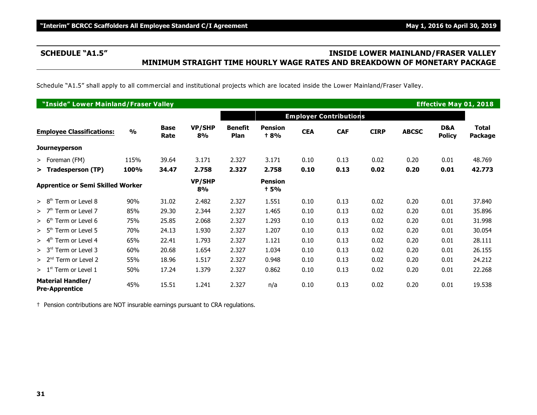# **SCHEDULE "A1.5" INSIDE LOWER MAINLAND/FRASER VALLEY MINIMUM STRAIGHT TIME HOURLY WAGE RATES AND BREAKDOWN OF MONETARY PACKAGE**

Schedule "A1.5" shall apply to all commercial and institutional projects which are located inside the Lower Mainland/Fraser Valley.

|                                                   | "Inside" Lower Mainland/Fraser Valley<br><b>Effective May 01, 2018</b> |                     |                     |                        |                               |            |                               |             |              |                      |                                |  |
|---------------------------------------------------|------------------------------------------------------------------------|---------------------|---------------------|------------------------|-------------------------------|------------|-------------------------------|-------------|--------------|----------------------|--------------------------------|--|
|                                                   |                                                                        |                     |                     |                        |                               |            | <b>Employer Contributions</b> |             |              |                      |                                |  |
| <b>Employee Classifications:</b>                  | $\frac{0}{0}$                                                          | <b>Base</b><br>Rate | <b>VP/SHP</b><br>8% | <b>Benefit</b><br>Plan | <b>Pension</b><br><b>t 8%</b> | <b>CEA</b> | <b>CAF</b>                    | <b>CIRP</b> | <b>ABCSC</b> | D&A<br><b>Policy</b> | <b>Total</b><br><b>Package</b> |  |
| <b>Journeyperson</b>                              |                                                                        |                     |                     |                        |                               |            |                               |             |              |                      |                                |  |
| $>$ Foreman (FM)                                  | 115%                                                                   | 39.64               | 3.171               | 2.327                  | 3.171                         | 0.10       | 0.13                          | 0.02        | 0.20         | 0.01                 | 48.769                         |  |
| > Tradesperson (TP)                               | 100%                                                                   | 34.47               | 2.758               | 2.327                  | 2.758                         | 0.10       | 0.13                          | 0.02        | 0.20         | 0.01                 | 42.773                         |  |
| <b>Apprentice or Semi Skilled Worker</b>          |                                                                        |                     | <b>VP/SHP</b><br>8% |                        | <b>Pension</b><br><b>t 5%</b> |            |                               |             |              |                      |                                |  |
| > 8 <sup>th</sup><br>Term or Level 8              | 90%                                                                    | 31.02               | 2.482               | 2.327                  | 1.551                         | 0.10       | 0.13                          | 0.02        | 0.20         | 0.01                 | 37.840                         |  |
| Term or Level 7<br>>7 <sup>th</sup>               | 85%                                                                    | 29.30               | 2.344               | 2.327                  | 1.465                         | 0.10       | 0.13                          | 0.02        | 0.20         | 0.01                 | 35.896                         |  |
| Term or Level 6<br>> 6 <sup>th</sup>              | 75%                                                                    | 25.85               | 2.068               | 2.327                  | 1.293                         | 0.10       | 0.13                          | 0.02        | 0.20         | 0.01                 | 31.998                         |  |
| $> 5th$ Term or Level 5                           | 70%                                                                    | 24.13               | 1.930               | 2.327                  | 1.207                         | 0.10       | 0.13                          | 0.02        | 0.20         | 0.01                 | 30.054                         |  |
| Term or Level 4<br>> 4 <sup>th</sup>              | 65%                                                                    | 22.41               | 1.793               | 2.327                  | 1.121                         | 0.10       | 0.13                          | 0.02        | 0.20         | 0.01                 | 28.111                         |  |
| Term or Level 3<br>> 3 <sup>rd</sup>              | 60%                                                                    | 20.68               | 1.654               | 2.327                  | 1.034                         | 0.10       | 0.13                          | 0.02        | 0.20         | 0.01                 | 26.155                         |  |
| $> 2nd$ Term or Level 2                           | 55%                                                                    | 18.96               | 1.517               | 2.327                  | 0.948                         | 0.10       | 0.13                          | 0.02        | 0.20         | 0.01                 | 24.212                         |  |
| $> 1st$ Term or Level 1                           | 50%                                                                    | 17.24               | 1.379               | 2.327                  | 0.862                         | 0.10       | 0.13                          | 0.02        | 0.20         | 0.01                 | 22.268                         |  |
| <b>Material Handler/</b><br><b>Pre-Apprentice</b> | 45%                                                                    | 15.51               | 1.241               | 2.327                  | n/a                           | 0.10       | 0.13                          | 0.02        | 0.20         | 0.01                 | 19.538                         |  |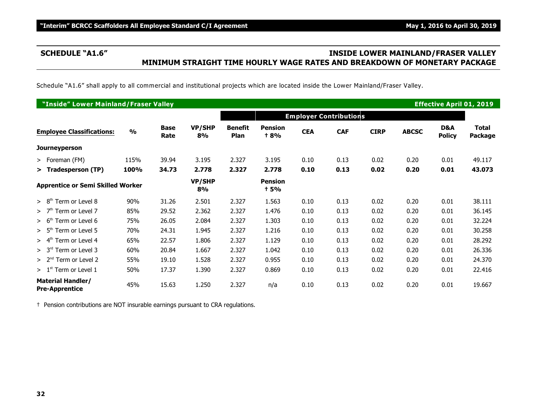# **SCHEDULE "A1.6" INSIDE LOWER MAINLAND/FRASER VALLEY MINIMUM STRAIGHT TIME HOURLY WAGE RATES AND BREAKDOWN OF MONETARY PACKAGE**

Schedule "A1.6" shall apply to all commercial and institutional projects which are located inside the Lower Mainland/Fraser Valley.

|                                                   | "Inside" Lower Mainland/Fraser Valley<br><b>Effective April 01, 2019</b> |                     |                     |                        |                               |            |                               |             |              |                      |                  |  |
|---------------------------------------------------|--------------------------------------------------------------------------|---------------------|---------------------|------------------------|-------------------------------|------------|-------------------------------|-------------|--------------|----------------------|------------------|--|
|                                                   |                                                                          |                     |                     |                        |                               |            | <b>Employer Contributions</b> |             |              |                      |                  |  |
| <b>Employee Classifications:</b>                  | $\frac{0}{0}$                                                            | <b>Base</b><br>Rate | <b>VP/SHP</b><br>8% | <b>Benefit</b><br>Plan | <b>Pension</b><br><b>+8%</b>  | <b>CEA</b> | <b>CAF</b>                    | <b>CIRP</b> | <b>ABCSC</b> | D&A<br><b>Policy</b> | Total<br>Package |  |
| <b>Journeyperson</b>                              |                                                                          |                     |                     |                        |                               |            |                               |             |              |                      |                  |  |
| $>$ Foreman (FM)                                  | 115%                                                                     | 39.94               | 3.195               | 2.327                  | 3.195                         | 0.10       | 0.13                          | 0.02        | 0.20         | 0.01                 | 49.117           |  |
| > Tradesperson (TP)                               | 100%                                                                     | 34.73               | 2.778               | 2.327                  | 2.778                         | 0.10       | 0.13                          | 0.02        | 0.20         | 0.01                 | 43.073           |  |
| <b>Apprentice or Semi Skilled Worker</b>          |                                                                          |                     | <b>VP/SHP</b><br>8% |                        | <b>Pension</b><br><b>t 5%</b> |            |                               |             |              |                      |                  |  |
| Term or Level 8<br>> 8 <sup>th</sup>              | 90%                                                                      | 31.26               | 2.501               | 2.327                  | 1.563                         | 0.10       | 0.13                          | 0.02        | 0.20         | 0.01                 | 38.111           |  |
| Term or Level 7<br>>7 <sup>th</sup>               | 85%                                                                      | 29.52               | 2.362               | 2.327                  | 1.476                         | 0.10       | 0.13                          | 0.02        | 0.20         | 0.01                 | 36.145           |  |
| Term or Level 6<br>> 6 <sup>th</sup>              | 75%                                                                      | 26.05               | 2.084               | 2.327                  | 1.303                         | 0.10       | 0.13                          | 0.02        | 0.20         | 0.01                 | 32.224           |  |
| $> 5th$ Term or Level 5                           | 70%                                                                      | 24.31               | 1.945               | 2.327                  | 1.216                         | 0.10       | 0.13                          | 0.02        | 0.20         | 0.01                 | 30.258           |  |
| Term or Level 4<br>$> 4^m$                        | 65%                                                                      | 22.57               | 1.806               | 2.327                  | 1.129                         | 0.10       | 0.13                          | 0.02        | 0.20         | 0.01                 | 28.292           |  |
| Term or Level 3<br>> 3 <sup>rd</sup>              | 60%                                                                      | 20.84               | 1.667               | 2.327                  | 1.042                         | 0.10       | 0.13                          | 0.02        | 0.20         | 0.01                 | 26.336           |  |
| $> 2nd$ Term or Level 2                           | 55%                                                                      | 19.10               | 1.528               | 2.327                  | 0.955                         | 0.10       | 0.13                          | 0.02        | 0.20         | 0.01                 | 24.370           |  |
| $> 1st$ Term or Level 1                           | 50%                                                                      | 17.37               | 1.390               | 2.327                  | 0.869                         | 0.10       | 0.13                          | 0.02        | 0.20         | 0.01                 | 22.416           |  |
| <b>Material Handler/</b><br><b>Pre-Apprentice</b> | 45%                                                                      | 15.63               | 1.250               | 2.327                  | n/a                           | 0.10       | 0.13                          | 0.02        | 0.20         | 0.01                 | 19.667           |  |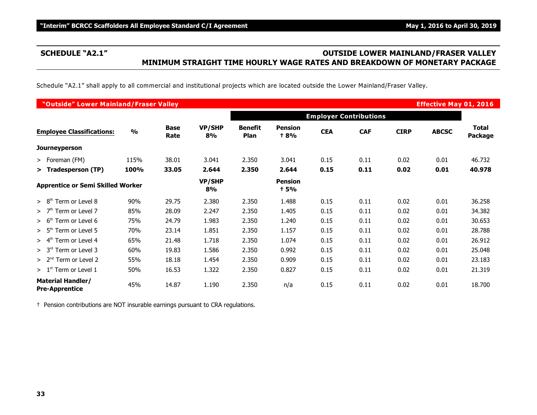# **SCHEDULE "A2.1" OUTSIDE LOWER MAINLAND/FRASER VALLEY MINIMUM STRAIGHT TIME HOURLY WAGE RATES AND BREAKDOWN OF MONETARY PACKAGE**

Schedule "A2.1" shall apply to all commercial and institutional projects which are located outside the Lower Mainland/Fraser Valley.

| "Outside" Lower Mainland/Fraser Valley<br><b>Effective May 01, 2016</b> |               |                     |              |                               |                        |            |                               |             |              |                         |  |
|-------------------------------------------------------------------------|---------------|---------------------|--------------|-------------------------------|------------------------|------------|-------------------------------|-------------|--------------|-------------------------|--|
|                                                                         |               |                     |              |                               |                        |            | <b>Employer Contributions</b> |             |              |                         |  |
| <b>Employee Classifications:</b>                                        | $\frac{0}{0}$ | <b>Base</b><br>Rate | VP/SHP<br>8% | <b>Benefit</b><br><b>Plan</b> | <b>Pension</b><br>+ 8% | <b>CEA</b> | <b>CAF</b>                    | <b>CIRP</b> | <b>ABCSC</b> | Total<br><b>Package</b> |  |
| <b>Journeyperson</b>                                                    |               |                     |              |                               |                        |            |                               |             |              |                         |  |
| $>$ Foreman (FM)                                                        | 115%          | 38.01               | 3.041        | 2.350                         | 3.041                  | 0.15       | 0.11                          | 0.02        | 0.01         | 46.732                  |  |
| > Tradesperson (TP)                                                     | 100%          | 33.05               | 2.644        | 2.350                         | 2.644                  | 0.15       | 0.11                          | 0.02        | 0.01         | 40.978                  |  |
| <b>Apprentice or Semi Skilled Worker</b>                                |               |                     | VP/SHP<br>8% |                               | <b>Pension</b><br>† 5% |            |                               |             |              |                         |  |
| Term or Level 8<br>> 8 <sup>th</sup>                                    | 90%           | 29.75               | 2.380        | 2.350                         | 1.488                  | 0.15       | 0.11                          | 0.02        | 0.01         | 36.258                  |  |
| >7 <sup>th</sup><br>Term or Level 7                                     | 85%           | 28.09               | 2.247        | 2.350                         | 1.405                  | 0.15       | 0.11                          | 0.02        | 0.01         | 34.382                  |  |
| Term or Level 6<br>> 6 <sup>th</sup>                                    | 75%           | 24.79               | 1.983        | 2.350                         | 1.240                  | 0.15       | 0.11                          | 0.02        | 0.01         | 30.653                  |  |
| Term or Level 5<br>> 5 <sup>m</sup>                                     | 70%           | 23.14               | 1.851        | 2.350                         | 1.157                  | 0.15       | 0.11                          | 0.02        | 0.01         | 28.788                  |  |
| > 4 <sup>th</sup><br>Term or Level 4                                    | 65%           | 21.48               | 1.718        | 2.350                         | 1.074                  | 0.15       | 0.11                          | 0.02        | 0.01         | 26.912                  |  |
| Term or Level 3<br>> 3 <sup>rd</sup>                                    | 60%           | 19.83               | 1.586        | 2.350                         | 0.992                  | 0.15       | 0.11                          | 0.02        | 0.01         | 25.048                  |  |
| $> 2nd$ Term or Level 2                                                 | 55%           | 18.18               | 1.454        | 2.350                         | 0.909                  | 0.15       | 0.11                          | 0.02        | 0.01         | 23.183                  |  |
| $> 1st$ Term or Level 1                                                 | 50%           | 16.53               | 1.322        | 2.350                         | 0.827                  | 0.15       | 0.11                          | 0.02        | 0.01         | 21.319                  |  |
| <b>Material Handler/</b><br><b>Pre-Apprentice</b>                       | 45%           | 14.87               | 1.190        | 2.350                         | n/a                    | 0.15       | 0.11                          | 0.02        | 0.01         | 18.700                  |  |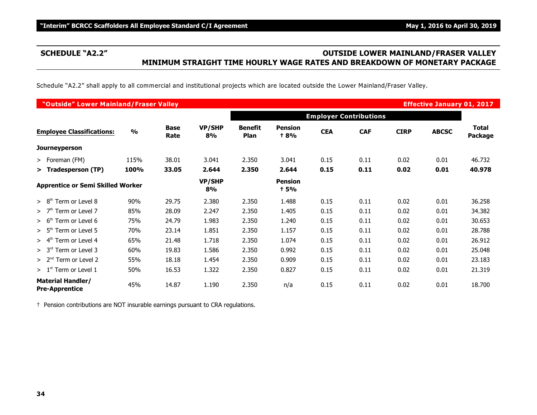# **SCHEDULE "A2.2" OUTSIDE LOWER MAINLAND/FRASER VALLEY MINIMUM STRAIGHT TIME HOURLY WAGE RATES AND BREAKDOWN OF MONETARY PACKAGE**

Schedule "A2.2" shall apply to all commercial and institutional projects which are located outside the Lower Mainland/Fraser Valley.

| "Outside" Lower Mainland/Fraser Valley<br><b>Effective January 01, 2017</b> |               |                     |                     |                        |                              |            |                               |             |              |                  |  |
|-----------------------------------------------------------------------------|---------------|---------------------|---------------------|------------------------|------------------------------|------------|-------------------------------|-------------|--------------|------------------|--|
|                                                                             |               |                     |                     |                        |                              |            | <b>Employer Contributions</b> |             |              |                  |  |
| <b>Employee Classifications:</b>                                            | $\frac{0}{0}$ | <b>Base</b><br>Rate | <b>VP/SHP</b><br>8% | <b>Benefit</b><br>Plan | <b>Pension</b><br><b>+8%</b> | <b>CEA</b> | <b>CAF</b>                    | <b>CIRP</b> | <b>ABCSC</b> | Total<br>Package |  |
| <b>Journeyperson</b>                                                        |               |                     |                     |                        |                              |            |                               |             |              |                  |  |
| $>$ Foreman (FM)                                                            | 115%          | 38.01               | 3.041               | 2.350                  | 3.041                        | 0.15       | 0.11                          | 0.02        | 0.01         | 46.732           |  |
| > Tradesperson (TP)                                                         | 100%          | 33.05               | 2.644               | 2.350                  | 2.644                        | 0.15       | 0.11                          | 0.02        | 0.01         | 40.978           |  |
| <b>Apprentice or Semi Skilled Worker</b>                                    |               |                     | <b>VP/SHP</b><br>8% |                        | <b>Pension</b><br>† 5%       |            |                               |             |              |                  |  |
| Term or Level 8<br>> 8 <sup>th</sup>                                        | 90%           | 29.75               | 2.380               | 2.350                  | 1.488                        | 0.15       | 0.11                          | 0.02        | 0.01         | 36.258           |  |
| Term or Level 7<br>>7 <sup>th</sup>                                         | 85%           | 28.09               | 2.247               | 2.350                  | 1.405                        | 0.15       | 0.11                          | 0.02        | 0.01         | 34.382           |  |
| Term or Level 6<br>> 6 <sup>th</sup>                                        | 75%           | 24.79               | 1.983               | 2.350                  | 1.240                        | 0.15       | 0.11                          | 0.02        | 0.01         | 30.653           |  |
| $> 5th$ Term or Level 5                                                     | 70%           | 23.14               | 1.851               | 2.350                  | 1.157                        | 0.15       | 0.11                          | 0.02        | 0.01         | 28.788           |  |
| Term or Level 4<br>$> 4^{\rm m}$                                            | 65%           | 21.48               | 1.718               | 2.350                  | 1.074                        | 0.15       | 0.11                          | 0.02        | 0.01         | 26.912           |  |
| Term or Level 3<br>> 3 <sup>rd</sup>                                        | 60%           | 19.83               | 1.586               | 2.350                  | 0.992                        | 0.15       | 0.11                          | 0.02        | 0.01         | 25.048           |  |
| $> 2nd$ Term or Level 2                                                     | 55%           | 18.18               | 1.454               | 2.350                  | 0.909                        | 0.15       | 0.11                          | 0.02        | 0.01         | 23.183           |  |
| $> 1st$ Term or Level 1                                                     | 50%           | 16.53               | 1.322               | 2.350                  | 0.827                        | 0.15       | 0.11                          | 0.02        | 0.01         | 21.319           |  |
| <b>Material Handler/</b><br><b>Pre-Apprentice</b>                           | 45%           | 14.87               | 1.190               | 2.350                  | n/a                          | 0.15       | 0.11                          | 0.02        | 0.01         | 18.700           |  |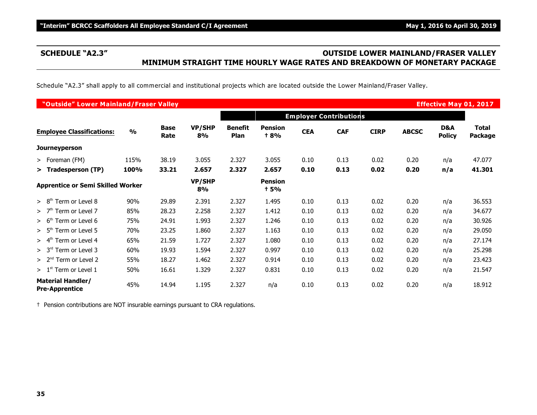# **SCHEDULE "A2.3" OUTSIDE LOWER MAINLAND/FRASER VALLEY MINIMUM STRAIGHT TIME HOURLY WAGE RATES AND BREAKDOWN OF MONETARY PACKAGE**

Schedule "A2.3" shall apply to all commercial and institutional projects which are located outside the Lower Mainland/Fraser Valley.

|                                                   | "Outside" Lower Mainland/Fraser Valley<br><b>Effective May 01, 2017</b> |                     |                     |                        |                               |            |                               |             |              |                      |                                |  |
|---------------------------------------------------|-------------------------------------------------------------------------|---------------------|---------------------|------------------------|-------------------------------|------------|-------------------------------|-------------|--------------|----------------------|--------------------------------|--|
|                                                   |                                                                         |                     |                     |                        |                               |            | <b>Employer Contributions</b> |             |              |                      |                                |  |
| <b>Employee Classifications:</b>                  | $\frac{0}{0}$                                                           | <b>Base</b><br>Rate | <b>VP/SHP</b><br>8% | <b>Benefit</b><br>Plan | <b>Pension</b><br><b>+8%</b>  | <b>CEA</b> | <b>CAF</b>                    | <b>CIRP</b> | <b>ABCSC</b> | D&A<br><b>Policy</b> | <b>Total</b><br><b>Package</b> |  |
| <b>Journeyperson</b>                              |                                                                         |                     |                     |                        |                               |            |                               |             |              |                      |                                |  |
| $>$ Foreman (FM)                                  | 115%                                                                    | 38.19               | 3.055               | 2.327                  | 3.055                         | 0.10       | 0.13                          | 0.02        | 0.20         | n/a                  | 47.077                         |  |
| > Tradesperson (TP)                               | 100%                                                                    | 33.21               | 2.657               | 2.327                  | 2.657                         | 0.10       | 0.13                          | 0.02        | 0.20         | n/a                  | 41.301                         |  |
| <b>Apprentice or Semi Skilled Worker</b>          |                                                                         |                     | <b>VP/SHP</b><br>8% |                        | <b>Pension</b><br><b>t</b> 5% |            |                               |             |              |                      |                                |  |
| > 8 <sup>th</sup><br>Term or Level 8              | 90%                                                                     | 29.89               | 2.391               | 2.327                  | 1.495                         | 0.10       | 0.13                          | 0.02        | 0.20         | n/a                  | 36.553                         |  |
| >7 <sup>th</sup><br>Term or Level 7               | 85%                                                                     | 28.23               | 2.258               | 2.327                  | 1.412                         | 0.10       | 0.13                          | 0.02        | 0.20         | n/a                  | 34.677                         |  |
| Term or Level 6<br>> 6 <sup>th</sup>              | 75%                                                                     | 24.91               | 1.993               | 2.327                  | 1.246                         | 0.10       | 0.13                          | 0.02        | 0.20         | n/a                  | 30.926                         |  |
| > 5 <sup>th</sup><br>Term or Level 5              | 70%                                                                     | 23.25               | 1.860               | 2.327                  | 1.163                         | 0.10       | 0.13                          | 0.02        | 0.20         | n/a                  | 29.050                         |  |
| Term or Level 4<br>> 4 <sup>th</sup>              | 65%                                                                     | 21.59               | 1.727               | 2.327                  | 1.080                         | 0.10       | 0.13                          | 0.02        | 0.20         | n/a                  | 27.174                         |  |
| > 3 <sup>rd</sup><br>Term or Level 3              | 60%                                                                     | 19.93               | 1.594               | 2.327                  | 0.997                         | 0.10       | 0.13                          | 0.02        | 0.20         | n/a                  | 25.298                         |  |
| $> 2nd$ Term or Level 2                           | 55%                                                                     | 18.27               | 1.462               | 2.327                  | 0.914                         | 0.10       | 0.13                          | 0.02        | 0.20         | n/a                  | 23.423                         |  |
| $> 1st$ Term or Level 1                           | 50%                                                                     | 16.61               | 1.329               | 2.327                  | 0.831                         | 0.10       | 0.13                          | 0.02        | 0.20         | n/a                  | 21.547                         |  |
| <b>Material Handler/</b><br><b>Pre-Apprentice</b> | 45%                                                                     | 14.94               | 1.195               | 2.327                  | n/a                           | 0.10       | 0.13                          | 0.02        | 0.20         | n/a                  | 18.912                         |  |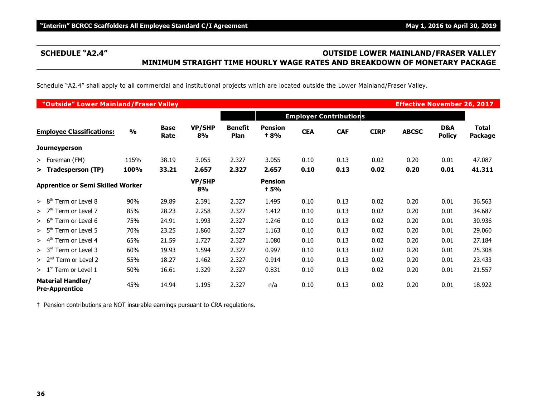# **SCHEDULE "A2.4" OUTSIDE LOWER MAINLAND/FRASER VALLEY MINIMUM STRAIGHT TIME HOURLY WAGE RATES AND BREAKDOWN OF MONETARY PACKAGE**

Schedule "A2.4" shall apply to all commercial and institutional projects which are located outside the Lower Mainland/Fraser Valley.

|                                                   | "Outside" Lower Mainland/Fraser Valley<br><b>Effective November 26, 2017</b> |                     |                     |                               |                              |            |                               |             |              |                      |                                |
|---------------------------------------------------|------------------------------------------------------------------------------|---------------------|---------------------|-------------------------------|------------------------------|------------|-------------------------------|-------------|--------------|----------------------|--------------------------------|
|                                                   |                                                                              |                     |                     |                               |                              |            | <b>Employer Contributions</b> |             |              |                      |                                |
| <b>Employee Classifications:</b>                  | $\frac{0}{0}$                                                                | <b>Base</b><br>Rate | <b>VP/SHP</b><br>8% | <b>Benefit</b><br><b>Plan</b> | <b>Pension</b><br><b>+8%</b> | <b>CEA</b> | <b>CAF</b>                    | <b>CIRP</b> | <b>ABCSC</b> | D&A<br><b>Policy</b> | <b>Total</b><br><b>Package</b> |
| <b>Journeyperson</b>                              |                                                                              |                     |                     |                               |                              |            |                               |             |              |                      |                                |
| $>$ Foreman (FM)                                  | 115%                                                                         | 38.19               | 3.055               | 2.327                         | 3.055                        | 0.10       | 0.13                          | 0.02        | 0.20         | 0.01                 | 47.087                         |
| > Tradesperson (TP)                               | 100%                                                                         | 33.21               | 2.657               | 2.327                         | 2.657                        | 0.10       | 0.13                          | 0.02        | 0.20         | 0.01                 | 41.311                         |
| <b>Apprentice or Semi Skilled Worker</b>          |                                                                              |                     | <b>VP/SHP</b><br>8% |                               | <b>Pension</b><br>† 5%       |            |                               |             |              |                      |                                |
| Term or Level 8<br>> 8 <sup>th</sup>              | 90%                                                                          | 29.89               | 2.391               | 2.327                         | 1.495                        | 0.10       | 0.13                          | 0.02        | 0.20         | 0.01                 | 36.563                         |
| Term or Level 7<br>>7 <sup>tn</sup>               | 85%                                                                          | 28.23               | 2.258               | 2.327                         | 1.412                        | 0.10       | 0.13                          | 0.02        | 0.20         | 0.01                 | 34.687                         |
| Term or Level 6<br>> 6 <sup>th</sup>              | 75%                                                                          | 24.91               | 1.993               | 2.327                         | 1.246                        | 0.10       | 0.13                          | 0.02        | 0.20         | 0.01                 | 30.936                         |
| Term or Level 5<br>> 5 <sup>th</sup>              | 70%                                                                          | 23.25               | 1.860               | 2.327                         | 1.163                        | 0.10       | 0.13                          | 0.02        | 0.20         | 0.01                 | 29.060                         |
| Term or Level 4<br>$> 4^m$                        | 65%                                                                          | 21.59               | 1.727               | 2.327                         | 1.080                        | 0.10       | 0.13                          | 0.02        | 0.20         | 0.01                 | 27.184                         |
| Term or Level 3<br>> 3 <sup>rd</sup>              | 60%                                                                          | 19.93               | 1.594               | 2.327                         | 0.997                        | 0.10       | 0.13                          | 0.02        | 0.20         | 0.01                 | 25.308                         |
| $> 2nd$ Term or Level 2                           | 55%                                                                          | 18.27               | 1.462               | 2.327                         | 0.914                        | 0.10       | 0.13                          | 0.02        | 0.20         | 0.01                 | 23.433                         |
| $> 1st$ Term or Level 1                           | 50%                                                                          | 16.61               | 1.329               | 2.327                         | 0.831                        | 0.10       | 0.13                          | 0.02        | 0.20         | 0.01                 | 21.557                         |
| <b>Material Handler/</b><br><b>Pre-Apprentice</b> | 45%                                                                          | 14.94               | 1.195               | 2.327                         | n/a                          | 0.10       | 0.13                          | 0.02        | 0.20         | 0.01                 | 18.922                         |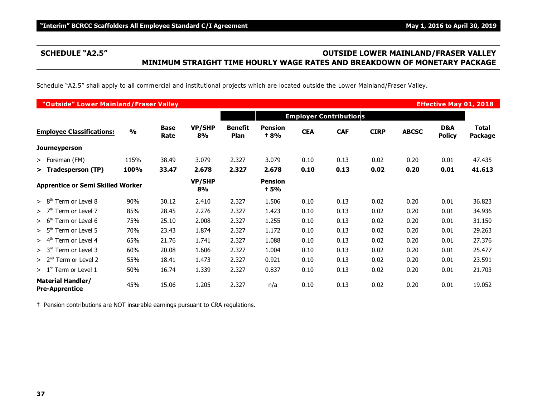# **SCHEDULE "A2.5" OUTSIDE LOWER MAINLAND/FRASER VALLEY MINIMUM STRAIGHT TIME HOURLY WAGE RATES AND BREAKDOWN OF MONETARY PACKAGE**

Schedule "A2.5" shall apply to all commercial and institutional projects which are located outside the Lower Mainland/Fraser Valley.

|                                                   | "Outside" Lower Mainland/Fraser Valley<br><b>Effective May 01, 2018</b> |                     |                     |                        |                               |            |                               |             |              |                      |                                |  |
|---------------------------------------------------|-------------------------------------------------------------------------|---------------------|---------------------|------------------------|-------------------------------|------------|-------------------------------|-------------|--------------|----------------------|--------------------------------|--|
|                                                   |                                                                         |                     |                     |                        |                               |            | <b>Employer Contributions</b> |             |              |                      |                                |  |
| <b>Employee Classifications:</b>                  | $\frac{0}{0}$                                                           | <b>Base</b><br>Rate | <b>VP/SHP</b><br>8% | <b>Benefit</b><br>Plan | <b>Pension</b><br><b>t 8%</b> | <b>CEA</b> | <b>CAF</b>                    | <b>CIRP</b> | <b>ABCSC</b> | D&A<br><b>Policy</b> | <b>Total</b><br><b>Package</b> |  |
| <b>Journeyperson</b>                              |                                                                         |                     |                     |                        |                               |            |                               |             |              |                      |                                |  |
| $>$ Foreman (FM)                                  | 115%                                                                    | 38.49               | 3.079               | 2.327                  | 3.079                         | 0.10       | 0.13                          | 0.02        | 0.20         | 0.01                 | 47.435                         |  |
| > Tradesperson (TP)                               | 100%                                                                    | 33.47               | 2.678               | 2.327                  | 2.678                         | 0.10       | 0.13                          | 0.02        | 0.20         | 0.01                 | 41.613                         |  |
| <b>Apprentice or Semi Skilled Worker</b>          |                                                                         |                     | <b>VP/SHP</b><br>8% |                        | <b>Pension</b><br><b>t</b> 5% |            |                               |             |              |                      |                                |  |
| > 8 <sup>th</sup><br>Term or Level 8              | 90%                                                                     | 30.12               | 2.410               | 2.327                  | 1.506                         | 0.10       | 0.13                          | 0.02        | 0.20         | 0.01                 | 36.823                         |  |
| >7 <sup>th</sup><br>Term or Level 7               | 85%                                                                     | 28.45               | 2.276               | 2.327                  | 1.423                         | 0.10       | 0.13                          | 0.02        | 0.20         | 0.01                 | 34.936                         |  |
| Term or Level 6<br>> 6 <sup>th</sup>              | 75%                                                                     | 25.10               | 2.008               | 2.327                  | 1.255                         | 0.10       | 0.13                          | 0.02        | 0.20         | 0.01                 | 31.150                         |  |
| $> 5th$ Term or Level 5                           | 70%                                                                     | 23.43               | 1.874               | 2.327                  | 1.172                         | 0.10       | 0.13                          | 0.02        | 0.20         | 0.01                 | 29.263                         |  |
| Term or Level 4<br>> 4 <sup>th</sup>              | 65%                                                                     | 21.76               | 1.741               | 2.327                  | 1.088                         | 0.10       | 0.13                          | 0.02        | 0.20         | 0.01                 | 27.376                         |  |
| Term or Level 3<br>> 3 <sup>rd</sup>              | 60%                                                                     | 20.08               | 1.606               | 2.327                  | 1.004                         | 0.10       | 0.13                          | 0.02        | 0.20         | 0.01                 | 25.477                         |  |
| $> 2nd$ Term or Level 2                           | 55%                                                                     | 18.41               | 1.473               | 2.327                  | 0.921                         | 0.10       | 0.13                          | 0.02        | 0.20         | 0.01                 | 23.591                         |  |
| $> 1st$ Term or Level 1                           | 50%                                                                     | 16.74               | 1.339               | 2.327                  | 0.837                         | 0.10       | 0.13                          | 0.02        | 0.20         | 0.01                 | 21.703                         |  |
| <b>Material Handler/</b><br><b>Pre-Apprentice</b> | 45%                                                                     | 15.06               | 1.205               | 2.327                  | n/a                           | 0.10       | 0.13                          | 0.02        | 0.20         | 0.01                 | 19.052                         |  |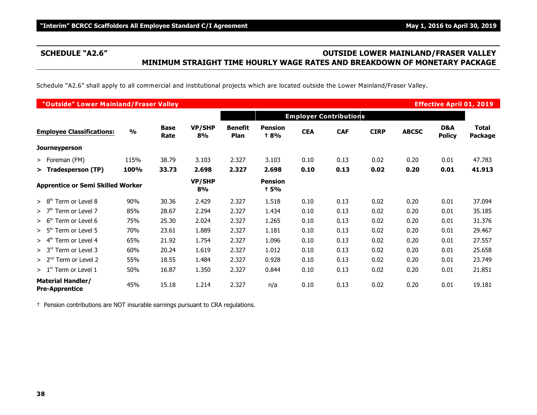# **SCHEDULE "A2.6" OUTSIDE LOWER MAINLAND/FRASER VALLEY MINIMUM STRAIGHT TIME HOURLY WAGE RATES AND BREAKDOWN OF MONETARY PACKAGE**

Schedule "A2.6" shall apply to all commercial and institutional projects which are located outside the Lower Mainland/Fraser Valley.

|                                                   | "Outside" Lower Mainland/Fraser Valley<br><b>Effective April 01, 2019</b> |                     |                     |                        |                               |            |                               |             |              |                      |                                |  |
|---------------------------------------------------|---------------------------------------------------------------------------|---------------------|---------------------|------------------------|-------------------------------|------------|-------------------------------|-------------|--------------|----------------------|--------------------------------|--|
|                                                   |                                                                           |                     |                     |                        |                               |            | <b>Employer Contributions</b> |             |              |                      |                                |  |
| <b>Employee Classifications:</b>                  | $\frac{0}{0}$                                                             | <b>Base</b><br>Rate | <b>VP/SHP</b><br>8% | <b>Benefit</b><br>Plan | <b>Pension</b><br><b>t 8%</b> | <b>CEA</b> | <b>CAF</b>                    | <b>CIRP</b> | <b>ABCSC</b> | D&A<br><b>Policy</b> | <b>Total</b><br><b>Package</b> |  |
| <b>Journeyperson</b>                              |                                                                           |                     |                     |                        |                               |            |                               |             |              |                      |                                |  |
| $>$ Foreman (FM)                                  | 115%                                                                      | 38.79               | 3.103               | 2.327                  | 3.103                         | 0.10       | 0.13                          | 0.02        | 0.20         | 0.01                 | 47.783                         |  |
| > Tradesperson (TP)                               | 100%                                                                      | 33.73               | 2.698               | 2.327                  | 2.698                         | 0.10       | 0.13                          | 0.02        | 0.20         | 0.01                 | 41.913                         |  |
| <b>Apprentice or Semi Skilled Worker</b>          |                                                                           |                     | <b>VP/SHP</b><br>8% |                        | <b>Pension</b><br><b>t</b> 5% |            |                               |             |              |                      |                                |  |
| > 8 <sup>th</sup><br>Term or Level 8              | 90%                                                                       | 30.36               | 2.429               | 2.327                  | 1.518                         | 0.10       | 0.13                          | 0.02        | 0.20         | 0.01                 | 37.094                         |  |
| >7 <sup>th</sup><br>Term or Level 7               | 85%                                                                       | 28.67               | 2.294               | 2.327                  | 1.434                         | 0.10       | 0.13                          | 0.02        | 0.20         | 0.01                 | 35.185                         |  |
| Term or Level 6<br>> 6 <sup>th</sup>              | 75%                                                                       | 25.30               | 2.024               | 2.327                  | 1.265                         | 0.10       | 0.13                          | 0.02        | 0.20         | 0.01                 | 31.376                         |  |
| > 5 <sup>th</sup><br>Term or Level 5              | 70%                                                                       | 23.61               | 1.889               | 2.327                  | 1.181                         | 0.10       | 0.13                          | 0.02        | 0.20         | 0.01                 | 29.467                         |  |
| Term or Level 4<br>> 4 <sup>th</sup>              | 65%                                                                       | 21.92               | 1.754               | 2.327                  | 1.096                         | 0.10       | 0.13                          | 0.02        | 0.20         | 0.01                 | 27.557                         |  |
| Term or Level 3<br>> 3 <sup>rd</sup>              | 60%                                                                       | 20.24               | 1.619               | 2.327                  | 1.012                         | 0.10       | 0.13                          | 0.02        | 0.20         | 0.01                 | 25.658                         |  |
| $> 2nd$ Term or Level 2                           | 55%                                                                       | 18.55               | 1.484               | 2.327                  | 0.928                         | 0.10       | 0.13                          | 0.02        | 0.20         | 0.01                 | 23.749                         |  |
| $> 1st$ Term or Level 1                           | 50%                                                                       | 16.87               | 1.350               | 2.327                  | 0.844                         | 0.10       | 0.13                          | 0.02        | 0.20         | 0.01                 | 21.851                         |  |
| <b>Material Handler/</b><br><b>Pre-Apprentice</b> | 45%                                                                       | 15.18               | 1.214               | 2.327                  | n/a                           | 0.10       | 0.13                          | 0.02        | 0.20         | 0.01                 | 19.181                         |  |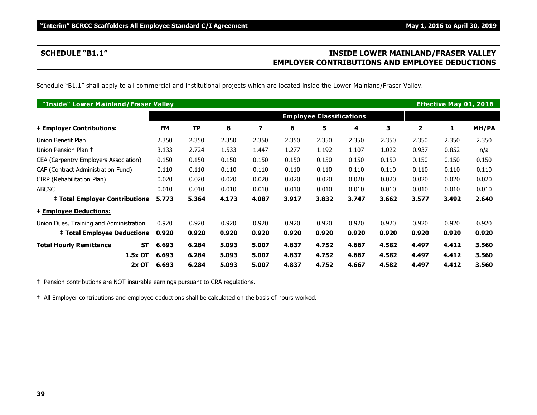# **SCHEDULE "B1.1" INSIDE LOWER MAINLAND/FRASER VALLEY EMPLOYER CONTRIBUTIONS AND EMPLOYEE DEDUCTIONS**

Schedule "B1.1" shall apply to all commercial and institutional projects which are located inside the Lower Mainland/Fraser Valley.

| "Inside" Lower Mainland/Fraser Valley       |           |       |       |                         |       |                                 |       |       |       | <b>Effective May 01, 2016</b> |       |
|---------------------------------------------|-----------|-------|-------|-------------------------|-------|---------------------------------|-------|-------|-------|-------------------------------|-------|
|                                             |           |       |       |                         |       | <b>Employee Classifications</b> |       |       |       |                               |       |
| <b>‡ Employer Contributions:</b>            | <b>FM</b> | ΤP    | 8     | $\overline{\mathbf{z}}$ | 6     | 5                               | 4     | 3     | 2     | 1                             | MH/PA |
| Union Benefit Plan                          | 2.350     | 2.350 | 2.350 | 2.350                   | 2.350 | 2.350                           | 2.350 | 2.350 | 2.350 | 2.350                         | 2.350 |
| Union Pension Plan +                        | 3.133     | 2.724 | 1.533 | 1.447                   | 1.277 | 1.192                           | 1.107 | 1.022 | 0.937 | 0.852                         | n/a   |
| CEA (Carpentry Employers Association)       | 0.150     | 0.150 | 0.150 | 0.150                   | 0.150 | 0.150                           | 0.150 | 0.150 | 0.150 | 0.150                         | 0.150 |
| CAF (Contract Administration Fund)          | 0.110     | 0.110 | 0.110 | 0.110                   | 0.110 | 0.110                           | 0.110 | 0.110 | 0.110 | 0.110                         | 0.110 |
| CIRP (Rehabilitation Plan)                  | 0.020     | 0.020 | 0.020 | 0.020                   | 0.020 | 0.020                           | 0.020 | 0.020 | 0.020 | 0.020                         | 0.020 |
| <b>ABCSC</b>                                | 0.010     | 0.010 | 0.010 | 0.010                   | 0.010 | 0.010                           | 0.010 | 0.010 | 0.010 | 0.010                         | 0.010 |
| <b>‡ Total Employer Contributions</b>       | 5.773     | 5.364 | 4.173 | 4.087                   | 3.917 | 3.832                           | 3.747 | 3.662 | 3.577 | 3.492                         | 2.640 |
| <b>‡ Employee Deductions:</b>               |           |       |       |                         |       |                                 |       |       |       |                               |       |
| Union Dues, Training and Administration     | 0.920     | 0.920 | 0.920 | 0.920                   | 0.920 | 0.920                           | 0.920 | 0.920 | 0.920 | 0.920                         | 0.920 |
| <b>‡ Total Employee Deductions</b>          | 0.920     | 0.920 | 0.920 | 0.920                   | 0.920 | 0.920                           | 0.920 | 0.920 | 0.920 | 0.920                         | 0.920 |
| <b>Total Hourly Remittance</b><br><b>ST</b> | 6.693     | 6.284 | 5.093 | 5.007                   | 4.837 | 4.752                           | 4.667 | 4.582 | 4.497 | 4.412                         | 3.560 |
| 1.5x OT                                     | 6.693     | 6.284 | 5.093 | 5.007                   | 4.837 | 4.752                           | 4.667 | 4.582 | 4.497 | 4.412                         | 3.560 |
| $2x$ OT                                     | 6.693     | 6.284 | 5.093 | 5.007                   | 4.837 | 4.752                           | 4.667 | 4.582 | 4.497 | 4.412                         | 3.560 |

† Pension contributions are NOT insurable earnings pursuant to CRA regulations.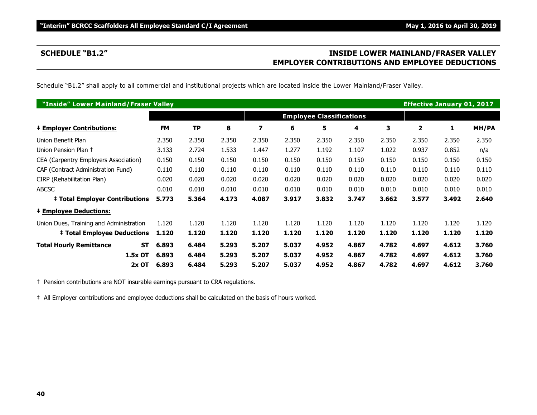# **SCHEDULE "B1.2" INSIDE LOWER MAINLAND/FRASER VALLEY EMPLOYER CONTRIBUTIONS AND EMPLOYEE DEDUCTIONS**

Schedule "B1.2" shall apply to all commercial and institutional projects which are located inside the Lower Mainland/Fraser Valley.

| "Inside" Lower Mainland/Fraser Valley       |           |       |       |                         |       |                                 |       |       | <b>Effective January 01, 2017</b> |       |       |
|---------------------------------------------|-----------|-------|-------|-------------------------|-------|---------------------------------|-------|-------|-----------------------------------|-------|-------|
|                                             |           |       |       |                         |       | <b>Employee Classifications</b> |       |       |                                   |       |       |
| <b>‡ Employer Contributions:</b>            | <b>FM</b> | ΤP    | 8     | $\overline{\mathbf{z}}$ | 6     | 5                               | 4     | 3     | 2                                 | 1     | MH/PA |
| Union Benefit Plan                          | 2.350     | 2.350 | 2.350 | 2.350                   | 2.350 | 2.350                           | 2.350 | 2.350 | 2.350                             | 2.350 | 2.350 |
| Union Pension Plan +                        | 3.133     | 2.724 | 1.533 | 1.447                   | 1.277 | 1.192                           | 1.107 | 1.022 | 0.937                             | 0.852 | n/a   |
| CEA (Carpentry Employers Association)       | 0.150     | 0.150 | 0.150 | 0.150                   | 0.150 | 0.150                           | 0.150 | 0.150 | 0.150                             | 0.150 | 0.150 |
| CAF (Contract Administration Fund)          | 0.110     | 0.110 | 0.110 | 0.110                   | 0.110 | 0.110                           | 0.110 | 0.110 | 0.110                             | 0.110 | 0.110 |
| CIRP (Rehabilitation Plan)                  | 0.020     | 0.020 | 0.020 | 0.020                   | 0.020 | 0.020                           | 0.020 | 0.020 | 0.020                             | 0.020 | 0.020 |
| <b>ABCSC</b>                                | 0.010     | 0.010 | 0.010 | 0.010                   | 0.010 | 0.010                           | 0.010 | 0.010 | 0.010                             | 0.010 | 0.010 |
| <b>‡ Total Employer Contributions</b>       | 5.773     | 5.364 | 4.173 | 4.087                   | 3.917 | 3.832                           | 3.747 | 3.662 | 3.577                             | 3.492 | 2.640 |
| <b>‡ Employee Deductions:</b>               |           |       |       |                         |       |                                 |       |       |                                   |       |       |
| Union Dues, Training and Administration     | 1.120     | 1.120 | 1.120 | 1.120                   | 1.120 | 1.120                           | 1.120 | 1.120 | 1.120                             | 1.120 | 1.120 |
| <b>‡ Total Employee Deductions</b>          | 1.120     | 1.120 | 1.120 | 1.120                   | 1.120 | 1.120                           | 1.120 | 1.120 | 1.120                             | 1.120 | 1.120 |
| <b>Total Hourly Remittance</b><br><b>ST</b> | 6.893     | 6.484 | 5.293 | 5.207                   | 5.037 | 4.952                           | 4.867 | 4.782 | 4.697                             | 4.612 | 3.760 |
| 1.5x OT                                     | 6.893     | 6.484 | 5.293 | 5.207                   | 5.037 | 4.952                           | 4.867 | 4.782 | 4.697                             | 4.612 | 3.760 |
| $2x$ OT                                     | 6.893     | 6.484 | 5.293 | 5.207                   | 5.037 | 4.952                           | 4.867 | 4.782 | 4.697                             | 4.612 | 3.760 |

† Pension contributions are NOT insurable earnings pursuant to CRA regulations.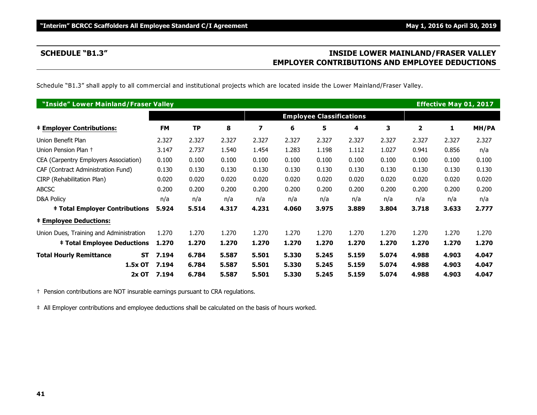# **SCHEDULE "B1.3" INSIDE LOWER MAINLAND/FRASER VALLEY EMPLOYER CONTRIBUTIONS AND EMPLOYEE DEDUCTIONS**

Schedule "B1.3" shall apply to all commercial and institutional projects which are located inside the Lower Mainland/Fraser Valley.

| "Inside" Lower Mainland/Fraser Valley   |                    |           |       |                         |       |                                 |       |       |              | <b>Effective May 01, 2017</b> |       |
|-----------------------------------------|--------------------|-----------|-------|-------------------------|-------|---------------------------------|-------|-------|--------------|-------------------------------|-------|
|                                         |                    |           |       |                         |       | <b>Employee Classifications</b> |       |       |              |                               |       |
| <b>‡ Employer Contributions:</b>        | <b>FM</b>          | <b>TP</b> | 8     | $\overline{\mathbf{z}}$ | 6     | 5                               | 4     | 3     | $\mathbf{2}$ | 1                             | MH/PA |
| Union Benefit Plan                      | 2.327              | 2.327     | 2.327 | 2.327                   | 2.327 | 2.327                           | 2.327 | 2.327 | 2.327        | 2.327                         | 2.327 |
| Union Pension Plan +                    | 3.147              | 2.737     | 1.540 | 1.454                   | 1.283 | 1.198                           | 1.112 | 1.027 | 0.941        | 0.856                         | n/a   |
| CEA (Carpentry Employers Association)   | 0.100              | 0.100     | 0.100 | 0.100                   | 0.100 | 0.100                           | 0.100 | 0.100 | 0.100        | 0.100                         | 0.100 |
| CAF (Contract Administration Fund)      | 0.130              | 0.130     | 0.130 | 0.130                   | 0.130 | 0.130                           | 0.130 | 0.130 | 0.130        | 0.130                         | 0.130 |
| CIRP (Rehabilitation Plan)              | 0.020              | 0.020     | 0.020 | 0.020                   | 0.020 | 0.020                           | 0.020 | 0.020 | 0.020        | 0.020                         | 0.020 |
| <b>ABCSC</b>                            | 0.200              | 0.200     | 0.200 | 0.200                   | 0.200 | 0.200                           | 0.200 | 0.200 | 0.200        | 0.200                         | 0.200 |
| <b>D&amp;A Policy</b>                   | n/a                | n/a       | n/a   | n/a                     | n/a   | n/a                             | n/a   | n/a   | n/a          | n/a                           | n/a   |
| <b>‡ Total Employer Contributions</b>   | 5.924              | 5.514     | 4.317 | 4.231                   | 4.060 | 3.975                           | 3.889 | 3.804 | 3.718        | 3.633                         | 2.777 |
| <b>‡ Employee Deductions:</b>           |                    |           |       |                         |       |                                 |       |       |              |                               |       |
| Union Dues, Training and Administration | 1.270              | 1.270     | 1.270 | 1.270                   | 1.270 | 1.270                           | 1.270 | 1.270 | 1.270        | 1.270                         | 1.270 |
| <b>‡ Total Employee Deductions</b>      | 1.270              | 1.270     | 1.270 | 1.270                   | 1.270 | 1.270                           | 1.270 | 1.270 | 1.270        | 1.270                         | 1.270 |
| <b>Total Hourly Remittance</b>          | <b>ST</b><br>7.194 | 6.784     | 5.587 | 5.501                   | 5.330 | 5.245                           | 5.159 | 5.074 | 4.988        | 4.903                         | 4.047 |
| 1.5x OT                                 | 7.194              | 6.784     | 5.587 | 5.501                   | 5.330 | 5.245                           | 5.159 | 5.074 | 4.988        | 4.903                         | 4.047 |
| $2x$ OT                                 | 7.194              | 6.784     | 5.587 | 5.501                   | 5.330 | 5.245                           | 5.159 | 5.074 | 4.988        | 4.903                         | 4.047 |

† Pension contributions are NOT insurable earnings pursuant to CRA regulations.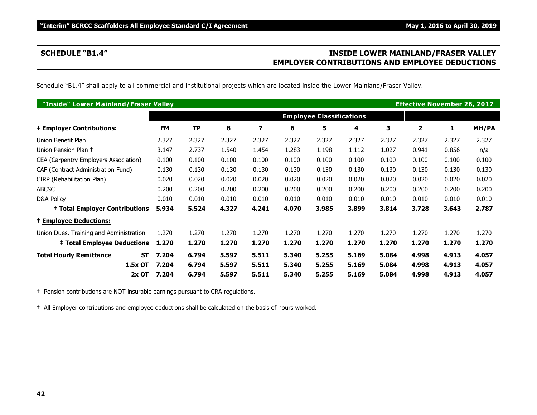# **SCHEDULE "B1.4" INSIDE LOWER MAINLAND/FRASER VALLEY EMPLOYER CONTRIBUTIONS AND EMPLOYEE DEDUCTIONS**

Schedule "B1.4" shall apply to all commercial and institutional projects which are located inside the Lower Mainland/Fraser Valley.

| "Inside" Lower Mainland/Fraser Valley       |           |           |       |       |       |                                 |       |       | <b>Effective November 26, 2017</b> |       |       |
|---------------------------------------------|-----------|-----------|-------|-------|-------|---------------------------------|-------|-------|------------------------------------|-------|-------|
|                                             |           |           |       |       |       | <b>Employee Classifications</b> |       |       |                                    |       |       |
| <b>‡ Employer Contributions:</b>            | <b>FM</b> | <b>TP</b> | 8     | 7     | 6     | 5                               | 4     | 3     | $\mathbf{2}$                       | 1     | MH/PA |
| Union Benefit Plan                          | 2.327     | 2.327     | 2.327 | 2.327 | 2.327 | 2.327                           | 2.327 | 2.327 | 2.327                              | 2.327 | 2.327 |
| Union Pension Plan +                        | 3.147     | 2.737     | 1.540 | 1.454 | 1.283 | 1.198                           | 1.112 | 1.027 | 0.941                              | 0.856 | n/a   |
| CEA (Carpentry Employers Association)       | 0.100     | 0.100     | 0.100 | 0.100 | 0.100 | 0.100                           | 0.100 | 0.100 | 0.100                              | 0.100 | 0.100 |
| CAF (Contract Administration Fund)          | 0.130     | 0.130     | 0.130 | 0.130 | 0.130 | 0.130                           | 0.130 | 0.130 | 0.130                              | 0.130 | 0.130 |
| CIRP (Rehabilitation Plan)                  | 0.020     | 0.020     | 0.020 | 0.020 | 0.020 | 0.020                           | 0.020 | 0.020 | 0.020                              | 0.020 | 0.020 |
| <b>ABCSC</b>                                | 0.200     | 0.200     | 0.200 | 0.200 | 0.200 | 0.200                           | 0.200 | 0.200 | 0.200                              | 0.200 | 0.200 |
| D&A Policy                                  | 0.010     | 0.010     | 0.010 | 0.010 | 0.010 | 0.010                           | 0.010 | 0.010 | 0.010                              | 0.010 | 0.010 |
| <b>‡ Total Employer Contributions</b>       | 5.934     | 5.524     | 4.327 | 4.241 | 4.070 | 3.985                           | 3.899 | 3.814 | 3.728                              | 3.643 | 2.787 |
| <b>‡ Employee Deductions:</b>               |           |           |       |       |       |                                 |       |       |                                    |       |       |
| Union Dues, Training and Administration     | 1.270     | 1.270     | 1.270 | 1.270 | 1.270 | 1.270                           | 1.270 | 1.270 | 1.270                              | 1.270 | 1.270 |
| <b>‡ Total Employee Deductions</b>          | 1.270     | 1.270     | 1.270 | 1.270 | 1.270 | 1.270                           | 1.270 | 1.270 | 1.270                              | 1.270 | 1.270 |
| <b>Total Hourly Remittance</b><br><b>ST</b> | 7.204     | 6.794     | 5.597 | 5.511 | 5.340 | 5.255                           | 5.169 | 5.084 | 4.998                              | 4.913 | 4.057 |
| 1.5x OT                                     | 7.204     | 6.794     | 5.597 | 5.511 | 5.340 | 5.255                           | 5.169 | 5.084 | 4.998                              | 4.913 | 4.057 |
| $2x$ OT                                     | 7.204     | 6.794     | 5.597 | 5.511 | 5.340 | 5.255                           | 5.169 | 5.084 | 4.998                              | 4.913 | 4.057 |

† Pension contributions are NOT insurable earnings pursuant to CRA regulations.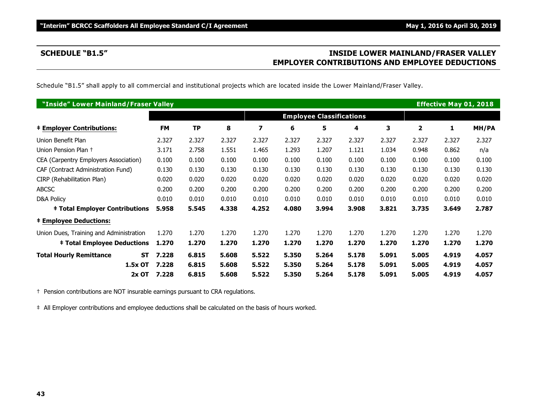# **SCHEDULE "B1.5" INSIDE LOWER MAINLAND/FRASER VALLEY EMPLOYER CONTRIBUTIONS AND EMPLOYEE DEDUCTIONS**

Schedule "B1.5" shall apply to all commercial and institutional projects which are located inside the Lower Mainland/Fraser Valley.

| "Inside" Lower Mainland/Fraser Valley   |                    |                                 |       |                         |       |       |       |       |              | <b>Effective May 01, 2018</b> |       |
|-----------------------------------------|--------------------|---------------------------------|-------|-------------------------|-------|-------|-------|-------|--------------|-------------------------------|-------|
|                                         |                    | <b>Employee Classifications</b> |       |                         |       |       |       |       |              |                               |       |
| <b>‡ Employer Contributions:</b>        | <b>FM</b>          | <b>TP</b>                       | 8     | $\overline{\mathbf{z}}$ | 6     | 5     | 4     | 3     | $\mathbf{2}$ | 1                             | MH/PA |
| Union Benefit Plan                      | 2.327              | 2.327                           | 2.327 | 2.327                   | 2.327 | 2.327 | 2.327 | 2.327 | 2.327        | 2.327                         | 2.327 |
| Union Pension Plan +                    | 3.171              | 2.758                           | 1.551 | 1.465                   | 1.293 | 1.207 | 1.121 | 1.034 | 0.948        | 0.862                         | n/a   |
| CEA (Carpentry Employers Association)   | 0.100              | 0.100                           | 0.100 | 0.100                   | 0.100 | 0.100 | 0.100 | 0.100 | 0.100        | 0.100                         | 0.100 |
| CAF (Contract Administration Fund)      | 0.130              | 0.130                           | 0.130 | 0.130                   | 0.130 | 0.130 | 0.130 | 0.130 | 0.130        | 0.130                         | 0.130 |
| CIRP (Rehabilitation Plan)              | 0.020              | 0.020                           | 0.020 | 0.020                   | 0.020 | 0.020 | 0.020 | 0.020 | 0.020        | 0.020                         | 0.020 |
| <b>ABCSC</b>                            | 0.200              | 0.200                           | 0.200 | 0.200                   | 0.200 | 0.200 | 0.200 | 0.200 | 0.200        | 0.200                         | 0.200 |
| <b>D&amp;A Policy</b>                   | 0.010              | 0.010                           | 0.010 | 0.010                   | 0.010 | 0.010 | 0.010 | 0.010 | 0.010        | 0.010                         | 0.010 |
| <b>‡ Total Employer Contributions</b>   | 5.958              | 5.545                           | 4.338 | 4.252                   | 4.080 | 3.994 | 3.908 | 3.821 | 3.735        | 3.649                         | 2.787 |
| <b>‡ Employee Deductions:</b>           |                    |                                 |       |                         |       |       |       |       |              |                               |       |
| Union Dues, Training and Administration | 1.270              | 1.270                           | 1.270 | 1.270                   | 1.270 | 1.270 | 1.270 | 1.270 | 1.270        | 1.270                         | 1.270 |
| <b>‡ Total Employee Deductions</b>      | 1.270              | 1.270                           | 1.270 | 1.270                   | 1.270 | 1.270 | 1.270 | 1.270 | 1.270        | 1.270                         | 1.270 |
| <b>Total Hourly Remittance</b>          | 7.228<br><b>ST</b> | 6.815                           | 5.608 | 5.522                   | 5.350 | 5.264 | 5.178 | 5.091 | 5.005        | 4.919                         | 4.057 |
| 1.5x OT                                 | 7.228              | 6.815                           | 5.608 | 5.522                   | 5.350 | 5.264 | 5.178 | 5.091 | 5.005        | 4.919                         | 4.057 |
| $2x$ OT                                 | 7.228              | 6.815                           | 5.608 | 5.522                   | 5.350 | 5.264 | 5.178 | 5.091 | 5.005        | 4.919                         | 4.057 |

† Pension contributions are NOT insurable earnings pursuant to CRA regulations.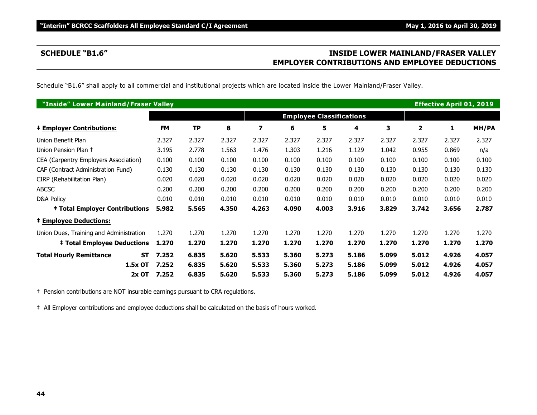# **SCHEDULE "B1.6" INSIDE LOWER MAINLAND/FRASER VALLEY EMPLOYER CONTRIBUTIONS AND EMPLOYEE DEDUCTIONS**

Schedule "B1.6" shall apply to all commercial and institutional projects which are located inside the Lower Mainland/Fraser Valley.

| "Inside" Lower Mainland/Fraser Valley       |           |           |       |       |       |                                 |       |       |              | <b>Effective April 01, 2019</b> |       |
|---------------------------------------------|-----------|-----------|-------|-------|-------|---------------------------------|-------|-------|--------------|---------------------------------|-------|
|                                             |           |           |       |       |       | <b>Employee Classifications</b> |       |       |              |                                 |       |
| <b>‡ Employer Contributions:</b>            | <b>FM</b> | <b>TP</b> | 8     | 7     | 6     | 5                               | 4     | 3     | $\mathbf{2}$ | 1                               | MH/PA |
| Union Benefit Plan                          | 2.327     | 2.327     | 2.327 | 2.327 | 2.327 | 2.327                           | 2.327 | 2.327 | 2.327        | 2.327                           | 2.327 |
| Union Pension Plan +                        | 3.195     | 2.778     | 1.563 | 1.476 | 1.303 | 1.216                           | 1.129 | 1.042 | 0.955        | 0.869                           | n/a   |
| CEA (Carpentry Employers Association)       | 0.100     | 0.100     | 0.100 | 0.100 | 0.100 | 0.100                           | 0.100 | 0.100 | 0.100        | 0.100                           | 0.100 |
| CAF (Contract Administration Fund)          | 0.130     | 0.130     | 0.130 | 0.130 | 0.130 | 0.130                           | 0.130 | 0.130 | 0.130        | 0.130                           | 0.130 |
| CIRP (Rehabilitation Plan)                  | 0.020     | 0.020     | 0.020 | 0.020 | 0.020 | 0.020                           | 0.020 | 0.020 | 0.020        | 0.020                           | 0.020 |
| <b>ABCSC</b>                                | 0.200     | 0.200     | 0.200 | 0.200 | 0.200 | 0.200                           | 0.200 | 0.200 | 0.200        | 0.200                           | 0.200 |
| D&A Policy                                  | 0.010     | 0.010     | 0.010 | 0.010 | 0.010 | 0.010                           | 0.010 | 0.010 | 0.010        | 0.010                           | 0.010 |
| <b>‡ Total Employer Contributions</b>       | 5.982     | 5.565     | 4.350 | 4.263 | 4.090 | 4.003                           | 3.916 | 3.829 | 3.742        | 3.656                           | 2.787 |
| <b>‡ Employee Deductions:</b>               |           |           |       |       |       |                                 |       |       |              |                                 |       |
| Union Dues, Training and Administration     | 1.270     | 1.270     | 1.270 | 1.270 | 1.270 | 1.270                           | 1.270 | 1.270 | 1.270        | 1.270                           | 1.270 |
| <b>‡ Total Employee Deductions</b>          | 1.270     | 1.270     | 1.270 | 1.270 | 1.270 | 1.270                           | 1.270 | 1.270 | 1.270        | 1.270                           | 1.270 |
| <b>Total Hourly Remittance</b><br><b>ST</b> | 7.252     | 6.835     | 5.620 | 5.533 | 5.360 | 5.273                           | 5.186 | 5.099 | 5.012        | 4.926                           | 4.057 |
| 1.5x OT                                     | 7.252     | 6.835     | 5.620 | 5.533 | 5.360 | 5.273                           | 5.186 | 5.099 | 5.012        | 4.926                           | 4.057 |
| $2x$ OT                                     | 7.252     | 6.835     | 5.620 | 5.533 | 5.360 | 5.273                           | 5.186 | 5.099 | 5.012        | 4.926                           | 4.057 |

† Pension contributions are NOT insurable earnings pursuant to CRA regulations.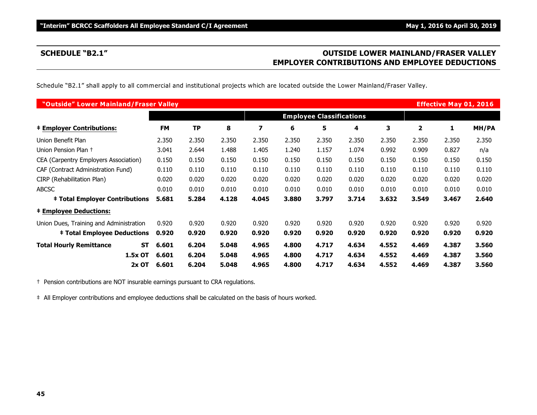# **SCHEDULE "B2.1" OUTSIDE LOWER MAINLAND/FRASER VALLEY EMPLOYER CONTRIBUTIONS AND EMPLOYEE DEDUCTIONS**

Schedule "B2.1" shall apply to all commercial and institutional projects which are located outside the Lower Mainland/Fraser Valley.

| "Outside" Lower Mainland/Fraser Valley      |           |       |       |       |                                 |       |       |       |       | <b>Effective May 01, 2016</b> |       |
|---------------------------------------------|-----------|-------|-------|-------|---------------------------------|-------|-------|-------|-------|-------------------------------|-------|
|                                             |           |       |       |       | <b>Employee Classifications</b> |       |       |       |       |                               |       |
| <b>‡ Employer Contributions:</b>            | <b>FM</b> | TP    | 8     | 7     | 6                               | 5     | 4     | 3     | 2     | 1                             | MH/PA |
| Union Benefit Plan                          | 2.350     | 2.350 | 2.350 | 2.350 | 2.350                           | 2.350 | 2.350 | 2.350 | 2.350 | 2.350                         | 2.350 |
| Union Pension Plan +                        | 3.041     | 2.644 | 1.488 | 1.405 | 1.240                           | 1.157 | 1.074 | 0.992 | 0.909 | 0.827                         | n/a   |
| CEA (Carpentry Employers Association)       | 0.150     | 0.150 | 0.150 | 0.150 | 0.150                           | 0.150 | 0.150 | 0.150 | 0.150 | 0.150                         | 0.150 |
| CAF (Contract Administration Fund)          | 0.110     | 0.110 | 0.110 | 0.110 | 0.110                           | 0.110 | 0.110 | 0.110 | 0.110 | 0.110                         | 0.110 |
| CIRP (Rehabilitation Plan)                  | 0.020     | 0.020 | 0.020 | 0.020 | 0.020                           | 0.020 | 0.020 | 0.020 | 0.020 | 0.020                         | 0.020 |
| <b>ABCSC</b>                                | 0.010     | 0.010 | 0.010 | 0.010 | 0.010                           | 0.010 | 0.010 | 0.010 | 0.010 | 0.010                         | 0.010 |
| <b>‡ Total Employer Contributions</b>       | 5.681     | 5.284 | 4.128 | 4.045 | 3.880                           | 3.797 | 3.714 | 3.632 | 3.549 | 3.467                         | 2.640 |
| <b>‡ Employee Deductions:</b>               |           |       |       |       |                                 |       |       |       |       |                               |       |
| Union Dues, Training and Administration     | 0.920     | 0.920 | 0.920 | 0.920 | 0.920                           | 0.920 | 0.920 | 0.920 | 0.920 | 0.920                         | 0.920 |
| <b>‡ Total Employee Deductions</b>          | 0.920     | 0.920 | 0.920 | 0.920 | 0.920                           | 0.920 | 0.920 | 0.920 | 0.920 | 0.920                         | 0.920 |
| <b>Total Hourly Remittance</b><br><b>ST</b> | 6.601     | 6.204 | 5.048 | 4.965 | 4.800                           | 4.717 | 4.634 | 4.552 | 4.469 | 4.387                         | 3.560 |
| 1.5x OT                                     | 6.601     | 6.204 | 5.048 | 4.965 | 4.800                           | 4.717 | 4.634 | 4.552 | 4.469 | 4.387                         | 3.560 |
| $2x$ OT                                     | 6.601     | 6.204 | 5.048 | 4.965 | 4.800                           | 4.717 | 4.634 | 4.552 | 4.469 | 4.387                         | 3.560 |

† Pension contributions are NOT insurable earnings pursuant to CRA regulations.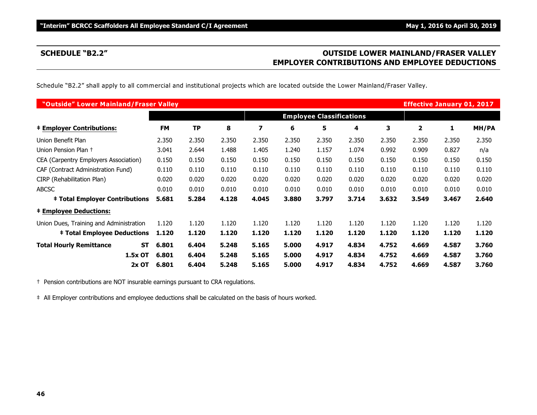# **SCHEDULE "B2.2" OUTSIDE LOWER MAINLAND/FRASER VALLEY EMPLOYER CONTRIBUTIONS AND EMPLOYEE DEDUCTIONS**

Schedule "B2.2" shall apply to all commercial and institutional projects which are located outside the Lower Mainland/Fraser Valley.

| "Outside" Lower Mainland/Fraser Valley      |           |           |       |       |       |                                 |       |       | <b>Effective January 01, 2017</b> |       |       |
|---------------------------------------------|-----------|-----------|-------|-------|-------|---------------------------------|-------|-------|-----------------------------------|-------|-------|
|                                             |           |           |       |       |       | <b>Employee Classifications</b> |       |       |                                   |       |       |
| <b>‡ Employer Contributions:</b>            | <b>FM</b> | <b>TP</b> | 8     | 7     | 6     | 5                               | 4     | 3     | 2                                 | 1     | MH/PA |
| Union Benefit Plan                          | 2.350     | 2.350     | 2.350 | 2.350 | 2.350 | 2.350                           | 2.350 | 2.350 | 2.350                             | 2.350 | 2.350 |
| Union Pension Plan +                        | 3.041     | 2.644     | 1.488 | 1.405 | 1.240 | 1.157                           | 1.074 | 0.992 | 0.909                             | 0.827 | n/a   |
| CEA (Carpentry Employers Association)       | 0.150     | 0.150     | 0.150 | 0.150 | 0.150 | 0.150                           | 0.150 | 0.150 | 0.150                             | 0.150 | 0.150 |
| CAF (Contract Administration Fund)          | 0.110     | 0.110     | 0.110 | 0.110 | 0.110 | 0.110                           | 0.110 | 0.110 | 0.110                             | 0.110 | 0.110 |
| CIRP (Rehabilitation Plan)                  | 0.020     | 0.020     | 0.020 | 0.020 | 0.020 | 0.020                           | 0.020 | 0.020 | 0.020                             | 0.020 | 0.020 |
| <b>ABCSC</b>                                | 0.010     | 0.010     | 0.010 | 0.010 | 0.010 | 0.010                           | 0.010 | 0.010 | 0.010                             | 0.010 | 0.010 |
| <b>‡ Total Employer Contributions</b>       | 5.681     | 5.284     | 4.128 | 4.045 | 3.880 | 3.797                           | 3.714 | 3.632 | 3.549                             | 3.467 | 2.640 |
| <b>‡ Employee Deductions:</b>               |           |           |       |       |       |                                 |       |       |                                   |       |       |
| Union Dues, Training and Administration     | 1.120     | 1.120     | 1.120 | 1.120 | 1.120 | 1.120                           | 1.120 | 1.120 | 1.120                             | 1.120 | 1.120 |
| <b>‡ Total Employee Deductions</b>          | 1.120     | 1.120     | 1.120 | 1.120 | 1.120 | 1.120                           | 1.120 | 1.120 | 1.120                             | 1.120 | 1.120 |
| <b>Total Hourly Remittance</b><br><b>ST</b> | 6.801     | 6.404     | 5.248 | 5.165 | 5.000 | 4.917                           | 4.834 | 4.752 | 4.669                             | 4.587 | 3.760 |
| 1.5x OT                                     | 6.801     | 6.404     | 5.248 | 5.165 | 5.000 | 4.917                           | 4.834 | 4.752 | 4.669                             | 4.587 | 3.760 |
| 2x OT                                       | 6.801     | 6.404     | 5.248 | 5.165 | 5.000 | 4.917                           | 4.834 | 4.752 | 4.669                             | 4.587 | 3.760 |

† Pension contributions are NOT insurable earnings pursuant to CRA regulations.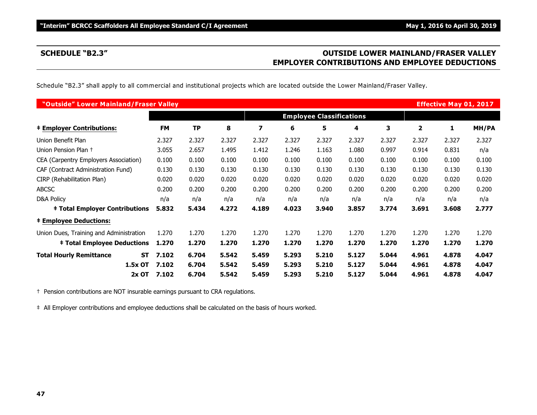# **SCHEDULE "B2.3" OUTSIDE LOWER MAINLAND/FRASER VALLEY EMPLOYER CONTRIBUTIONS AND EMPLOYEE DEDUCTIONS**

Schedule "B2.3" shall apply to all commercial and institutional projects which are located outside the Lower Mainland/Fraser Valley.

| "Outside" Lower Mainland/Fraser Valley  |                    |                                 |       |       |       |       |       |       |       | <b>Effective May 01, 2017</b> |       |
|-----------------------------------------|--------------------|---------------------------------|-------|-------|-------|-------|-------|-------|-------|-------------------------------|-------|
|                                         |                    | <b>Employee Classifications</b> |       |       |       |       |       |       |       |                               |       |
| <b>‡ Employer Contributions:</b>        | <b>FM</b>          | <b>TP</b>                       | 8     | 7     | 6     | 5     | 4     | 3     | 2     | 1                             | MH/PA |
| Union Benefit Plan                      | 2.327              | 2.327                           | 2.327 | 2.327 | 2.327 | 2.327 | 2.327 | 2.327 | 2.327 | 2.327                         | 2.327 |
| Union Pension Plan +                    | 3.055              | 2.657                           | 1.495 | 1.412 | 1.246 | 1.163 | 1.080 | 0.997 | 0.914 | 0.831                         | n/a   |
| CEA (Carpentry Employers Association)   | 0.100              | 0.100                           | 0.100 | 0.100 | 0.100 | 0.100 | 0.100 | 0.100 | 0.100 | 0.100                         | 0.100 |
| CAF (Contract Administration Fund)      | 0.130              | 0.130                           | 0.130 | 0.130 | 0.130 | 0.130 | 0.130 | 0.130 | 0.130 | 0.130                         | 0.130 |
| CIRP (Rehabilitation Plan)              | 0.020              | 0.020                           | 0.020 | 0.020 | 0.020 | 0.020 | 0.020 | 0.020 | 0.020 | 0.020                         | 0.020 |
| <b>ABCSC</b>                            | 0.200              | 0.200                           | 0.200 | 0.200 | 0.200 | 0.200 | 0.200 | 0.200 | 0.200 | 0.200                         | 0.200 |
| D&A Policy                              | n/a                | n/a                             | n/a   | n/a   | n/a   | n/a   | n/a   | n/a   | n/a   | n/a                           | n/a   |
| <b>‡ Total Employer Contributions</b>   | 5.832              | 5.434                           | 4.272 | 4.189 | 4.023 | 3.940 | 3.857 | 3.774 | 3.691 | 3.608                         | 2.777 |
| <b>‡ Employee Deductions:</b>           |                    |                                 |       |       |       |       |       |       |       |                               |       |
| Union Dues, Training and Administration | 1.270              | 1.270                           | 1.270 | 1.270 | 1.270 | 1.270 | 1.270 | 1.270 | 1.270 | 1.270                         | 1.270 |
| <b>‡ Total Employee Deductions</b>      | 1.270              | 1.270                           | 1.270 | 1.270 | 1.270 | 1.270 | 1.270 | 1.270 | 1.270 | 1.270                         | 1.270 |
| <b>Total Hourly Remittance</b>          | 7.102<br><b>ST</b> | 6.704                           | 5.542 | 5.459 | 5.293 | 5.210 | 5.127 | 5.044 | 4.961 | 4.878                         | 4.047 |
| 1.5x OT                                 | 7.102              | 6.704                           | 5.542 | 5.459 | 5.293 | 5.210 | 5.127 | 5.044 | 4.961 | 4.878                         | 4.047 |
|                                         | 7.102<br>$2x$ OT   | 6.704                           | 5.542 | 5.459 | 5.293 | 5.210 | 5.127 | 5.044 | 4.961 | 4.878                         | 4.047 |

† Pension contributions are NOT insurable earnings pursuant to CRA regulations.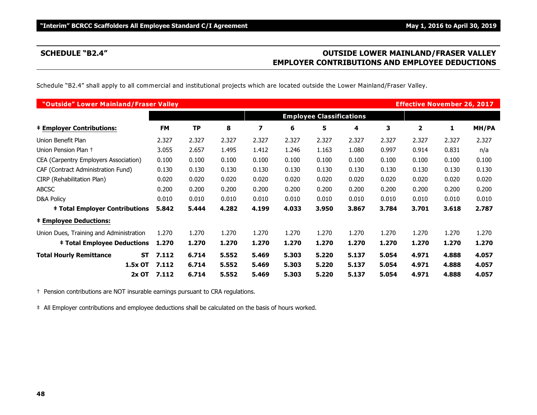# **SCHEDULE "B2.4" OUTSIDE LOWER MAINLAND/FRASER VALLEY EMPLOYER CONTRIBUTIONS AND EMPLOYEE DEDUCTIONS**

Schedule "B2.4" shall apply to all commercial and institutional projects which are located outside the Lower Mainland/Fraser Valley.

| "Outside" Lower Mainland/Fraser Valley  |                    |                                 |       |       |       |       |       |       | <b>Effective November 26, 2017</b> |       |       |
|-----------------------------------------|--------------------|---------------------------------|-------|-------|-------|-------|-------|-------|------------------------------------|-------|-------|
|                                         |                    | <b>Employee Classifications</b> |       |       |       |       |       |       |                                    |       |       |
| <b>‡ Employer Contributions:</b>        | <b>FM</b>          | <b>TP</b>                       | 8     | 7     | 6     | 5     | 4     | 3     | 2                                  | 1     | MH/PA |
| Union Benefit Plan                      | 2.327              | 2.327                           | 2.327 | 2.327 | 2.327 | 2.327 | 2.327 | 2.327 | 2.327                              | 2.327 | 2.327 |
| Union Pension Plan +                    | 3.055              | 2.657                           | 1.495 | 1.412 | 1.246 | 1.163 | 1.080 | 0.997 | 0.914                              | 0.831 | n/a   |
| CEA (Carpentry Employers Association)   | 0.100              | 0.100                           | 0.100 | 0.100 | 0.100 | 0.100 | 0.100 | 0.100 | 0.100                              | 0.100 | 0.100 |
| CAF (Contract Administration Fund)      | 0.130              | 0.130                           | 0.130 | 0.130 | 0.130 | 0.130 | 0.130 | 0.130 | 0.130                              | 0.130 | 0.130 |
| CIRP (Rehabilitation Plan)              | 0.020              | 0.020                           | 0.020 | 0.020 | 0.020 | 0.020 | 0.020 | 0.020 | 0.020                              | 0.020 | 0.020 |
| <b>ABCSC</b>                            | 0.200              | 0.200                           | 0.200 | 0.200 | 0.200 | 0.200 | 0.200 | 0.200 | 0.200                              | 0.200 | 0.200 |
| D&A Policy                              | 0.010              | 0.010                           | 0.010 | 0.010 | 0.010 | 0.010 | 0.010 | 0.010 | 0.010                              | 0.010 | 0.010 |
| <b>‡ Total Employer Contributions</b>   | 5.842              | 5.444                           | 4.282 | 4.199 | 4.033 | 3.950 | 3.867 | 3.784 | 3.701                              | 3.618 | 2.787 |
| <b>‡ Employee Deductions:</b>           |                    |                                 |       |       |       |       |       |       |                                    |       |       |
| Union Dues, Training and Administration | 1.270              | 1.270                           | 1.270 | 1.270 | 1.270 | 1.270 | 1.270 | 1.270 | 1.270                              | 1.270 | 1.270 |
| <b>‡ Total Employee Deductions</b>      | 1.270              | 1.270                           | 1.270 | 1.270 | 1.270 | 1.270 | 1.270 | 1.270 | 1.270                              | 1.270 | 1.270 |
| <b>Total Hourly Remittance</b>          | 7.112<br><b>ST</b> | 6.714                           | 5.552 | 5.469 | 5.303 | 5.220 | 5.137 | 5.054 | 4.971                              | 4.888 | 4.057 |
| 1.5x OT                                 | 7.112              | 6.714                           | 5.552 | 5.469 | 5.303 | 5.220 | 5.137 | 5.054 | 4.971                              | 4.888 | 4.057 |
| $2x$ OT                                 | 7.112              | 6.714                           | 5.552 | 5.469 | 5.303 | 5.220 | 5.137 | 5.054 | 4.971                              | 4.888 | 4.057 |

† Pension contributions are NOT insurable earnings pursuant to CRA regulations.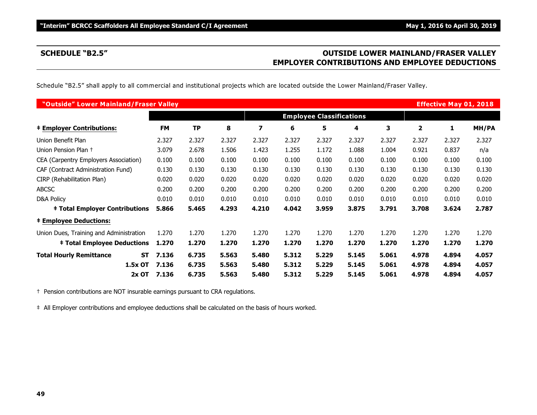# **SCHEDULE "B2.5" OUTSIDE LOWER MAINLAND/FRASER VALLEY EMPLOYER CONTRIBUTIONS AND EMPLOYEE DEDUCTIONS**

Schedule "B2.5" shall apply to all commercial and institutional projects which are located outside the Lower Mainland/Fraser Valley.

| "Outside" Lower Mainland/Fraser Valley  |                    |                                 |       |       |       |       |       |       |       | <b>Effective May 01, 2018</b> |       |
|-----------------------------------------|--------------------|---------------------------------|-------|-------|-------|-------|-------|-------|-------|-------------------------------|-------|
|                                         |                    | <b>Employee Classifications</b> |       |       |       |       |       |       |       |                               |       |
| <b>‡ Employer Contributions:</b>        | <b>FM</b>          | <b>TP</b>                       | 8     | 7     | 6     | 5     | 4     | 3     | 2     | 1                             | MH/PA |
| Union Benefit Plan                      | 2.327              | 2.327                           | 2.327 | 2.327 | 2.327 | 2.327 | 2.327 | 2.327 | 2.327 | 2.327                         | 2.327 |
| Union Pension Plan +                    | 3.079              | 2.678                           | 1.506 | 1.423 | 1.255 | 1.172 | 1.088 | 1.004 | 0.921 | 0.837                         | n/a   |
| CEA (Carpentry Employers Association)   | 0.100              | 0.100                           | 0.100 | 0.100 | 0.100 | 0.100 | 0.100 | 0.100 | 0.100 | 0.100                         | 0.100 |
| CAF (Contract Administration Fund)      | 0.130              | 0.130                           | 0.130 | 0.130 | 0.130 | 0.130 | 0.130 | 0.130 | 0.130 | 0.130                         | 0.130 |
| CIRP (Rehabilitation Plan)              | 0.020              | 0.020                           | 0.020 | 0.020 | 0.020 | 0.020 | 0.020 | 0.020 | 0.020 | 0.020                         | 0.020 |
| <b>ABCSC</b>                            | 0.200              | 0.200                           | 0.200 | 0.200 | 0.200 | 0.200 | 0.200 | 0.200 | 0.200 | 0.200                         | 0.200 |
| D&A Policy                              | 0.010              | 0.010                           | 0.010 | 0.010 | 0.010 | 0.010 | 0.010 | 0.010 | 0.010 | 0.010                         | 0.010 |
| <b>‡ Total Employer Contributions</b>   | 5.866              | 5.465                           | 4.293 | 4.210 | 4.042 | 3.959 | 3.875 | 3.791 | 3.708 | 3.624                         | 2.787 |
| <b>‡ Employee Deductions:</b>           |                    |                                 |       |       |       |       |       |       |       |                               |       |
| Union Dues, Training and Administration | 1.270              | 1.270                           | 1.270 | 1.270 | 1.270 | 1.270 | 1.270 | 1.270 | 1.270 | 1.270                         | 1.270 |
| <b>‡ Total Employee Deductions</b>      | 1.270              | 1.270                           | 1.270 | 1.270 | 1.270 | 1.270 | 1.270 | 1.270 | 1.270 | 1.270                         | 1.270 |
| <b>Total Hourly Remittance</b>          | 7.136<br><b>ST</b> | 6.735                           | 5.563 | 5.480 | 5.312 | 5.229 | 5.145 | 5.061 | 4.978 | 4.894                         | 4.057 |
| 1.5x OT                                 | 7.136              | 6.735                           | 5.563 | 5.480 | 5.312 | 5.229 | 5.145 | 5.061 | 4.978 | 4.894                         | 4.057 |
|                                         | $2x$ OT<br>7.136   | 6.735                           | 5.563 | 5.480 | 5.312 | 5.229 | 5.145 | 5.061 | 4.978 | 4.894                         | 4.057 |

† Pension contributions are NOT insurable earnings pursuant to CRA regulations.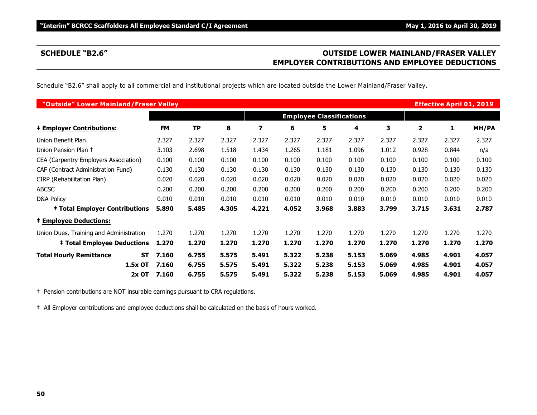# **SCHEDULE "B2.6" OUTSIDE LOWER MAINLAND/FRASER VALLEY EMPLOYER CONTRIBUTIONS AND EMPLOYEE DEDUCTIONS**

Schedule "B2.6" shall apply to all commercial and institutional projects which are located outside the Lower Mainland/Fraser Valley.

| "Outside" Lower Mainland/Fraser Valley  |                    |                                 |       |       |       |       |       |       |       | <b>Effective April 01, 2019</b> |       |
|-----------------------------------------|--------------------|---------------------------------|-------|-------|-------|-------|-------|-------|-------|---------------------------------|-------|
|                                         |                    | <b>Employee Classifications</b> |       |       |       |       |       |       |       |                                 |       |
| <b>‡ Employer Contributions:</b>        | <b>FM</b>          | TP                              | 8     | 7     | 6     | 5     | 4     | 3     | 2     | 1                               | MH/PA |
| Union Benefit Plan                      | 2.327              | 2.327                           | 2.327 | 2.327 | 2.327 | 2.327 | 2.327 | 2.327 | 2.327 | 2.327                           | 2.327 |
| Union Pension Plan +                    | 3.103              | 2.698                           | 1.518 | 1.434 | 1.265 | 1.181 | 1.096 | 1.012 | 0.928 | 0.844                           | n/a   |
| CEA (Carpentry Employers Association)   | 0.100              | 0.100                           | 0.100 | 0.100 | 0.100 | 0.100 | 0.100 | 0.100 | 0.100 | 0.100                           | 0.100 |
| CAF (Contract Administration Fund)      | 0.130              | 0.130                           | 0.130 | 0.130 | 0.130 | 0.130 | 0.130 | 0.130 | 0.130 | 0.130                           | 0.130 |
| CIRP (Rehabilitation Plan)              | 0.020              | 0.020                           | 0.020 | 0.020 | 0.020 | 0.020 | 0.020 | 0.020 | 0.020 | 0.020                           | 0.020 |
| <b>ABCSC</b>                            | 0.200              | 0.200                           | 0.200 | 0.200 | 0.200 | 0.200 | 0.200 | 0.200 | 0.200 | 0.200                           | 0.200 |
| D&A Policy                              | 0.010              | 0.010                           | 0.010 | 0.010 | 0.010 | 0.010 | 0.010 | 0.010 | 0.010 | 0.010                           | 0.010 |
| <b>‡ Total Employer Contributions</b>   | 5.890              | 5.485                           | 4.305 | 4.221 | 4.052 | 3.968 | 3.883 | 3.799 | 3.715 | 3.631                           | 2.787 |
| <b>‡ Employee Deductions:</b>           |                    |                                 |       |       |       |       |       |       |       |                                 |       |
| Union Dues, Training and Administration | 1.270              | 1.270                           | 1.270 | 1.270 | 1.270 | 1.270 | 1.270 | 1.270 | 1.270 | 1.270                           | 1.270 |
| <b>‡ Total Employee Deductions</b>      | 1.270              | 1.270                           | 1.270 | 1.270 | 1.270 | 1.270 | 1.270 | 1.270 | 1.270 | 1.270                           | 1.270 |
| <b>Total Hourly Remittance</b>          | 7.160<br><b>ST</b> | 6.755                           | 5.575 | 5.491 | 5.322 | 5.238 | 5.153 | 5.069 | 4.985 | 4.901                           | 4.057 |
| 1.5x OT                                 | 7.160              | 6.755                           | 5.575 | 5.491 | 5.322 | 5.238 | 5.153 | 5.069 | 4.985 | 4.901                           | 4.057 |
| $2x$ OT                                 | 7.160              | 6.755                           | 5.575 | 5.491 | 5.322 | 5.238 | 5.153 | 5.069 | 4.985 | 4.901                           | 4.057 |

† Pension contributions are NOT insurable earnings pursuant to CRA regulations.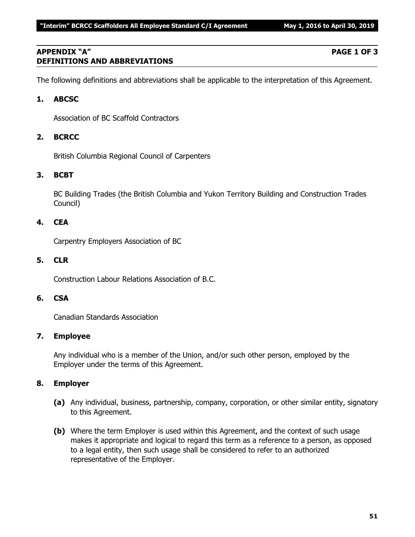# **APPENDIX "A" PAGE 1 OF 3 DEFINITIONS AND ABBREVIATIONS**

The following definitions and abbreviations shall be applicable to the interpretation of this Agreement.

# **1. ABCSC**

Association of BC Scaffold Contractors

# **2. BCRCC**

British Columbia Regional Council of Carpenters

# **3. BCBT**

BC Building Trades (the British Columbia and Yukon Territory Building and Construction Trades Council)

# **4. CEA**

Carpentry Employers Association of BC

### **5. CLR**

Construction Labour Relations Association of B.C.

# **6. CSA**

Canadian Standards Association

### **7. Employee**

Any individual who is a member of the Union, and/or such other person, employed by the Employer under the terms of this Agreement.

### **8. Employer**

- **(a)** Any individual, business, partnership, company, corporation, or other similar entity, signatory to this Agreement.
- **(b)** Where the term Employer is used within this Agreement, and the context of such usage makes it appropriate and logical to regard this term as a reference to a person, as opposed to a legal entity, then such usage shall be considered to refer to an authorized representative of the Employer.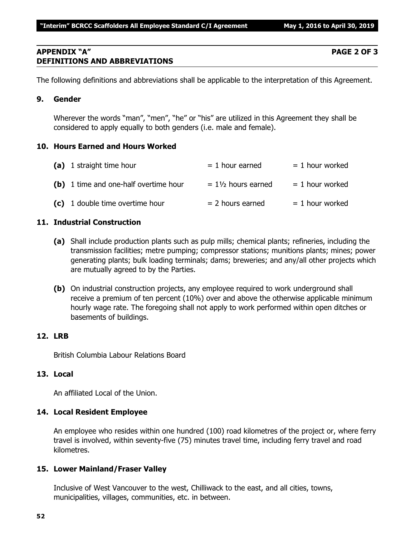# **APPENDIX "A" PAGE 2 OF 3 DEFINITIONS AND ABBREVIATIONS**

The following definitions and abbreviations shall be applicable to the interpretation of this Agreement.

# **9. Gender**

Wherever the words "man", "men", "he" or "his" are utilized in this Agreement they shall be considered to apply equally to both genders (i.e. male and female).

# **10. Hours Earned and Hours Worked**

| (a) 1 straight time hour              | $= 1$ hour earned             | $= 1$ hour worked |
|---------------------------------------|-------------------------------|-------------------|
| (b) 1 time and one-half overtime hour | $= 1\frac{1}{2}$ hours earned | $= 1$ hour worked |
| (c) 1 double time overtime hour       | $= 2$ hours earned            | $= 1$ hour worked |

# **11. Industrial Construction**

- **(a)** Shall include production plants such as pulp mills; chemical plants; refineries, including the transmission facilities; metre pumping; compressor stations; munitions plants; mines; power generating plants; bulk loading terminals; dams; breweries; and any/all other projects which are mutually agreed to by the Parties.
- **(b)** On industrial construction projects, any employee required to work underground shall receive a premium of ten percent (10%) over and above the otherwise applicable minimum hourly wage rate. The foregoing shall not apply to work performed within open ditches or basements of buildings.

# **12. LRB**

British Columbia Labour Relations Board

# **13. Local**

An affiliated Local of the Union.

# **14. Local Resident Employee**

An employee who resides within one hundred (100) road kilometres of the project or, where ferry travel is involved, within seventy-five (75) minutes travel time, including ferry travel and road kilometres.

# **15. Lower Mainland/Fraser Valley**

Inclusive of West Vancouver to the west, Chilliwack to the east, and all cities, towns, municipalities, villages, communities, etc. in between.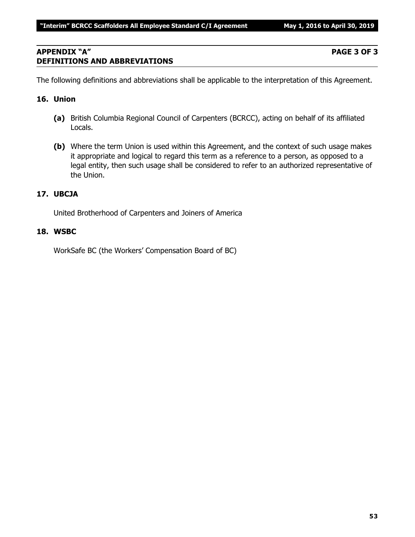# **APPENDIX "A" PAGE 3 OF 3 DEFINITIONS AND ABBREVIATIONS**

The following definitions and abbreviations shall be applicable to the interpretation of this Agreement.

# **16. Union**

- **(a)** British Columbia Regional Council of Carpenters (BCRCC), acting on behalf of its affiliated Locals.
- **(b)** Where the term Union is used within this Agreement, and the context of such usage makes it appropriate and logical to regard this term as a reference to a person, as opposed to a legal entity, then such usage shall be considered to refer to an authorized representative of the Union.

# **17. UBCJA**

United Brotherhood of Carpenters and Joiners of America

# **18. WSBC**

WorkSafe BC (the Workers' Compensation Board of BC)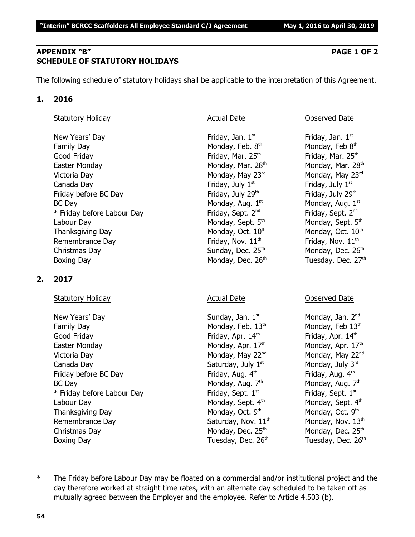# **APPENDIX "B" PAGE 1 OF 2 SCHEDULE OF STATUTORY HOLIDAYS**

The following schedule of statutory holidays shall be applicable to the interpretation of this Agreement.

# **1. 2016**

# Statutory Holiday **Actual Date Actual Date Conserved Date Observed Date**

New Years' Day **Friday**, Jan. 1<sup>st</sup> Family Day **Monday, Feb. 8th** Monday, Feb. 8th Good Friday **Friday** Friday, Mar. 25<sup>th</sup> Friday, Mar. 25<sup>th</sup> Friday, Mar. 25<sup>th</sup> Easter Monday Monday, Mar. 28<sup>th</sup> Monday, Mar. 28<sup>th</sup> Monday, Mar. 28<sup>th</sup> Victoria Day **Monday, May 23<sup>rd</sup>** Monday, May 23<sup>rd</sup> Monday, May 23<sup>rd</sup> Canada Day **Friday, July 1<sup>st</sup>** Friday, July 1<sup>st</sup> Friday, July 1<sup>st</sup> Friday before BC Day  $Friday$ , July 29<sup>th</sup> Friday, July 29<sup>th</sup>  $BC$  Day Monday, Aug.  $1<sup>st</sup>$ \* Friday before Labour Day Friday, Sept. 2<sup>nd</sup> Labour Day Monday, Sept. 5<sup>th</sup> Monday, Sept. 5<sup>th</sup> Monday, Sept. 5<sup>th</sup> Thanksgiving Day Monday, Oct.  $10<sup>th</sup>$  Monday, Oct.  $10<sup>th</sup>$  Monday, Oct.  $10<sup>th</sup>$ Remembrance Day  $\qquad \qquad$  Friday, Nov.  $11^{\text{th}}$  Friday, Nov.  $11^{\text{th}}$ Christmas Day  $S$ unday, Dec. 25<sup>th</sup> Monday, Dec. 26<sup>th</sup> Boxing Day **Monday, Dec. 26<sup>th</sup> Tuesday, Dec. 27<sup>th</sup>** 

# **2. 2017**

### Statutory Holiday **Actual Date** Actual Date **Conserved Date** Observed Date

New Years' Day North Sunday, Jan. 1<sup>st</sup> Monday, Jan. 2<sup>nd</sup> Monday, Jan. 2<sup>nd</sup> Family Day Monday, Feb.  $13<sup>th</sup>$  Monday, Feb  $13<sup>th</sup>$  Monday, Feb  $13<sup>th</sup>$ Good Friday **Friday**, Apr. 14<sup>th</sup> Friday, Apr. 14<sup>th</sup> Friday, Apr. 14<sup>th</sup> Easter Monday **Monday, Apr. 17<sup>th</sup> Monday, Apr. 17<sup>th</sup> Monday, Apr. 17<sup>th</sup>** Victoria Day **Monday, May 22<sup>nd</sup> Monday, May 22<sup>nd</sup> Monday, May 22<sup>nd</sup> Monday, May 22<sup>nd</sup>** Canada Day Saturday, July  $1^{\text{st}}$  Monday, July  $3^{\text{rd}}$ Friday before BC Day **Friday, Aug. 4<sup>th</sup> Friday, Aug. 4<sup>th</sup> Friday, Aug. 4<sup>th</sup>** BC Day Monday, Aug. 7<sup>th</sup>  $*$  Friday before Labour Day Friday, Sept.  $1<sup>st</sup>$ Labour Day Monday, Sept. 4<sup>th</sup> Monday, Sept. 4<sup>th</sup> Monday, Sept. 4<sup>th</sup> Thanksgiving Day Monday, Oct. 9th Remembrance Day  $Saturday$ , Nov.  $11<sup>th</sup>$  Monday, Nov.  $13<sup>th</sup>$ Christmas Day  $M$ onday, Dec. 25<sup>th</sup> Monday, Dec. 25<sup>th</sup> Monday, Dec. 25<sup>th</sup> Boxing Day **Bridge Community Community** Tuesday, Dec. 26<sup>th</sup> Tuesday, Dec. 26<sup>th</sup>

Friday, Jan.  $1<sup>st</sup>$ Monday, Feb 8th Monday, Aug. 1st Friday, Sept. 2<sup>nd</sup>

Monday, Aug.  $7<sup>th</sup>$ Friday, Sept. 1st Monday, Oct. 9th

\* The Friday before Labour Day may be floated on a commercial and/or institutional project and the day therefore worked at straight time rates, with an alternate day scheduled to be taken off as mutually agreed between the Employer and the employee. Refer to Article 4.503 (b).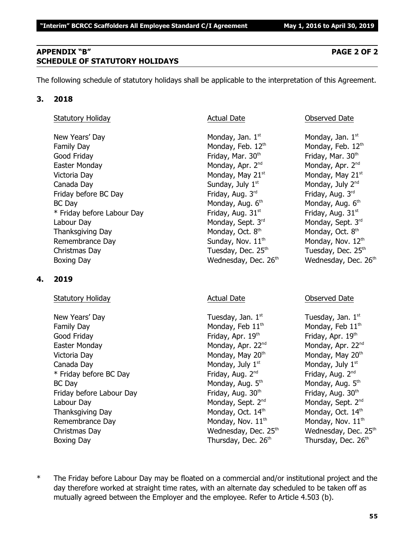# **APPENDIX "B" PAGE 2 OF 2 SCHEDULE OF STATUTORY HOLIDAYS**

The following schedule of statutory holidays shall be applicable to the interpretation of this Agreement.

# **3. 2018**

# Statutory Holiday **Actual Date Actual Date Observed Date Observed Date**

New Years' Day  $\blacksquare$  Monday, Jan. 1st  $\blacksquare$  Monday, Jan. 1st structure  $\blacksquare$  Monday, Jan. 1st Family Day Monday, Feb. 12<sup>th</sup> Monday, Feb. 12<sup>th</sup> Monday, Feb. 12<sup>th</sup> Good Friday **Friday**, Mar. 30<sup>th</sup> Friday, Mar. 30<sup>th</sup> Friday, Mar. 30<sup>th</sup> Easter Monday **Monday, Apr. 2<sup>nd</sup> Monday, Apr. 2<sup>nd</sup> Monday, Apr. 2<sup>nd</sup> Monday, Apr. 2<sup>nd</sup>** Victoria Day **Monday, May 21**<sup>st</sup> Monday, May 21<sup>st</sup> Monday, May 21<sup>st</sup> Canada Day  $Sunday, July 1<sup>st</sup>$  Monday, July  $2<sup>nd</sup>$ Friday before BC Day Friday, Aug. 3<sup>rd</sup> Friday, Aug. 3<sup>rd</sup> Friday, Aug. 3<sup>rd</sup> Friday, Aug. 3<sup>rd</sup>  $BC$  Day Monday, Aug.  $6<sup>th</sup>$  $*$  Friday before Labour Day Friday, Aug. 31 $^{\rm st}$  Friday, Aug. 31 $^{\rm st}$ Labour Day Monday, Sept. 3<sup>rd</sup> Monday, Sept. 3<sup>rd</sup> Monday, Sept. 3<sup>rd</sup> Rept. 3<sup>rd</sup> Rept. 3<sup>rd</sup> Thanksgiving Day Monday, Oct. 8<sup>th</sup> Remembrance Day  $Sunday, Nov. 11<sup>th</sup>$  Monday, Nov.  $12<sup>th</sup>$ Christmas Day  $\qquad \qquad$  Tuesday, Dec. 25<sup>th</sup>  $\qquad \qquad$  Tuesday, Dec. 25<sup>th</sup> Boxing Day **Bridge Community Community** Wednesday, Dec. 26<sup>th</sup> Wednesday, Dec. 26<sup>th</sup>

# **4. 2019**

# Statutory Holiday **Actual Date** Actual Date **Conserved Date** Observed Date

New Years' Day  $\qquad \qquad$  Tuesday, Jan.  $1^{st}$  Tuesday, Jan.  $1^{st}$ Family Day Monday, Feb  $11<sup>th</sup>$  Monday, Feb  $11<sup>th</sup>$ Good Friday **Friday, Apr. 19th Friday, Apr. 19th 19th** Friday, Apr. 19th the three states of the three states of the three states of the three states of the three states of the three states of the three states of the three Easter Monday **Monday, Apr. 22<sup>nd</sup> Monday, Apr. 22**<sup>nd</sup> Monday, Apr. 22<sup>nd</sup> Victoria Day **Monday, May 20<sup>th</sup> Monday, May 20<sup>th</sup> Monday, May 20<sup>th</sup> Monday, May 20<sup>th</sup>** Canada Day  $\qquad \qquad \qquad \qquad$  Monday, July 1st structure  $\qquad$  Monday, July 1st \* Friday before BC Day  $\qquad \qquad$  Friday, Aug. 2<sup>nd</sup> Friday, Aug. 2<sup>nd</sup> Friday, Aug. 2<sup>nd</sup> BC Day Monday, Aug. 5<sup>th</sup> Friday before Labour Day Friday, Aug. 30<sup>th</sup> Friday, Aug. 30<sup>th</sup> Friday, Aug. 30<sup>th</sup> Labour Day Monday, Sept. 2<sup>nd</sup> Monday, Sept. 2<sup>nd</sup> Monday, Sept. 2<sup>nd</sup> Thanksgiving Day Monday, Oct.  $14<sup>th</sup>$  Monday, Oct.  $14<sup>th</sup>$  Monday, Oct.  $14<sup>th</sup>$ Remembrance Day  $M$ onday, Nov.  $11<sup>th</sup>$  Monday, Nov.  $11<sup>th</sup>$ Christmas Day **Mathem Christmas Day Christmas Day Christmas Day Christmas Day Area** Wednesday, Dec. 25<sup>th</sup> Boxing Day Thursday, Dec. 26<sup>th</sup> Thursday, Dec. 26<sup>th</sup> Thursday, Dec. 26<sup>th</sup>

Monday, Aug. 6th Monday, Oct. 8th

Monday, Aug.  $5<sup>th</sup>$ 

\* The Friday before Labour Day may be floated on a commercial and/or institutional project and the day therefore worked at straight time rates, with an alternate day scheduled to be taken off as mutually agreed between the Employer and the employee. Refer to Article 4.503 (b).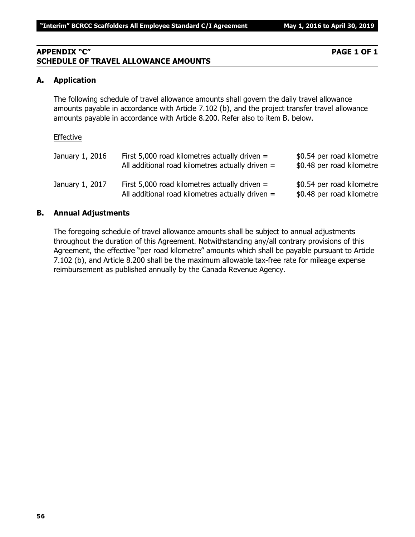# **APPENDIX "C" PAGE 1 OF 1 SCHEDULE OF TRAVEL ALLOWANCE AMOUNTS**

# **A. Application**

The following schedule of travel allowance amounts shall govern the daily travel allowance amounts payable in accordance with Article 7.102 (b), and the project transfer travel allowance amounts payable in accordance with Article 8.200. Refer also to item B. below.

### Effective

| January 1, 2016 | First 5,000 road kilometres actually driven $=$<br>All additional road kilometres actually driven $=$ | \$0.54 per road kilometre<br>\$0.48 per road kilometre |
|-----------------|-------------------------------------------------------------------------------------------------------|--------------------------------------------------------|
| January 1, 2017 | First 5,000 road kilometres actually driven $=$<br>All additional road kilometres actually driven $=$ | \$0.54 per road kilometre<br>\$0.48 per road kilometre |

# **B. Annual Adjustments**

The foregoing schedule of travel allowance amounts shall be subject to annual adjustments throughout the duration of this Agreement. Notwithstanding any/all contrary provisions of this Agreement, the effective "per road kilometre" amounts which shall be payable pursuant to Article 7.102 (b), and Article 8.200 shall be the maximum allowable tax-free rate for mileage expense reimbursement as published annually by the Canada Revenue Agency.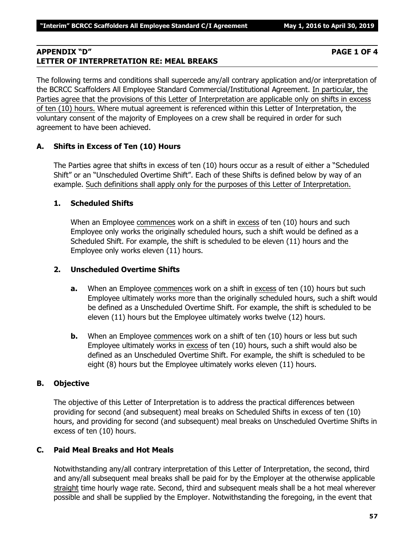# **APPENDIX "D" PAGE 1 OF 4 LETTER OF INTERPRETATION RE: MEAL BREAKS**

The following terms and conditions shall supercede any/all contrary application and/or interpretation of the BCRCC Scaffolders All Employee Standard Commercial/Institutional Agreement. In particular, the Parties agree that the provisions of this Letter of Interpretation are applicable only on shifts in excess of ten (10) hours. Where mutual agreement is referenced within this Letter of Interpretation, the voluntary consent of the majority of Employees on a crew shall be required in order for such agreement to have been achieved.

# **A. Shifts in Excess of Ten (10) Hours**

The Parties agree that shifts in excess of ten (10) hours occur as a result of either a "Scheduled Shift" or an "Unscheduled Overtime Shift". Each of these Shifts is defined below by way of an example. Such definitions shall apply only for the purposes of this Letter of Interpretation.

# **1. Scheduled Shifts**

When an Employee commences work on a shift in excess of ten (10) hours and such Employee only works the originally scheduled hours, such a shift would be defined as a Scheduled Shift. For example, the shift is scheduled to be eleven (11) hours and the Employee only works eleven (11) hours.

# **2. Unscheduled Overtime Shifts**

- **a.** When an Employee commences work on a shift in excess of ten (10) hours but such Employee ultimately works more than the originally scheduled hours, such a shift would be defined as a Unscheduled Overtime Shift. For example, the shift is scheduled to be eleven (11) hours but the Employee ultimately works twelve (12) hours.
- **b.** When an Employee commences work on a shift of ten (10) hours or less but such Employee ultimately works in excess of ten (10) hours, such a shift would also be defined as an Unscheduled Overtime Shift. For example, the shift is scheduled to be eight (8) hours but the Employee ultimately works eleven (11) hours.

# **B. Objective**

The objective of this Letter of Interpretation is to address the practical differences between providing for second (and subsequent) meal breaks on Scheduled Shifts in excess of ten (10) hours, and providing for second (and subsequent) meal breaks on Unscheduled Overtime Shifts in excess of ten (10) hours.

# **C. Paid Meal Breaks and Hot Meals**

Notwithstanding any/all contrary interpretation of this Letter of Interpretation, the second, third and any/all subsequent meal breaks shall be paid for by the Employer at the otherwise applicable straight time hourly wage rate. Second, third and subsequent meals shall be a hot meal wherever possible and shall be supplied by the Employer. Notwithstanding the foregoing, in the event that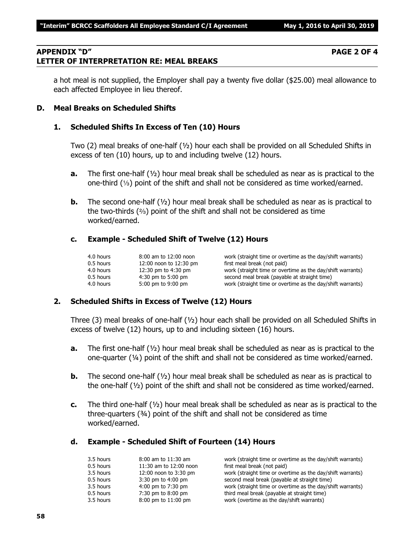# **APPENDIX "D" PAGE 2 OF 4 LETTER OF INTERPRETATION RE: MEAL BREAKS**

# **D. Meal Breaks on Scheduled Shifts**

## **1. Scheduled Shifts In Excess of Ten (10) Hours**

Two (2) meal breaks of one-half (½) hour each shall be provided on all Scheduled Shifts in excess of ten (10) hours, up to and including twelve (12) hours.

- **a.** The first one-half (½) hour meal break shall be scheduled as near as is practical to the one-third  $(1/3)$  point of the shift and shall not be considered as time worked/earned.
- **b.** The second one-half ( $\frac{1}{2}$ ) hour meal break shall be scheduled as near as is practical to the two-thirds  $(2)$  point of the shift and shall not be considered as time worked/earned.

# **c. Example - Scheduled Shift of Twelve (12) Hours**

| 4.0 hours   | 8:00 am to 12:00 noon  | work (straight time or overtime as the day/shift warrants) |
|-------------|------------------------|------------------------------------------------------------|
| 0.5 hours   | 12:00 noon to 12:30 pm | first meal break (not paid)                                |
| 4.0 hours   | 12:30 pm to 4:30 pm    | work (straight time or overtime as the day/shift warrants) |
| $0.5$ hours | $4:30$ pm to 5:00 pm   | second meal break (payable at straight time)               |
| 4.0 hours   | 5:00 pm to 9:00 pm     | work (straight time or overtime as the day/shift warrants) |

### **2. Scheduled Shifts in Excess of Twelve (12) Hours**

Three (3) meal breaks of one-half ( $\frac{1}{2}$ ) hour each shall be provided on all Scheduled Shifts in excess of twelve (12) hours, up to and including sixteen (16) hours.

- **a.** The first one-half (½) hour meal break shall be scheduled as near as is practical to the one-quarter (¼) point of the shift and shall not be considered as time worked/earned.
- **b.** The second one-half ( $\frac{1}{2}$ ) hour meal break shall be scheduled as near as is practical to the one-half  $(V_2)$  point of the shift and shall not be considered as time worked/earned.
- **c.** The third one-half (½) hour meal break shall be scheduled as near as is practical to the three-quarters (¾) point of the shift and shall not be considered as time worked/earned.

### **d. Example - Scheduled Shift of Fourteen (14) Hours**

| 3.5 hours | $8:00$ am to $11:30$ am | work (straight time or overtime as the day/shift warrants) |
|-----------|-------------------------|------------------------------------------------------------|
| 0.5 hours | 11:30 am to 12:00 noon  | first meal break (not paid)                                |
| 3.5 hours | 12:00 noon to 3:30 pm   | work (straight time or overtime as the day/shift warrants) |
| 0.5 hours | $3:30$ pm to $4:00$ pm  | second meal break (payable at straight time)               |
| 3.5 hours | 4:00 pm to 7:30 pm      | work (straight time or overtime as the day/shift warrants) |
| 0.5 hours | 7:30 pm to 8:00 pm      | third meal break (payable at straight time)                |
| 3.5 hours | 8:00 pm to 11:00 pm     | work (overtime as the day/shift warrants)                  |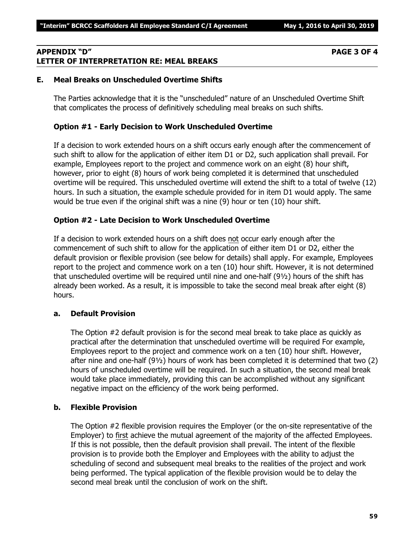# **APPENDIX "D" PAGE 3 OF 4 LETTER OF INTERPRETATION RE: MEAL BREAKS**

# **E. Meal Breaks on Unscheduled Overtime Shifts**

The Parties acknowledge that it is the "unscheduled" nature of an Unscheduled Overtime Shift that complicates the process of definitively scheduling meal breaks on such shifts.

# **Option #1 - Early Decision to Work Unscheduled Overtime**

If a decision to work extended hours on a shift occurs early enough after the commencement of such shift to allow for the application of either item D1 or D2, such application shall prevail. For example, Employees report to the project and commence work on an eight (8) hour shift, however, prior to eight (8) hours of work being completed it is determined that unscheduled overtime will be required. This unscheduled overtime will extend the shift to a total of twelve (12) hours. In such a situation, the example schedule provided for in item D1 would apply. The same would be true even if the original shift was a nine (9) hour or ten (10) hour shift.

# **Option #2 - Late Decision to Work Unscheduled Overtime**

If a decision to work extended hours on a shift does not occur early enough after the commencement of such shift to allow for the application of either item D1 or D2, either the default provision or flexible provision (see below for details) shall apply. For example, Employees report to the project and commence work on a ten (10) hour shift. However, it is not determined that unscheduled overtime will be required until nine and one-half (9½) hours of the shift has already been worked. As a result, it is impossible to take the second meal break after eight (8) hours.

### **a. Default Provision**

The Option #2 default provision is for the second meal break to take place as quickly as practical after the determination that unscheduled overtime will be required For example, Employees report to the project and commence work on a ten (10) hour shift. However, after nine and one-half (9½) hours of work has been completed it is determined that two (2) hours of unscheduled overtime will be required. In such a situation, the second meal break would take place immediately, providing this can be accomplished without any significant negative impact on the efficiency of the work being performed.

### **b. Flexible Provision**

The Option #2 flexible provision requires the Employer (or the on-site representative of the Employer) to first achieve the mutual agreement of the majority of the affected Employees. If this is not possible, then the default provision shall prevail. The intent of the flexible provision is to provide both the Employer and Employees with the ability to adjust the scheduling of second and subsequent meal breaks to the realities of the project and work being performed. The typical application of the flexible provision would be to delay the second meal break until the conclusion of work on the shift.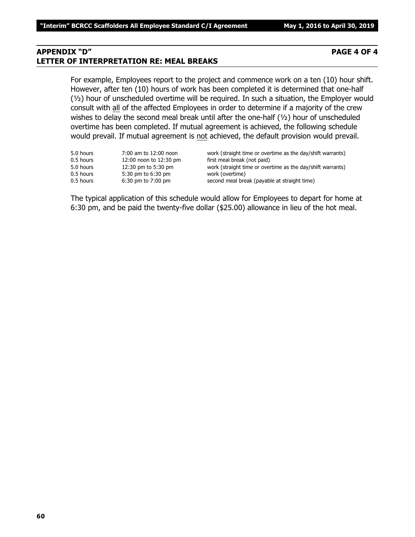### **APPENDIX "D" PAGE 4 OF 4 LETTER OF INTERPRETATION RE: MEAL BREAKS**

For example, Employees report to the project and commence work on a ten (10) hour shift. However, after ten (10) hours of work has been completed it is determined that one-half (½) hour of unscheduled overtime will be required. In such a situation, the Employer would consult with all of the affected Employees in order to determine if a majority of the crew wishes to delay the second meal break until after the one-half (1/2) hour of unscheduled overtime has been completed. If mutual agreement is achieved, the following schedule would prevail. If mutual agreement is not achieved, the default provision would prevail.

| 5.0 hours | 7:00 am to 12:00 noon  | work (straight time or overtime as the day/shift warrants) |
|-----------|------------------------|------------------------------------------------------------|
| 0.5 hours | 12:00 noon to 12:30 pm | first meal break (not paid)                                |
| 5.0 hours | 12:30 pm to 5:30 pm    | work (straight time or overtime as the day/shift warrants) |
| 0.5 hours | 5:30 pm to 6:30 pm     | work (overtime)                                            |
| 0.5 hours | $6:30$ pm to $7:00$ pm | second meal break (payable at straight time)               |
|           |                        |                                                            |

The typical application of this schedule would allow for Employees to depart for home at 6:30 pm, and be paid the twenty-five dollar (\$25.00) allowance in lieu of the hot meal.